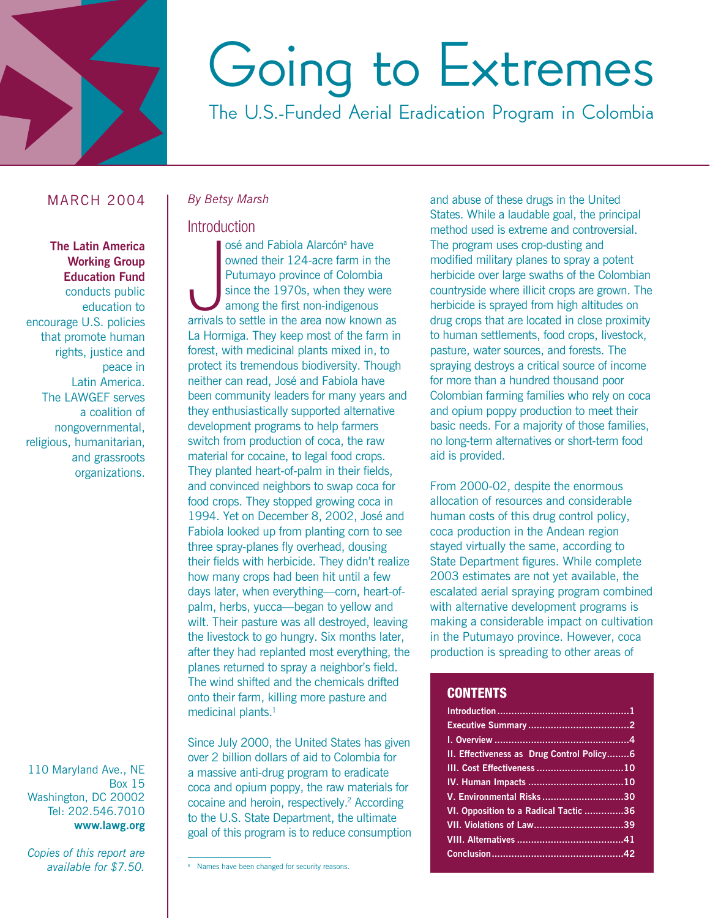

# Going to Extremes

The U.S.-Funded Aerial Eradication Program in Colombia

# **MARCH 2004**

**The Latin America Working Group Education Fund** conducts public education to encourage U.S. policies that promote human rights, justice and peace in Latin America. The LAWGEF serves a coalition of nongovernmental, religious, humanitarian, and grassroots organizations.

110 Maryland Ave., NE **Box 15** Washington, DC 20002 Tel: 202.546.7010 www.lawg.org

Copies of this report are available for \$7.50.

#### **By Betsy Marsh**

# Introduction

osé and Fabiola Alarcón<sup>a</sup> have owned their 124-acre farm in the Putumayo province of Colombia since the 1970s, when they were among the first non-indigenous arrivals to settle in the area now known as La Hormiga. They keep most of the farm in forest, with medicinal plants mixed in, to protect its tremendous biodiversity. Though neither can read, José and Fabiola have been community leaders for many years and they enthusiastically supported alternative development programs to help farmers switch from production of coca, the raw material for cocaine, to legal food crops. They planted heart-of-palm in their fields, and convinced neighbors to swap coca for food crops. They stopped growing coca in 1994. Yet on December 8, 2002, José and Fabiola looked up from planting corn to see three spray-planes fly overhead, dousing their fields with herbicide. They didn't realize how many crops had been hit until a few days later, when everything-corn, heart-ofpalm, herbs, yucca-began to yellow and wilt. Their pasture was all destroyed, leaving the livestock to go hungry. Six months later, after they had replanted most everything, the planes returned to spray a neighbor's field. The wind shifted and the chemicals drifted onto their farm, killing more pasture and medicinal plants.<sup>1</sup>

Since July 2000, the United States has given over 2 billion dollars of aid to Colombia for a massive anti-drug program to eradicate coca and opium poppy, the raw materials for cocaine and heroin, respectively.<sup>2</sup> According to the U.S. State Department, the ultimate goal of this program is to reduce consumption and abuse of these drugs in the United States. While a laudable goal, the principal method used is extreme and controversial. The program uses crop-dusting and modified military planes to spray a potent herbicide over large swaths of the Colombian countryside where illicit crops are grown. The herbicide is sprayed from high altitudes on drug crops that are located in close proximity to human settlements, food crops, livestock, pasture, water sources, and forests. The spraying destroys a critical source of income for more than a hundred thousand poor Colombian farming families who rely on coca and opium poppy production to meet their basic needs. For a majority of those families, no long-term alternatives or short-term food aid is provided.

From 2000-02, despite the enormous allocation of resources and considerable human costs of this drug control policy, coca production in the Andean region stayed virtually the same, according to State Department figures. While complete 2003 estimates are not yet available, the escalated aerial spraying program combined with alternative development programs is making a considerable impact on cultivation in the Putumayo province. However, coca production is spreading to other areas of

# **CONTENTS**

| II. Effectiveness as Drug Control Policy6 |
|-------------------------------------------|
|                                           |
|                                           |
| V. Environmental Risks 30                 |
| VI. Opposition to a Radical Tactic 36     |
|                                           |
|                                           |
|                                           |

<sup>&</sup>lt;sup>a</sup> Names have been changed for security reasons.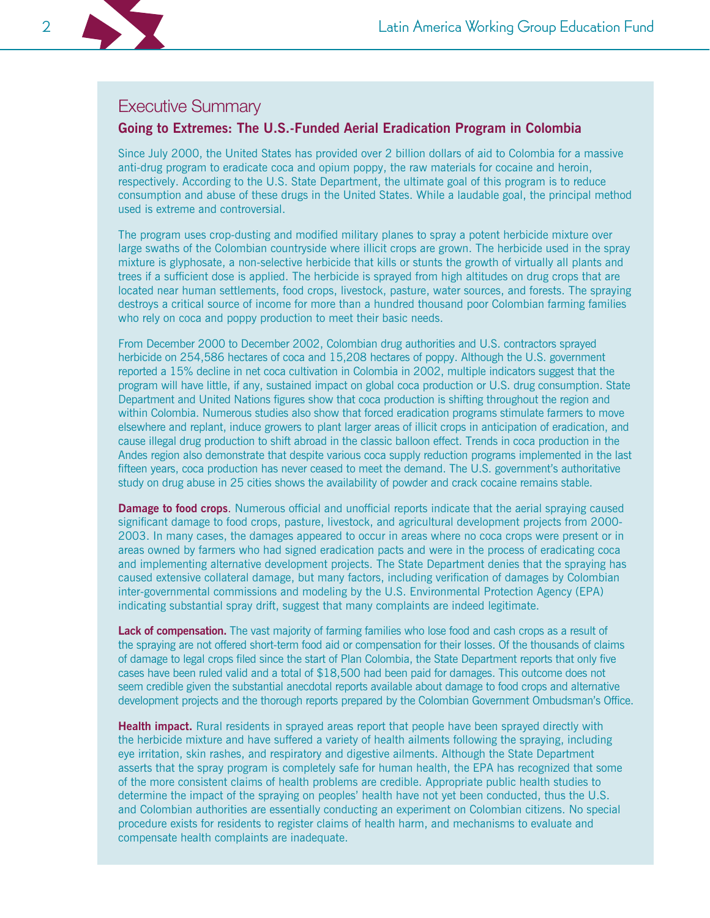

# **Executive Summary**

# Going to Extremes: The U.S.-Funded Aerial Eradication Program in Colombia

Since July 2000, the United States has provided over 2 billion dollars of aid to Colombia for a massive anti-drug program to eradicate coca and opium poppy, the raw materials for cocaine and heroin, respectively. According to the U.S. State Department, the ultimate goal of this program is to reduce consumption and abuse of these drugs in the United States. While a laudable goal, the principal method used is extreme and controversial.

The program uses crop-dusting and modified military planes to spray a potent herbicide mixture over large swaths of the Colombian countryside where illicit crops are grown. The herbicide used in the spray mixture is glyphosate, a non-selective herbicide that kills or stunts the growth of virtually all plants and trees if a sufficient dose is applied. The herbicide is sprayed from high altitudes on drug crops that are located near human settlements, food crops, livestock, pasture, water sources, and forests. The spraying destroys a critical source of income for more than a hundred thousand poor Colombian farming families who rely on coca and poppy production to meet their basic needs.

From December 2000 to December 2002, Colombian drug authorities and U.S. contractors sprayed herbicide on 254,586 hectares of coca and 15,208 hectares of poppy. Although the U.S. government reported a 15% decline in net coca cultivation in Colombia in 2002, multiple indicators suggest that the program will have little, if any, sustained impact on global coca production or U.S. drug consumption. State Department and United Nations figures show that coca production is shifting throughout the region and within Colombia. Numerous studies also show that forced eradication programs stimulate farmers to move elsewhere and replant, induce growers to plant larger areas of illicit crops in anticipation of eradication, and cause illegal drug production to shift abroad in the classic balloon effect. Trends in coca production in the Andes region also demonstrate that despite various coca supply reduction programs implemented in the last fifteen years, coca production has never ceased to meet the demand. The U.S. government's authoritative study on drug abuse in 25 cities shows the availability of powder and crack cocaine remains stable.

**Damage to food crops.** Numerous official and unofficial reports indicate that the aerial spraying caused significant damage to food crops, pasture, livestock, and agricultural development projects from 2000-2003. In many cases, the damages appeared to occur in areas where no coca crops were present or in areas owned by farmers who had signed eradication pacts and were in the process of eradicating coca and implementing alternative development projects. The State Department denies that the spraying has caused extensive collateral damage, but many factors, including verification of damages by Colombian inter-governmental commissions and modeling by the U.S. Environmental Protection Agency (EPA) indicating substantial spray drift, suggest that many complaints are indeed legitimate.

Lack of compensation. The vast majority of farming families who lose food and cash crops as a result of the spraying are not offered short-term food aid or compensation for their losses. Of the thousands of claims of damage to legal crops filed since the start of Plan Colombia, the State Department reports that only five cases have been ruled valid and a total of \$18,500 had been paid for damages. This outcome does not seem credible given the substantial anecdotal reports available about damage to food crops and alternative development projects and the thorough reports prepared by the Colombian Government Ombudsman's Office.

Health impact. Rural residents in sprayed areas report that people have been sprayed directly with the herbicide mixture and have suffered a variety of health ailments following the spraying, including eye irritation, skin rashes, and respiratory and digestive ailments. Although the State Department asserts that the spray program is completely safe for human health, the EPA has recognized that some of the more consistent claims of health problems are credible. Appropriate public health studies to determine the impact of the spraying on peoples' health have not yet been conducted, thus the U.S. and Colombian authorities are essentially conducting an experiment on Colombian citizens. No special procedure exists for residents to register claims of health harm, and mechanisms to evaluate and compensate health complaints are inadequate.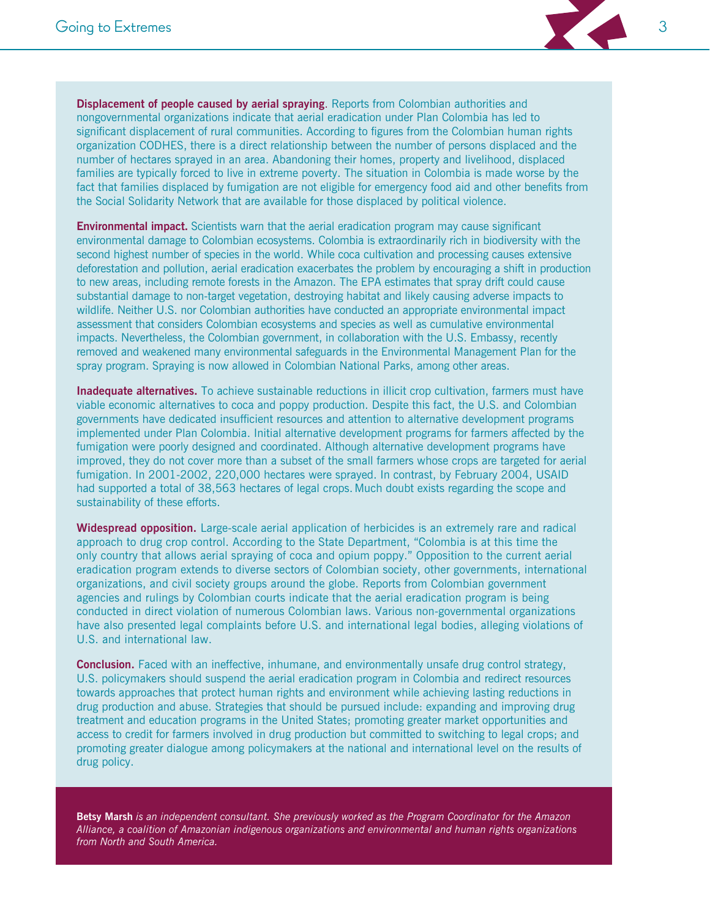

**Environmental impact.** Scientists warn that the aerial eradication program may cause significant environmental damage to Colombian ecosystems. Colombia is extraordinarily rich in biodiversity with the second highest number of species in the world. While coca cultivation and processing causes extensive deforestation and pollution, aerial eradication exacerbates the problem by encouraging a shift in production to new areas, including remote forests in the Amazon. The EPA estimates that spray drift could cause substantial damage to non-target vegetation, destroying habitat and likely causing adverse impacts to wildlife. Neither U.S. nor Colombian authorities have conducted an appropriate environmental impact assessment that considers Colombian ecosystems and species as well as cumulative environmental impacts. Nevertheless, the Colombian government, in collaboration with the U.S. Embassy, recently removed and weakened many environmental safeguards in the Environmental Management Plan for the spray program. Spraying is now allowed in Colombian National Parks, among other areas.

Inadequate alternatives. To achieve sustainable reductions in illicit crop cultivation, farmers must have viable economic alternatives to coca and poppy production. Despite this fact, the U.S. and Colombian governments have dedicated insufficient resources and attention to alternative development programs implemented under Plan Colombia. Initial alternative development programs for farmers affected by the fumigation were poorly designed and coordinated. Although alternative development programs have improved, they do not cover more than a subset of the small farmers whose crops are targeted for aerial fumigation. In 2001-2002, 220,000 hectares were sprayed. In contrast, by February 2004, USAID had supported a total of 38,563 hectares of legal crops. Much doubt exists regarding the scope and sustainability of these efforts.

Widespread opposition. Large-scale aerial application of herbicides is an extremely rare and radical approach to drug crop control. According to the State Department, "Colombia is at this time the only country that allows aerial spraying of coca and opium poppy." Opposition to the current aerial eradication program extends to diverse sectors of Colombian society, other governments, international organizations, and civil society groups around the globe. Reports from Colombian government agencies and rulings by Colombian courts indicate that the aerial eradication program is being conducted in direct violation of numerous Colombian laws. Various non-governmental organizations have also presented legal complaints before U.S. and international legal bodies, alleging violations of U.S. and international law.

**Conclusion.** Faced with an ineffective, inhumane, and environmentally unsafe drug control strategy, U.S. policymakers should suspend the aerial eradication program in Colombia and redirect resources towards approaches that protect human rights and environment while achieving lasting reductions in drug production and abuse. Strategies that should be pursued include: expanding and improving drug treatment and education programs in the United States; promoting greater market opportunities and access to credit for farmers involved in drug production but committed to switching to legal crops; and promoting greater dialogue among policymakers at the national and international level on the results of drug policy.

Betsy Marsh is an independent consultant. She previously worked as the Program Coordinator for the Amazon Alliance, a coalition of Amazonian indigenous organizations and environmental and human rights organizations from North and South America.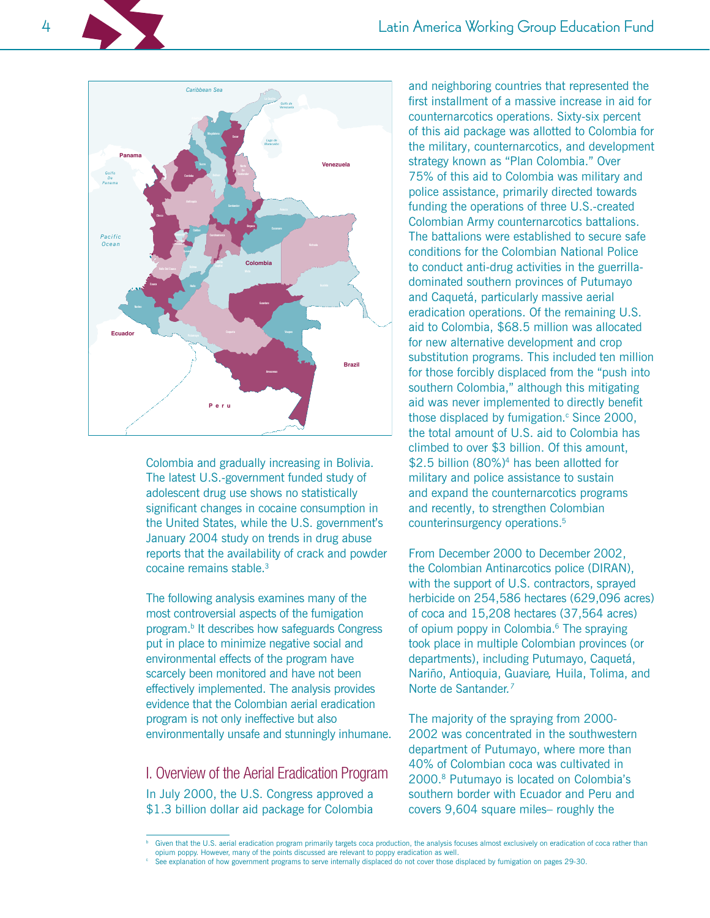4



Colombia and gradually increasing in Bolivia. The latest U.S.-government funded study of adolescent drug use shows no statistically significant changes in cocaine consumption in the United States, while the U.S. government's January 2004 study on trends in drug abuse reports that the availability of crack and powder cocaine remains stable.<sup>3</sup>

The following analysis examines many of the most controversial aspects of the fumigation program.<sup>b</sup> It describes how safeguards Congress put in place to minimize negative social and environmental effects of the program have scarcely been monitored and have not been effectively implemented. The analysis provides evidence that the Colombian aerial eradication program is not only ineffective but also environmentally unsafe and stunningly inhumane.

I. Overview of the Aerial Eradication Program In July 2000, the U.S. Congress approved a \$1.3 billion dollar aid package for Colombia

and neighboring countries that represented the first installment of a massive increase in aid for counternarcotics operations. Sixty-six percent of this aid package was allotted to Colombia for the military, counternarcotics, and development strategy known as "Plan Colombia." Over 75% of this aid to Colombia was military and police assistance, primarily directed towards funding the operations of three U.S.-created Colombian Army counternarcotics battalions. The battalions were established to secure safe conditions for the Colombian National Police to conduct anti-drug activities in the guerrilladominated southern provinces of Putumayo and Caquetá, particularly massive aerial eradication operations. Of the remaining U.S. aid to Colombia, \$68.5 million was allocated for new alternative development and crop substitution programs. This included ten million for those forcibly displaced from the "push into southern Colombia," although this mitigating aid was never implemented to directly benefit those displaced by fumigation.<sup>c</sup> Since 2000, the total amount of U.S. aid to Colombia has climbed to over \$3 billion. Of this amount. \$2.5 billion (80%)<sup>4</sup> has been allotted for military and police assistance to sustain and expand the counternarcotics programs and recently, to strengthen Colombian counterinsurgency operations.<sup>5</sup>

From December 2000 to December 2002, the Colombian Antinarcotics police (DIRAN), with the support of U.S. contractors, sprayed herbicide on 254,586 hectares (629,096 acres) of coca and 15,208 hectares (37,564 acres) of opium poppy in Colombia.<sup>6</sup> The spraying took place in multiple Colombian provinces (or departments), including Putumayo, Caquetá, Nariño, Antioquia, Guaviare, Huila, Tolima, and Norte de Santander.<sup>7</sup>

The majority of the spraying from 2000-2002 was concentrated in the southwestern department of Putumayo, where more than 40% of Colombian coca was cultivated in 2000.8 Putumayo is located on Colombia's southern border with Ecuador and Peru and covers 9,604 square miles- roughly the

Given that the U.S. aerial eradication program primarily targets coca production, the analysis focuses almost exclusively on eradication of coca rather than opium poppy. However, many of the points discussed are relevant to poppy eradication as well.

See explanation of how government programs to serve internally displaced do not cover those displaced by fumigation on pages 29-30.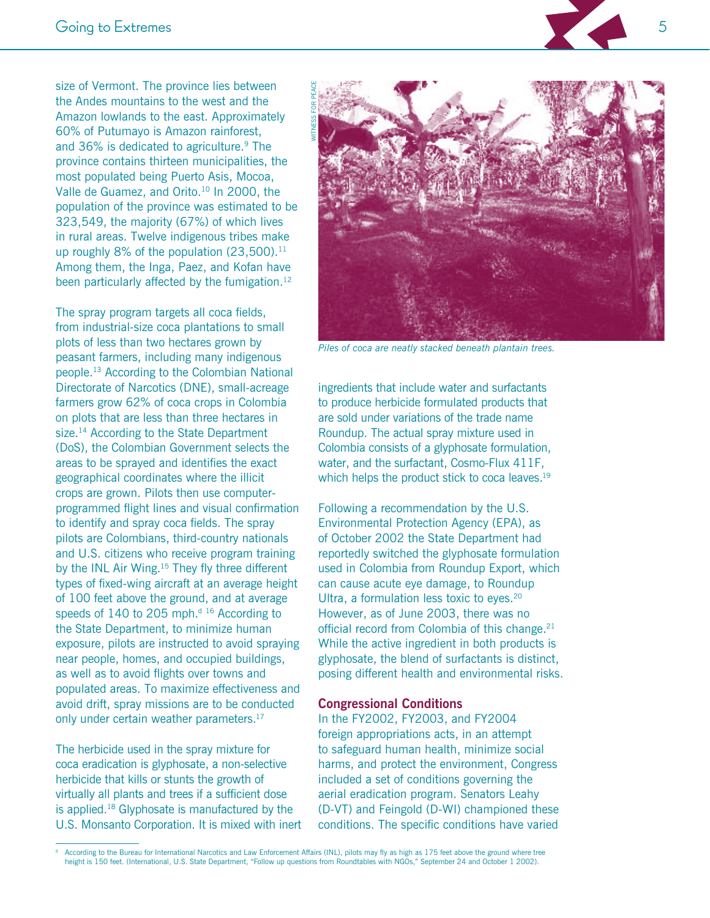5

size of Vermont. The province lies between the Andes mountains to the west and the Amazon lowlands to the east. Approximately 60% of Putumayo is Amazon rainforest, and 36% is dedicated to agriculture.<sup>9</sup> The province contains thirteen municipalities, the most populated being Puerto Asis, Mocoa, Valle de Guamez, and Orito.<sup>10</sup> In 2000, the population of the province was estimated to be 323,549, the majority (67%) of which lives in rural areas. Twelve indigenous tribes make up roughly  $8\%$  of the population  $(23,500).$ <sup>11</sup> Among them, the Inga, Paez, and Kofan have been particularly affected by the fumigation.<sup>12</sup>

The spray program targets all coca fields, from industrial-size coca plantations to small plots of less than two hectares grown by peasant farmers, including many indigenous people.<sup>13</sup> According to the Colombian National Directorate of Narcotics (DNE), small-acreage farmers grow 62% of coca crops in Colombia on plots that are less than three hectares in size.<sup>14</sup> According to the State Department (DoS), the Colombian Government selects the areas to be sprayed and identifies the exact geographical coordinates where the illicit crops are grown. Pilots then use computerprogrammed flight lines and visual confirmation to identify and spray coca fields. The spray pilots are Colombians, third-country nationals and U.S. citizens who receive program training by the INL Air Wing.<sup>15</sup> They fly three different types of fixed-wing aircraft at an average height of 100 feet above the ground, and at average speeds of 140 to 205 mph.<sup>d 16</sup> According to the State Department, to minimize human exposure, pilots are instructed to avoid spraying near people, homes, and occupied buildings, as well as to avoid flights over towns and populated areas. To maximize effectiveness and avoid drift, spray missions are to be conducted only under certain weather parameters.<sup>17</sup>

The herbicide used in the spray mixture for coca eradication is glyphosate, a non-selective herbicide that kills or stunts the growth of virtually all plants and trees if a sufficient dose is applied.<sup>18</sup> Glyphosate is manufactured by the U.S. Monsanto Corporation. It is mixed with inert



Piles of coca are neatly stacked beneath plantain trees.

ingredients that include water and surfactants to produce herbicide formulated products that are sold under variations of the trade name Roundup. The actual spray mixture used in Colombia consists of a glyphosate formulation, water, and the surfactant, Cosmo-Flux 411F, which helps the product stick to coca leaves.<sup>19</sup>

Following a recommendation by the U.S. Environmental Protection Agency (EPA), as of October 2002 the State Department had reportedly switched the glyphosate formulation used in Colombia from Roundup Export, which can cause acute eye damage, to Roundup Ultra, a formulation less toxic to eyes.<sup>20</sup> However, as of June 2003, there was no official record from Colombia of this change.<sup>21</sup> While the active ingredient in both products is glyphosate, the blend of surfactants is distinct, posing different health and environmental risks.

#### **Congressional Conditions**

In the FY2002, FY2003, and FY2004 foreign appropriations acts, in an attempt to safeguard human health, minimize social harms, and protect the environment, Congress included a set of conditions governing the aerial eradication program. Senators Leahy (D-VT) and Feingold (D-WI) championed these conditions. The specific conditions have varied

According to the Bureau for International Narcotics and Law Enforcement Affairs (INL), pilots may fly as high as 175 feet above the ground where tree height is 150 feet. (International, U.S. State Department, "Follow up questions from Roundtables with NGOs," September 24 and October 1 2002).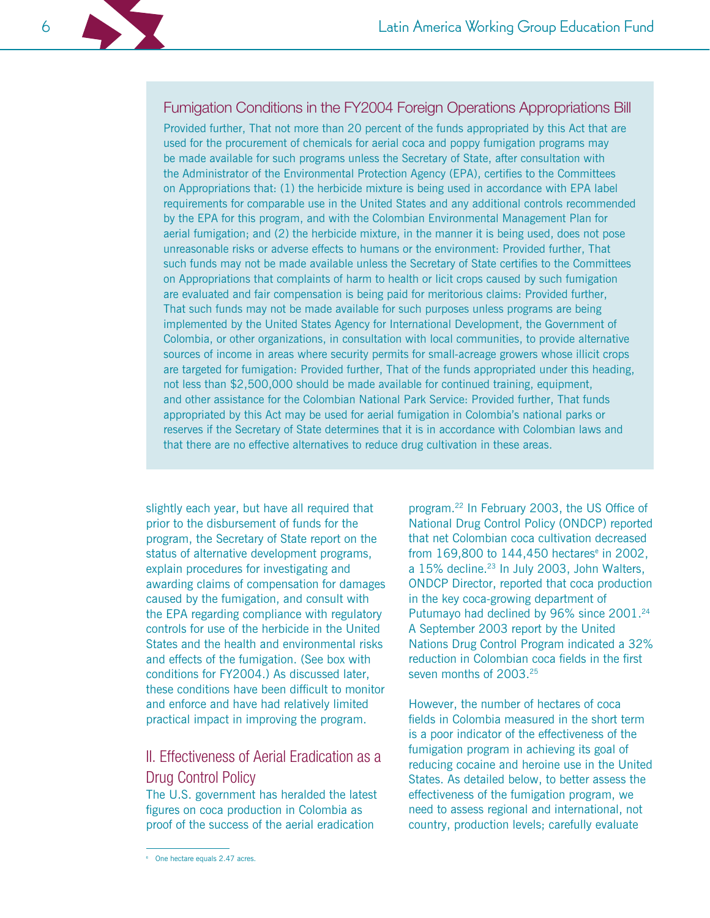# Fumigation Conditions in the FY2004 Foreign Operations Appropriations Bill

Provided further, That not more than 20 percent of the funds appropriated by this Act that are used for the procurement of chemicals for aerial coca and poppy fumigation programs may be made available for such programs unless the Secretary of State, after consultation with the Administrator of the Environmental Protection Agency (EPA), certifies to the Committees on Appropriations that: (1) the herbicide mixture is being used in accordance with EPA label requirements for comparable use in the United States and any additional controls recommended by the EPA for this program, and with the Colombian Environmental Management Plan for aerial fumigation; and (2) the herbicide mixture, in the manner it is being used, does not pose unreasonable risks or adverse effects to humans or the environment: Provided further, That such funds may not be made available unless the Secretary of State certifies to the Committees on Appropriations that complaints of harm to health or licit crops caused by such fumigation are evaluated and fair compensation is being paid for meritorious claims: Provided further, That such funds may not be made available for such purposes unless programs are being implemented by the United States Agency for International Development, the Government of Colombia, or other organizations, in consultation with local communities, to provide alternative sources of income in areas where security permits for small-acreage growers whose illicit crops are targeted for fumigation: Provided further, That of the funds appropriated under this heading, not less than \$2,500,000 should be made available for continued training, equipment, and other assistance for the Colombian National Park Service: Provided further, That funds appropriated by this Act may be used for aerial fumigation in Colombia's national parks or reserves if the Secretary of State determines that it is in accordance with Colombian laws and that there are no effective alternatives to reduce drug cultivation in these areas.

slightly each year, but have all required that prior to the disbursement of funds for the program, the Secretary of State report on the status of alternative development programs, explain procedures for investigating and awarding claims of compensation for damages caused by the fumigation, and consult with the EPA regarding compliance with regulatory controls for use of the herbicide in the United States and the health and environmental risks and effects of the fumigation. (See box with conditions for FY2004.) As discussed later, these conditions have been difficult to monitor and enforce and have had relatively limited practical impact in improving the program.

# II. Effectiveness of Aerial Eradication as a **Drug Control Policy**

The U.S. government has heralded the latest figures on coca production in Colombia as proof of the success of the aerial eradication

<sup>e</sup> One hectare equals 2.47 acres.

program.<sup>22</sup> In February 2003, the US Office of National Drug Control Policy (ONDCP) reported that net Colombian coca cultivation decreased from 169,800 to 144,450 hectares<sup>e</sup> in 2002, a 15% decline.<sup>23</sup> In July 2003, John Walters. ONDCP Director, reported that coca production in the key coca-growing department of Putumayo had declined by 96% since 2001.<sup>24</sup> A September 2003 report by the United Nations Drug Control Program indicated a 32% reduction in Colombian coca fields in the first seven months of 2003<sup>25</sup>

However, the number of hectares of coca fields in Colombia measured in the short term is a poor indicator of the effectiveness of the fumigation program in achieving its goal of reducing cocaine and heroine use in the United States. As detailed below, to better assess the effectiveness of the fumigation program, we need to assess regional and international, not country, production levels; carefully evaluate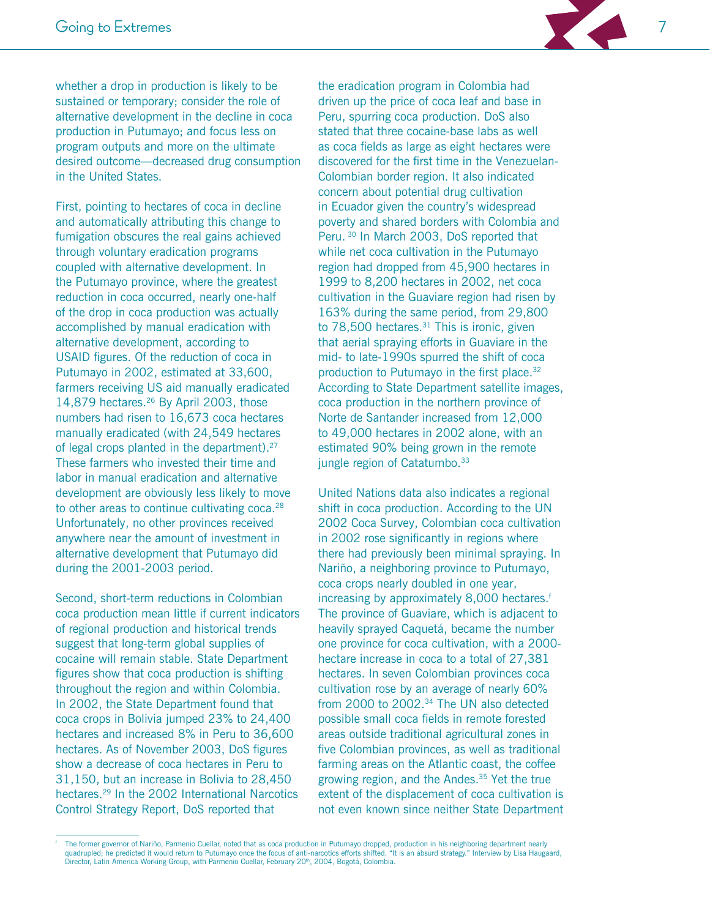

whether a drop in production is likely to be sustained or temporary; consider the role of alternative development in the decline in coca production in Putumayo; and focus less on program outputs and more on the ultimate desired outcome—decreased drug consumption in the United States.

First, pointing to hectares of coca in decline and automatically attributing this change to fumigation obscures the real gains achieved through voluntary eradication programs coupled with alternative development. In the Putumayo province, where the greatest reduction in coca occurred, nearly one-half of the drop in coca production was actually accomplished by manual eradication with alternative development, according to USAID figures. Of the reduction of coca in Putumayo in 2002, estimated at 33,600, farmers receiving US aid manually eradicated 14,879 hectares.<sup>26</sup> By April 2003, those numbers had risen to 16,673 coca hectares manually eradicated (with 24,549 hectares of legal crops planted in the department).<sup>27</sup> These farmers who invested their time and labor in manual eradication and alternative development are obviously less likely to move to other areas to continue cultivating coca.<sup>28</sup> Unfortunately, no other provinces received anywhere near the amount of investment in alternative development that Putumayo did during the 2001-2003 period.

Second, short-term reductions in Colombian coca production mean little if current indicators of regional production and historical trends suggest that long-term global supplies of cocaine will remain stable. State Department figures show that coca production is shifting throughout the region and within Colombia. In 2002, the State Department found that coca crops in Bolivia jumped 23% to 24,400 hectares and increased 8% in Peru to 36,600 hectares. As of November 2003, DoS figures show a decrease of coca hectares in Peru to 31,150, but an increase in Bolivia to 28,450 hectares.<sup>29</sup> In the 2002 International Narcotics Control Strategy Report, DoS reported that

the eradication program in Colombia had driven up the price of coca leaf and base in Peru, spurring coca production. DoS also stated that three cocaine-base labs as well as coca fields as large as eight hectares were discovered for the first time in the Venezuelan-Colombian border region. It also indicated concern about potential drug cultivation in Ecuador given the country's widespread poverty and shared borders with Colombia and Peru. 30 In March 2003, DoS reported that while net coca cultivation in the Putumayo region had dropped from 45,900 hectares in 1999 to 8,200 hectares in 2002, net coca cultivation in the Guaviare region had risen by 163% during the same period, from 29,800 to  $78,500$  hectares.<sup>31</sup> This is ironic, given that aerial spraying efforts in Guaviare in the mid- to late-1990s spurred the shift of coca production to Putumayo in the first place.<sup>32</sup> According to State Department satellite images, coca production in the northern province of Norte de Santander increased from 12,000 to 49,000 hectares in 2002 alone, with an estimated 90% being grown in the remote jungle region of Catatumbo.<sup>33</sup>

United Nations data also indicates a regional shift in coca production. According to the UN 2002 Coca Survey, Colombian coca cultivation in 2002 rose significantly in regions where there had previously been minimal spraying. In Nariño, a neighboring province to Putumayo, coca crops nearly doubled in one year, increasing by approximately 8,000 hectares.<sup>f</sup> The province of Guaviare, which is adjacent to heavily sprayed Caquetá, became the number one province for coca cultivation, with a 2000hectare increase in coca to a total of 27,381 hectares. In seven Colombian provinces coca cultivation rose by an average of nearly 60% from 2000 to 2002.<sup>34</sup> The UN also detected possible small coca fields in remote forested areas outside traditional agricultural zones in five Colombian provinces, as well as traditional farming areas on the Atlantic coast, the coffee growing region, and the Andes.<sup>35</sup> Yet the true extent of the displacement of coca cultivation is not even known since neither State Department

The former governor of Nariño, Parmenio Cuellar, noted that as coca production in Putumayo dropped, production in his neighboring department nearly quadrupled; he predicted it would return to Putumayo once the focus of anti-narcotics efforts shifted. "It is an absurd strategy." Interview by Lisa Haugaard, Director, Latin America Working Group, with Parmenio Cuellar, February 20th, 2004, Bogotá, Colombia.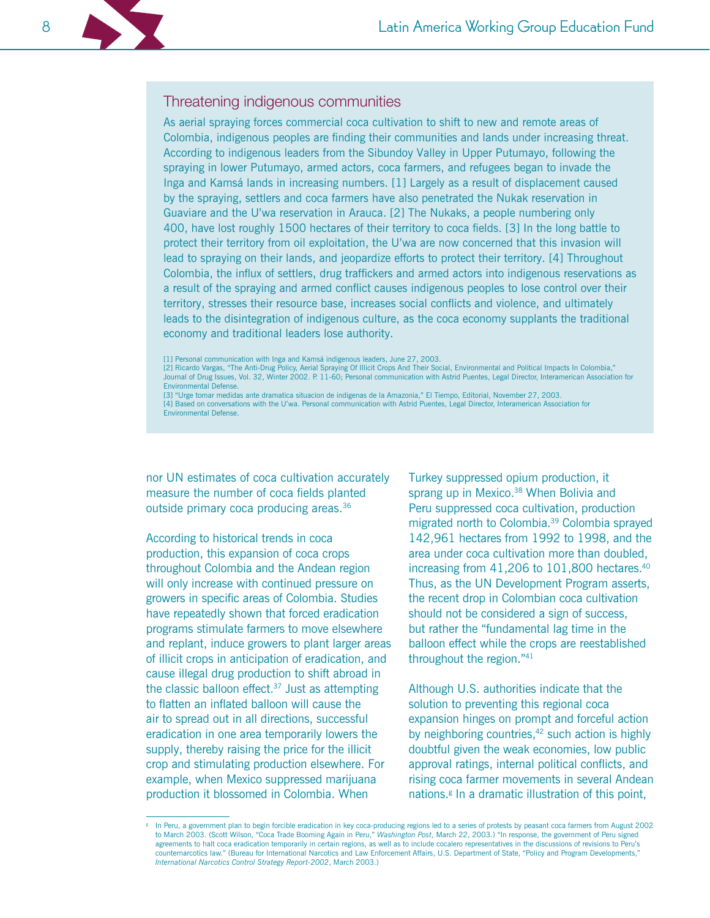# Threatening indigenous communities

As aerial spraying forces commercial coca cultivation to shift to new and remote areas of Colombia, indigenous peoples are finding their communities and lands under increasing threat. According to indigenous leaders from the Sibundoy Valley in Upper Putumayo, following the spraying in lower Putumayo, armed actors, coca farmers, and refugees began to invade the Inga and Kamsá lands in increasing numbers. [1] Largely as a result of displacement caused by the spraying, settlers and coca farmers have also penetrated the Nukak reservation in Guaviare and the U'wa reservation in Arauca. [2] The Nukaks, a people numbering only 400, have lost roughly 1500 hectares of their territory to coca fields. [3] In the long battle to protect their territory from oil exploitation, the U'wa are now concerned that this invasion will lead to spraying on their lands, and jeopardize efforts to protect their territory. [4] Throughout Colombia, the influx of settlers, drug traffickers and armed actors into indigenous reservations as a result of the spraying and armed conflict causes indigenous peoples to lose control over their territory, stresses their resource base, increases social conflicts and violence, and ultimately leads to the disintegration of indigenous culture, as the coca economy supplants the traditional economy and traditional leaders lose authority.

[1] Personal communication with Inga and Kamsá indigenous leaders, June 27, 2003.<br>[2] Ricardo Vargas, "The Anti-Drug Policy, Aerial Spraying Of Illicit Crops And Their Social, Environmental and Political Impacts In Colombi Journal of Drug Issues, Vol. 32, Winter 2002. P. 11-60; Personal communication with Astrid Puentes, Legal Director, Interamerican Association for Environmental Defense.

[3] "Urge tomar medidas ante dramatica situacion de indigenas de la Amazonia," El Tiempo, Editorial, November 27, 2003. [4] Based on conversations with the U'wa. Personal communication with Astrid Puentes, Legal Director, Interamerican Association for **Environmental Defense.** 

nor UN estimates of coca cultivation accurately measure the number of coca fields planted outside primary coca producing areas.<sup>36</sup>

According to historical trends in coca production, this expansion of coca crops throughout Colombia and the Andean region will only increase with continued pressure on growers in specific areas of Colombia. Studies have repeatedly shown that forced eradication programs stimulate farmers to move elsewhere and replant, induce growers to plant larger areas of illicit crops in anticipation of eradication, and cause illegal drug production to shift abroad in the classic balloon effect. $37$  Just as attempting to flatten an inflated balloon will cause the air to spread out in all directions, successful eradication in one area temporarily lowers the supply, thereby raising the price for the illicit crop and stimulating production elsewhere. For example, when Mexico suppressed marijuana production it blossomed in Colombia. When

Turkey suppressed opium production, it sprang up in Mexico.<sup>38</sup> When Bolivia and Peru suppressed coca cultivation, production migrated north to Colombia.<sup>39</sup> Colombia sprayed 142.961 hectares from 1992 to 1998, and the area under coca cultivation more than doubled, increasing from 41,206 to 101,800 hectares.<sup>40</sup> Thus, as the UN Development Program asserts, the recent drop in Colombian coca cultivation should not be considered a sign of success, but rather the "fundamental lag time in the balloon effect while the crops are reestablished throughout the region."41

Although U.S. authorities indicate that the solution to preventing this regional coca expansion hinges on prompt and forceful action by neighboring countries,<sup>42</sup> such action is highly doubtful given the weak economies, low public approval ratings, internal political conflicts, and rising coca farmer movements in several Andean nations.<sup>*ε*</sup> In a dramatic illustration of this point,

In Peru, a government plan to begin forcible eradication in key coca-producing regions led to a series of protests by peasant coca farmers from August 2002 to March 2003. (Scott Wilson, "Coca Trade Booming Again in Peru," Washington Post, March 22, 2003.) "In response, the government of Peru signed agreements to halt coca eradication temporarily in certain regions, as well as to include cocalero representatives in the discussions of revisions to Peru's counternarcotics law." (Bureau for International Narcotics and Law Enforcement Affairs, U.S. Department of State, "Policy and Program Developments," International Narcotics Control Strategy Report-2002, March 2003.)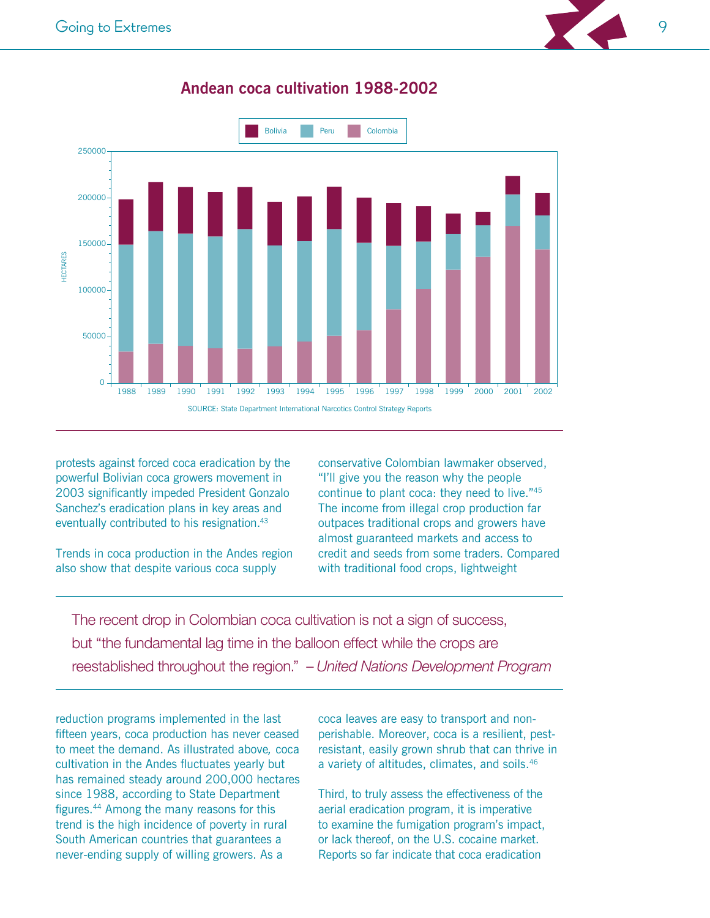

# Andean coca cultivation 1988-2002

protests against forced coca eradication by the powerful Bolivian coca growers movement in 2003 significantly impeded President Gonzalo Sanchez's eradication plans in key areas and eventually contributed to his resignation.<sup>43</sup>

Trends in coca production in the Andes region also show that despite various coca supply

conservative Colombian lawmaker observed, "I'll give you the reason why the people continue to plant coca: they need to live."45 The income from illegal crop production far outpaces traditional crops and growers have almost guaranteed markets and access to credit and seeds from some traders. Compared with traditional food crops, lightweight

The recent drop in Colombian coca cultivation is not a sign of success, but "the fundamental lag time in the balloon effect while the crops are reestablished throughout the region." - United Nations Development Program

reduction programs implemented in the last fifteen years, coca production has never ceased to meet the demand. As illustrated above, coca cultivation in the Andes fluctuates yearly but has remained steady around 200,000 hectares since 1988, according to State Department figures.<sup>44</sup> Among the many reasons for this trend is the high incidence of poverty in rural South American countries that guarantees a never-ending supply of willing growers. As a

coca leaves are easy to transport and nonperishable. Moreover, coca is a resilient, pestresistant, easily grown shrub that can thrive in a variety of altitudes, climates, and soils.<sup>46</sup>

Third, to truly assess the effectiveness of the aerial eradication program, it is imperative to examine the fumigation program's impact, or lack thereof, on the U.S. cocaine market. Reports so far indicate that coca eradication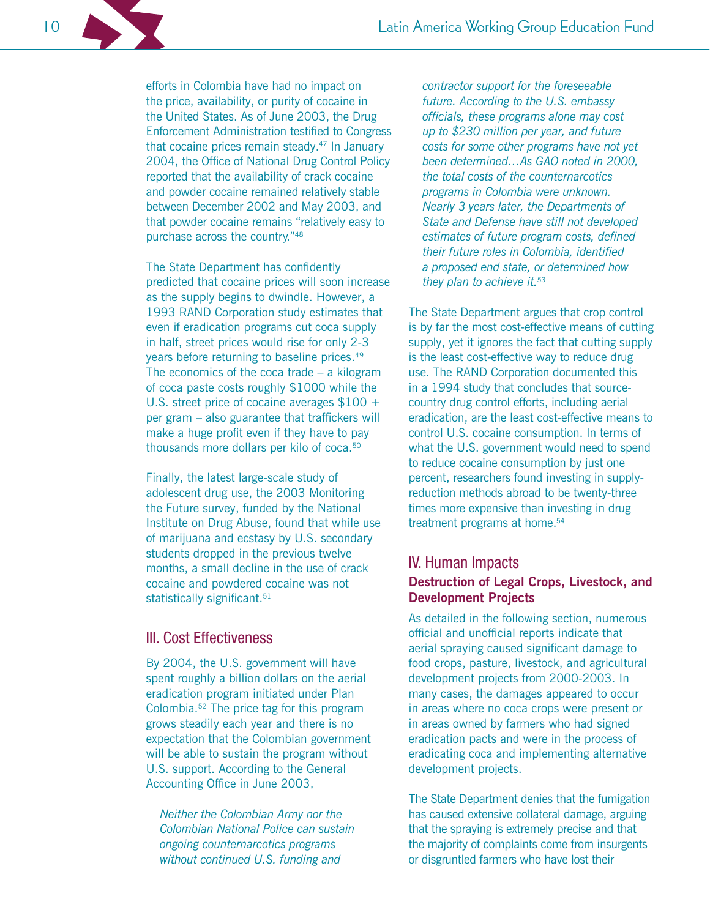efforts in Colombia have had no impact on the price, availability, or purity of cocaine in the United States. As of June 2003, the Drug **Enforcement Administration testified to Congress** that cocaine prices remain steady.<sup>47</sup> In January 2004, the Office of National Drug Control Policy reported that the availability of crack cocaine and powder cocaine remained relatively stable between December 2002 and May 2003, and that powder cocaine remains "relatively easy to purchase across the country."48

The State Department has confidently predicted that cocaine prices will soon increase as the supply begins to dwindle. However, a 1993 RAND Corporation study estimates that even if eradication programs cut coca supply in half, street prices would rise for only 2-3 years before returning to baseline prices.<sup>49</sup> The economics of the coca trade  $-$  a kilogram of coca paste costs roughly \$1000 while the U.S. street price of cocaine averages  $$100 +$ per gram - also guarantee that traffickers will make a huge profit even if they have to pay thousands more dollars per kilo of coca.<sup>50</sup>

Finally, the latest large-scale study of adolescent drug use, the 2003 Monitoring the Future survey, funded by the National Institute on Drug Abuse, found that while use of marijuana and ecstasy by U.S. secondary students dropped in the previous twelve months, a small decline in the use of crack cocaine and powdered cocaine was not statistically significant.<sup>51</sup>

# III. Cost Effectiveness

By 2004, the U.S. government will have spent roughly a billion dollars on the aerial eradication program initiated under Plan Colombia.<sup>52</sup> The price tag for this program grows steadily each year and there is no expectation that the Colombian government will be able to sustain the program without U.S. support. According to the General Accounting Office in June 2003,

Neither the Colombian Army nor the Colombian National Police can sustain ongoing counternarcotics programs without continued U.S. funding and

contractor support for the foreseeable future. According to the U.S. embassy officials, these programs alone may cost up to \$230 million per year, and future costs for some other programs have not yet been determined...As GAO noted in 2000. the total costs of the counternarcotics programs in Colombia were unknown. Nearly 3 years later, the Departments of State and Defense have still not developed estimates of future program costs, defined their future roles in Colombia, identified a proposed end state, or determined how they plan to achieve it.<sup>53</sup>

The State Department argues that crop control is by far the most cost-effective means of cutting supply, yet it ignores the fact that cutting supply is the least cost-effective way to reduce drug use. The RAND Corporation documented this in a 1994 study that concludes that sourcecountry drug control efforts, including aerial eradication, are the least cost-effective means to control U.S. cocaine consumption. In terms of what the U.S. government would need to spend to reduce cocaine consumption by just one percent, researchers found investing in supplyreduction methods abroad to be twenty-three times more expensive than investing in drug treatment programs at home.<sup>54</sup>

# **IV. Human Impacts**

# Destruction of Legal Crops, Livestock, and **Development Projects**

As detailed in the following section, numerous official and unofficial reports indicate that aerial spraying caused significant damage to food crops, pasture, livestock, and agricultural development projects from 2000-2003. In many cases, the damages appeared to occur in areas where no coca crops were present or in areas owned by farmers who had signed eradication pacts and were in the process of eradicating coca and implementing alternative development projects.

The State Department denies that the fumigation has caused extensive collateral damage, arguing that the spraying is extremely precise and that the majority of complaints come from insurgents or disgruntled farmers who have lost their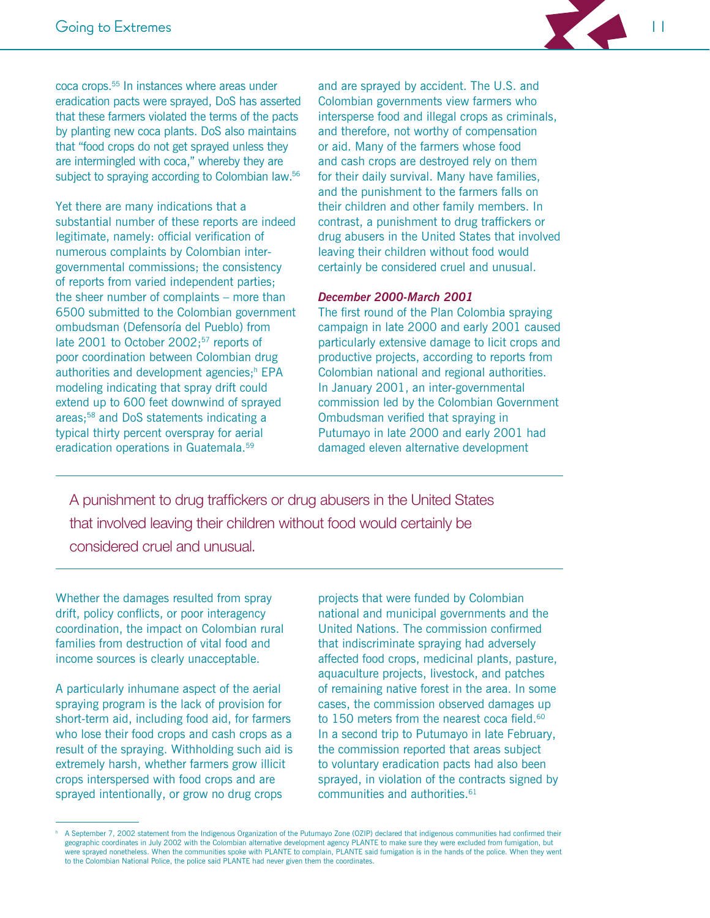

coca crops.<sup>55</sup> In instances where areas under eradication pacts were sprayed, DoS has asserted that these farmers violated the terms of the pacts by planting new coca plants. DoS also maintains that "food crops do not get sprayed unless they are intermingled with coca," whereby they are subject to spraying according to Colombian law.<sup>56</sup>

Yet there are many indications that a substantial number of these reports are indeed legitimate, namely: official verification of numerous complaints by Colombian intergovernmental commissions; the consistency of reports from varied independent parties; the sheer number of complaints – more than 6500 submitted to the Colombian government ombudsman (Defensoría del Pueblo) from late 2001 to October 2002;<sup>57</sup> reports of poor coordination between Colombian drug authorities and development agencies;<sup>h</sup> EPA modeling indicating that spray drift could extend up to 600 feet downwind of sprayed areas;<sup>58</sup> and DoS statements indicating a typical thirty percent overspray for aerial eradication operations in Guatemala.<sup>59</sup>

and are sprayed by accident. The U.S. and Colombian governments view farmers who intersperse food and illegal crops as criminals. and therefore, not worthy of compensation or aid. Many of the farmers whose food and cash crops are destroyed rely on them for their daily survival. Many have families, and the punishment to the farmers falls on their children and other family members. In contrast, a punishment to drug traffickers or drug abusers in the United States that involved leaving their children without food would certainly be considered cruel and unusual.

#### December 2000-March 2001

The first round of the Plan Colombia spraying campaign in late 2000 and early 2001 caused particularly extensive damage to licit crops and productive projects, according to reports from Colombian national and regional authorities. In January 2001, an inter-governmental commission led by the Colombian Government Ombudsman verified that spraying in Putumayo in late 2000 and early 2001 had damaged eleven alternative development

A punishment to drug traffickers or drug abusers in the United States that involved leaving their children without food would certainly be considered cruel and unusual.

Whether the damages resulted from spray drift, policy conflicts, or poor interagency coordination, the impact on Colombian rural families from destruction of vital food and income sources is clearly unacceptable.

A particularly inhumane aspect of the aerial spraying program is the lack of provision for short-term aid, including food aid, for farmers who lose their food crops and cash crops as a result of the spraying. Withholding such aid is extremely harsh, whether farmers grow illicit crops interspersed with food crops and are sprayed intentionally, or grow no drug crops

projects that were funded by Colombian national and municipal governments and the United Nations. The commission confirmed that indiscriminate spraying had adversely affected food crops, medicinal plants, pasture, aquaculture projects, livestock, and patches of remaining native forest in the area. In some cases, the commission observed damages up to 150 meters from the nearest coca field.<sup>60</sup> In a second trip to Putumayo in late February, the commission reported that areas subject to voluntary eradication pacts had also been sprayed, in violation of the contracts signed by communities and authorities.<sup>61</sup>

A September 7, 2002 statement from the Indigenous Organization of the Putumayo Zone (OZIP) declared that indigenous communities had confirmed their geographic coordinates in July 2002 with the Colombian alternative development agency PLANTE to make sure they were excluded from fumigation, but were sprayed nonetheless. When the communities spoke with PLANTE to complain, PLANTE said fumigation is in the hands of the police. When they went to the Colombian National Police, the police said PLANTE had never given them the coordinates.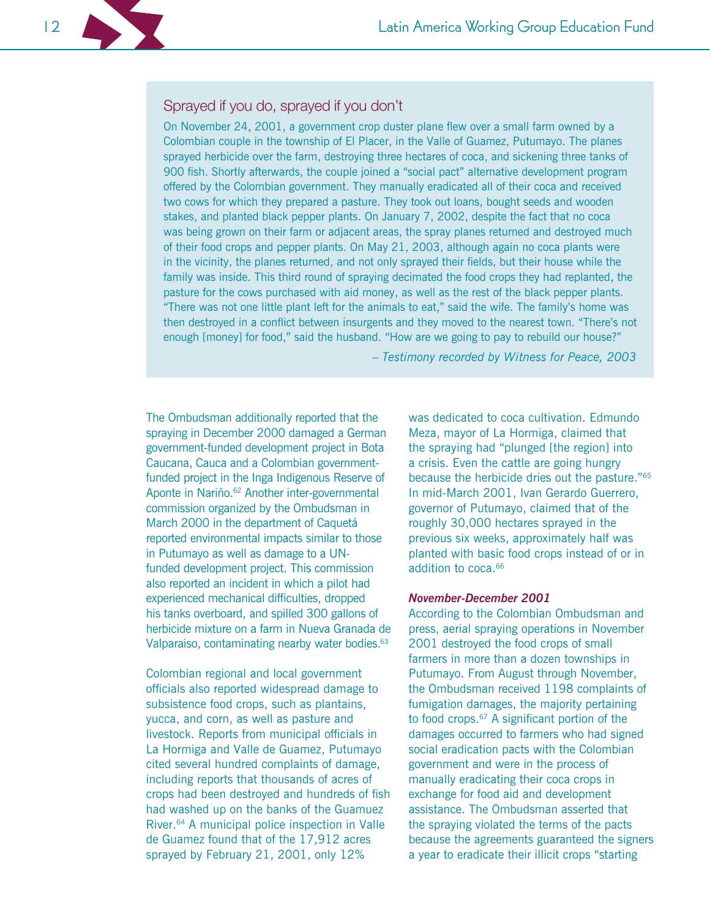# Sprayed if you do, sprayed if you don't

On November 24, 2001, a government crop duster plane flew over a small farm owned by a Colombian couple in the township of El Placer, in the Valle of Guamez, Putumayo. The planes sprayed herbicide over the farm, destroying three hectares of coca, and sickening three tanks of 900 fish. Shortly afterwards, the couple joined a "social pact" alternative development program offered by the Colombian government. They manually eradicated all of their coca and received two cows for which they prepared a pasture. They took out loans, bought seeds and wooden stakes, and planted black pepper plants. On January 7, 2002, despite the fact that no coca was being grown on their farm or adjacent areas, the spray planes returned and destroyed much of their food crops and pepper plants. On May 21, 2003, although again no coca plants were in the vicinity, the planes returned, and not only sprayed their fields, but their house while the family was inside. This third round of spraying decimated the food crops they had replanted, the pasture for the cows purchased with aid money, as well as the rest of the black pepper plants. "There was not one little plant left for the animals to eat," said the wife. The family's home was then destroyed in a conflict between insurgents and they moved to the nearest town. "There's not enough [money] for food," said the husband. "How are we going to pay to rebuild our house?"

- Testimony recorded by Witness for Peace, 2003

The Ombudsman additionally reported that the spraying in December 2000 damaged a German government-funded development project in Bota Caucana, Cauca and a Colombian governmentfunded project in the Inga Indigenous Reserve of Aponte in Nariño.<sup>62</sup> Another inter-governmental commission organized by the Ombudsman in March 2000 in the department of Caquetá reported environmental impacts similar to those in Putumayo as well as damage to a UNfunded development project. This commission also reported an incident in which a pilot had experienced mechanical difficulties, dropped his tanks overboard, and spilled 300 gallons of herbicide mixture on a farm in Nueva Granada de Valparaiso, contaminating nearby water bodies.<sup>63</sup>

Colombian regional and local government officials also reported widespread damage to subsistence food crops, such as plantains, yucca, and corn, as well as pasture and livestock. Reports from municipal officials in La Hormiga and Valle de Guamez, Putumayo cited several hundred complaints of damage, including reports that thousands of acres of crops had been destroyed and hundreds of fish had washed up on the banks of the Guamuez River.<sup>64</sup> A municipal police inspection in Valle de Guamez found that of the 17,912 acres sprayed by February 21, 2001, only 12%

was dedicated to coca cultivation. Edmundo Meza, mayor of La Hormiga, claimed that the spraying had "plunged [the region] into a crisis. Even the cattle are going hungry because the herbicide dries out the pasture."<sup>65</sup> In mid-March 2001, Ivan Gerardo Guerrero, governor of Putumayo, claimed that of the roughly 30,000 hectares sprayed in the previous six weeks, approximately half was planted with basic food crops instead of or in addition to coca.<sup>66</sup>

#### **November-December 2001**

According to the Colombian Ombudsman and press, aerial spraying operations in November 2001 destroyed the food crops of small farmers in more than a dozen townships in Putumayo. From August through November, the Ombudsman received 1198 complaints of fumigation damages, the majority pertaining to food crops.<sup>67</sup> A significant portion of the damages occurred to farmers who had signed social eradication pacts with the Colombian government and were in the process of manually eradicating their coca crops in exchange for food aid and development assistance. The Ombudsman asserted that the spraying violated the terms of the pacts because the agreements guaranteed the signers a year to eradicate their illicit crops "starting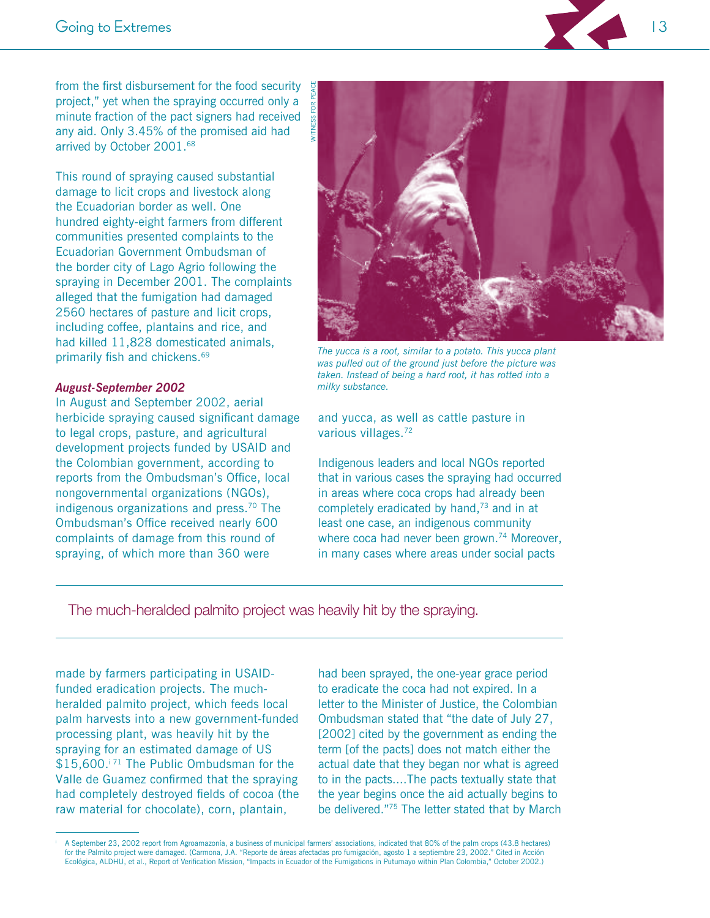from the first disbursement for the food security project," yet when the spraying occurred only a minute fraction of the pact signers had received any aid. Only 3.45% of the promised aid had arrived by October 2001.<sup>68</sup>

This round of spraying caused substantial damage to licit crops and livestock along the Ecuadorian border as well. One hundred eighty-eight farmers from different communities presented complaints to the Ecuadorian Government Ombudsman of the border city of Lago Agrio following the spraying in December 2001. The complaints alleged that the fumigation had damaged 2560 hectares of pasture and licit crops, including coffee, plantains and rice, and had killed 11,828 domesticated animals, primarily fish and chickens.<sup>69</sup>

#### **August-September 2002**

In August and September 2002, aerial herbicide spraying caused significant damage to legal crops, pasture, and agricultural development projects funded by USAID and the Colombian government, according to reports from the Ombudsman's Office, local nongovernmental organizations (NGOs), indigenous organizations and press. $70$  The Ombudsman's Office received nearly 600 complaints of damage from this round of spraying, of which more than 360 were



The yucca is a root, similar to a potato. This yucca plant was pulled out of the ground just before the picture was taken. Instead of being a hard root, it has rotted into a milky substance.

and yucca, as well as cattle pasture in various villages.<sup>72</sup>

Indigenous leaders and local NGOs reported that in various cases the spraying had occurred in areas where coca crops had already been completely eradicated by hand,<sup>73</sup> and in at least one case, an indigenous community where coca had never been grown.<sup>74</sup> Moreover, in many cases where areas under social pacts

The much-heralded palmito project was heavily hit by the spraying.

made by farmers participating in USAIDfunded eradication projects. The muchheralded palmito project, which feeds local palm harvests into a new government-funded processing plant, was heavily hit by the spraying for an estimated damage of US \$15,600.<sup>[71</sup> The Public Ombudsman for the Valle de Guamez confirmed that the spraying had completely destroyed fields of cocoa (the raw material for chocolate), corn, plantain,

had been sprayed, the one-year grace period to eradicate the coca had not expired. In a letter to the Minister of Justice, the Colombian Ombudsman stated that "the date of July 27, [2002] cited by the government as ending the term [of the pacts] does not match either the actual date that they began nor what is agreed to in the pacts....The pacts textually state that the year begins once the aid actually begins to be delivered."75 The letter stated that by March

A September 23, 2002 report from Agroamazonía, a business of municipal farmers' associations, indicated that 80% of the palm crops (43.8 hectares) for the Palmito project were damaged. (Carmona, J.A. "Reporte de áreas afectadas pro fumigación, agosto 1 a septiembre 23, 2002." Cited in Acción Ecológica, ALDHU, et al., Report of Verification Mission, "Impacts in Ecuado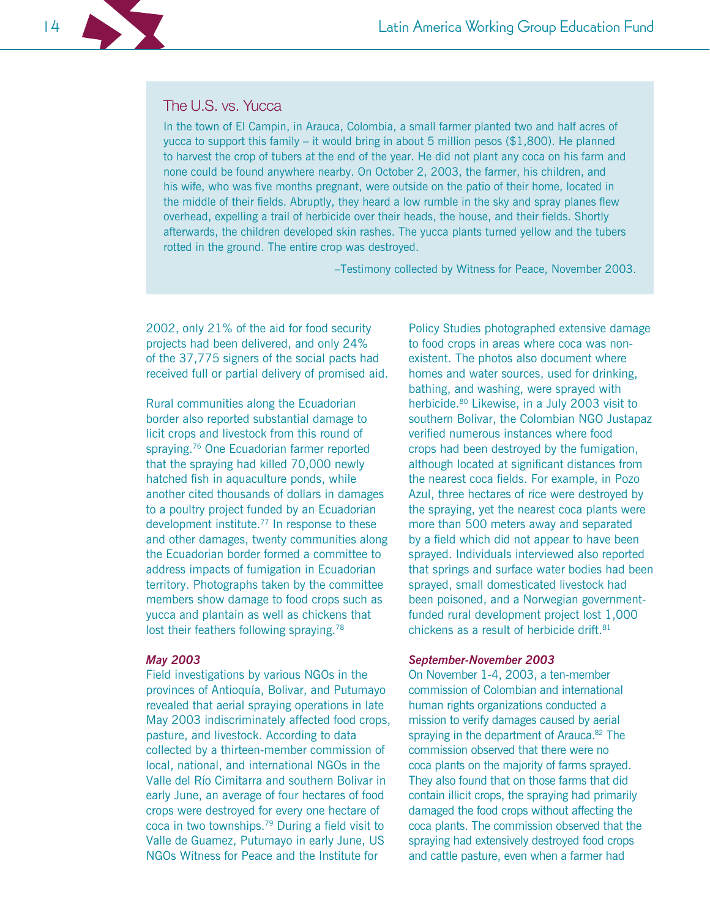# The U.S. vs. Yucca

In the town of El Campin, in Arauca, Colombia, a small farmer planted two and half acres of yucca to support this family – it would bring in about 5 million pesos  $(\$1,800)$ . He planned to harvest the crop of tubers at the end of the year. He did not plant any coca on his farm and none could be found anywhere nearby. On October 2, 2003, the farmer, his children, and his wife, who was five months pregnant, were outside on the patio of their home, located in the middle of their fields. Abruptly, they heard a low rumble in the sky and spray planes flew overhead, expelling a trail of herbicide over their heads, the house, and their fields. Shortly afterwards, the children developed skin rashes. The yucca plants turned yellow and the tubers rotted in the ground. The entire crop was destroyed.

-Testimony collected by Witness for Peace, November 2003.

2002, only 21% of the aid for food security projects had been delivered, and only 24% of the 37,775 signers of the social pacts had received full or partial delivery of promised aid.

Rural communities along the Ecuadorian border also reported substantial damage to licit crops and livestock from this round of spraying.<sup>76</sup> One Ecuadorian farmer reported that the spraying had killed 70,000 newly hatched fish in aquaculture ponds, while another cited thousands of dollars in damages to a poultry project funded by an Ecuadorian development institute.<sup>77</sup> In response to these and other damages, twenty communities along the Ecuadorian border formed a committee to address impacts of fumigation in Ecuadorian territory. Photographs taken by the committee members show damage to food crops such as vucca and plantain as well as chickens that lost their feathers following spraying.<sup>78</sup>

#### **May 2003**

Field investigations by various NGOs in the provinces of Antioquía, Bolivar, and Putumayo revealed that aerial spraying operations in late May 2003 indiscriminately affected food crops, pasture, and livestock. According to data collected by a thirteen-member commission of local, national, and international NGOs in the Valle del Río Cimitarra and southern Bolivar in early June, an average of four hectares of food crops were destroyed for every one hectare of coca in two townships.<sup>79</sup> During a field visit to Valle de Guamez, Putumayo in early June, US NGOs Witness for Peace and the Institute for

Policy Studies photographed extensive damage to food crops in areas where coca was nonexistent. The photos also document where homes and water sources, used for drinking. bathing, and washing, were sprayed with herbicide.<sup>80</sup> Likewise, in a July 2003 visit to southern Bolivar, the Colombian NGO Justapaz verified numerous instances where food crops had been destroyed by the fumigation, although located at significant distances from the nearest coca fields. For example, in Pozo Azul, three hectares of rice were destroyed by the spraying, yet the nearest coca plants were more than 500 meters away and separated by a field which did not appear to have been sprayed. Individuals interviewed also reported that springs and surface water bodies had been sprayed, small domesticated livestock had been poisoned, and a Norwegian governmentfunded rural development project lost 1,000 chickens as a result of herbicide drift.<sup>81</sup>

#### **September-November 2003**

On November 1-4, 2003, a ten-member commission of Colombian and international human rights organizations conducted a mission to verify damages caused by aerial spraying in the department of Arauca.<sup>82</sup> The commission observed that there were no coca plants on the majority of farms sprayed. They also found that on those farms that did contain illicit crops, the spraying had primarily damaged the food crops without affecting the coca plants. The commission observed that the spraying had extensively destroyed food crops and cattle pasture, even when a farmer had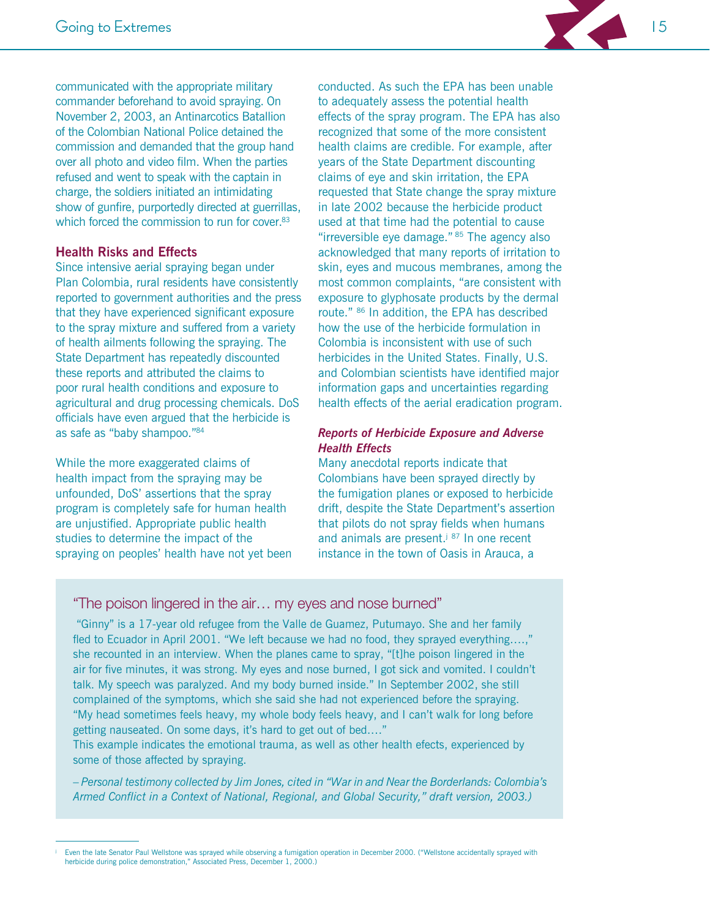

communicated with the appropriate military commander beforehand to avoid spraying. On November 2, 2003, an Antinarcotics Batallion of the Colombian National Police detained the commission and demanded that the group hand over all photo and video film. When the parties refused and went to speak with the captain in charge, the soldiers initiated an intimidating show of gunfire, purportedly directed at guerrillas, which forced the commission to run for cover.<sup>83</sup>

#### **Health Risks and Effects**

Since intensive aerial spraying began under Plan Colombia, rural residents have consistently reported to government authorities and the press that they have experienced significant exposure to the spray mixture and suffered from a variety of health ailments following the spraying. The State Department has repeatedly discounted these reports and attributed the claims to poor rural health conditions and exposure to agricultural and drug processing chemicals. DoS officials have even argued that the herbicide is as safe as "baby shampoo."84

While the more exaggerated claims of health impact from the spraying may be unfounded, DoS' assertions that the spray program is completely safe for human health are unjustified. Appropriate public health studies to determine the impact of the spraying on peoples' health have not yet been

conducted. As such the FPA has been unable to adequately assess the potential health effects of the spray program. The EPA has also recognized that some of the more consistent health claims are credible. For example, after years of the State Department discounting claims of eye and skin irritation, the EPA requested that State change the spray mixture in late 2002 because the herbicide product used at that time had the potential to cause "irreversible eye damage." 85 The agency also acknowledged that many reports of irritation to skin, eyes and mucous membranes, among the most common complaints, "are consistent with exposure to glyphosate products by the dermal route." <sup>86</sup> In addition, the EPA has described how the use of the herbicide formulation in Colombia is inconsistent with use of such herbicides in the United States. Finally, U.S. and Colombian scientists have identified major information gaps and uncertainties regarding health effects of the aerial eradication program.

# **Reports of Herbicide Exposure and Adverse Health Effects**

Many anecdotal reports indicate that Colombians have been sprayed directly by the fumigation planes or exposed to herbicide drift, despite the State Department's assertion that pilots do not spray fields when humans and animals are present.<sup>j 87</sup> In one recent instance in the town of Oasis in Arauca, a

"The poison lingered in the air... my eyes and nose burned"

"Ginny" is a 17-year old refugee from the Valle de Guamez, Putumayo. She and her family fled to Ecuador in April 2001. "We left because we had no food, they sprayed everything....," she recounted in an interview. When the planes came to spray, "[t]he poison lingered in the air for five minutes, it was strong. My eyes and nose burned, I got sick and vomited. I couldn't talk. My speech was paralyzed. And my body burned inside." In September 2002, she still complained of the symptoms, which she said she had not experienced before the spraying. "My head sometimes feels heavy, my whole body feels heavy, and I can't walk for long before getting nauseated. On some days, it's hard to get out of bed...."

This example indicates the emotional trauma, as well as other health efects, experienced by some of those affected by spraying.

- Personal testimony collected by Jim Jones, cited in "War in and Near the Borderlands: Colombia's Armed Conflict in a Context of National, Regional, and Global Security," draft version, 2003.)

Even the late Senator Paul Wellstone was sprayed while observing a fumigation operation in December 2000. ("Wellstone accidentally sprayed with herbicide during police demonstration," Associated Press, December 1, 2000.)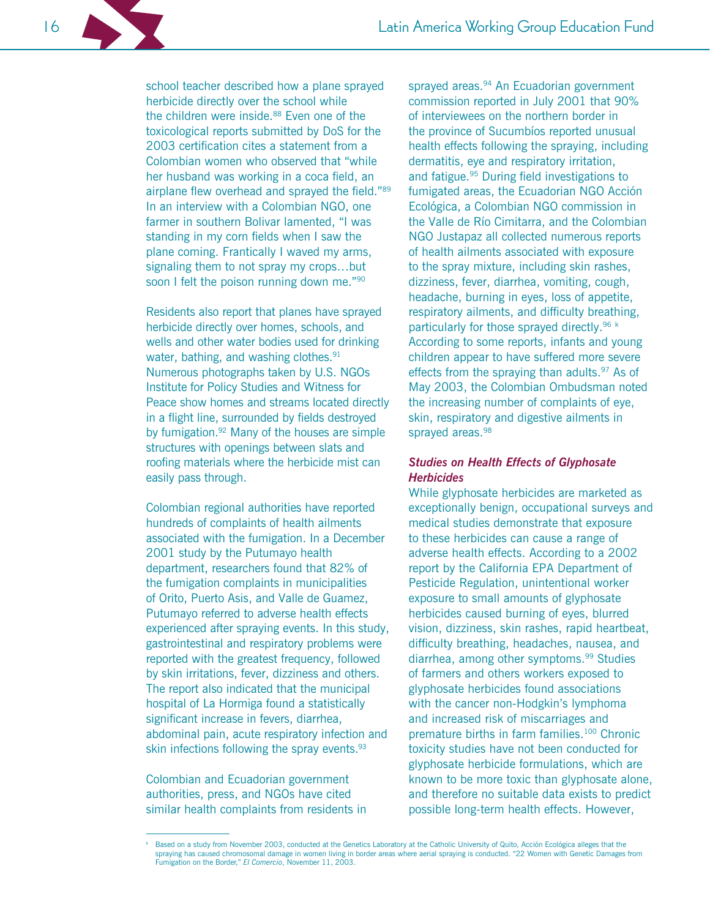school teacher described how a plane sprayed herbicide directly over the school while the children were inside.<sup>88</sup> Even one of the toxicological reports submitted by DoS for the 2003 certification cites a statement from a Colombian women who observed that "while" her husband was working in a coca field, an airplane flew overhead and sprayed the field."89 In an interview with a Colombian NGO, one farmer in southern Bolivar lamented, "I was standing in my corn fields when I saw the plane coming. Frantically I waved my arms, signaling them to not spray my crops...but soon I felt the poison running down me."<sup>90</sup>

Residents also report that planes have sprayed herbicide directly over homes, schools, and wells and other water bodies used for drinking water, bathing, and washing clothes.<sup>91</sup> Numerous photographs taken by U.S. NGOs Institute for Policy Studies and Witness for Peace show homes and streams located directly in a flight line, surrounded by fields destroyed by fumigation.<sup>92</sup> Many of the houses are simple structures with openings between slats and roofing materials where the herbicide mist can easily pass through.

Colombian regional authorities have reported hundreds of complaints of health ailments associated with the fumigation. In a December 2001 study by the Putumayo health department, researchers found that 82% of the fumigation complaints in municipalities of Orito, Puerto Asis, and Valle de Guamez, Putumayo referred to adverse health effects experienced after spraying events. In this study, gastrointestinal and respiratory problems were reported with the greatest frequency, followed by skin irritations, fever, dizziness and others. The report also indicated that the municipal hospital of La Hormiga found a statistically significant increase in fevers, diarrhea, abdominal pain, acute respiratory infection and skin infections following the spray events.<sup>93</sup>

Colombian and Ecuadorian government authorities, press, and NGOs have cited similar health complaints from residents in sprayed areas.<sup>94</sup> An Ecuadorian government commission reported in July 2001 that 90% of interviewees on the northern border in the province of Sucumbios reported unusual health effects following the spraying, including dermatitis, eye and respiratory irritation, and fatigue.<sup>95</sup> During field investigations to fumigated areas, the Ecuadorian NGO Acción Ecológica, a Colombian NGO commission in the Valle de Río Cimitarra, and the Colombian NGO Justapaz all collected numerous reports of health ailments associated with exposure to the spray mixture, including skin rashes, dizziness, fever, diarrhea, vomiting, cough, headache, burning in eyes, loss of appetite, respiratory ailments, and difficulty breathing, particularly for those sprayed directly.<sup>96 k</sup> According to some reports, infants and young children appear to have suffered more severe effects from the spraying than adults.<sup>97</sup> As of May 2003, the Colombian Ombudsman noted the increasing number of complaints of eye, skin, respiratory and digestive ailments in sprayed areas.<sup>98</sup>

#### **Studies on Health Effects of Glyphosate Herbicides**

While glyphosate herbicides are marketed as exceptionally benign, occupational surveys and medical studies demonstrate that exposure to these herbicides can cause a range of adverse health effects. According to a 2002 report by the California EPA Department of Pesticide Regulation, unintentional worker exposure to small amounts of glyphosate herbicides caused burning of eyes, blurred vision, dizziness, skin rashes, rapid heartbeat, difficulty breathing, headaches, nausea, and diarrhea, among other symptoms.<sup>99</sup> Studies of farmers and others workers exposed to glyphosate herbicides found associations with the cancer non-Hodgkin's lymphoma and increased risk of miscarriages and premature births in farm families.<sup>100</sup> Chronic toxicity studies have not been conducted for glyphosate herbicide formulations, which are known to be more toxic than glyphosate alone, and therefore no suitable data exists to predict possible long-term health effects. However,

Based on a study from November 2003, conducted at the Genetics Laboratory at the Catholic University of Quito, Acción Ecológica alleges that the spraying has caused chromosomal damage in women living in border areas where aerial spraying is conducted. "22 Women with Genetic Damages from Fumigation on the Border," El Comercio, November 11, 2003.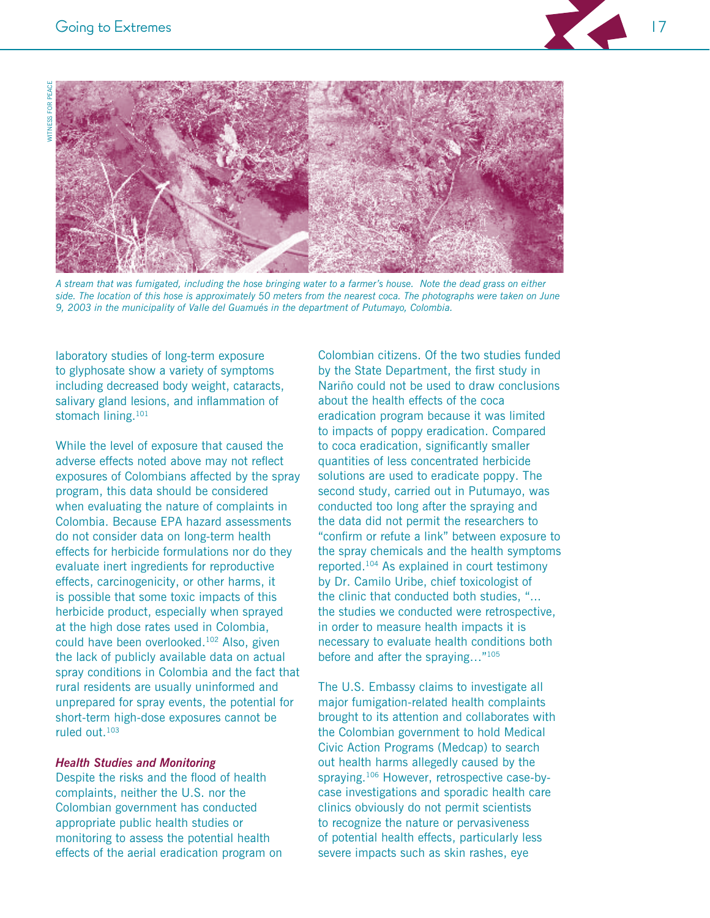



A stream that was fumigated, including the hose bringing water to a farmer's house. Note the dead grass on either side. The location of this hose is approximately 50 meters from the nearest coca. The photographs were taken on June 9, 2003 in the municipality of Valle del Guamués in the department of Putumayo, Colombia.

laboratory studies of long-term exposure to glyphosate show a variety of symptoms including decreased body weight, cataracts, salivary gland lesions, and inflammation of stomach lining.<sup>101</sup>

While the level of exposure that caused the adverse effects noted above may not reflect exposures of Colombians affected by the spray program, this data should be considered when evaluating the nature of complaints in Colombia. Because EPA hazard assessments do not consider data on long-term health effects for herbicide formulations nor do they evaluate inert ingredients for reproductive effects, carcinogenicity, or other harms, it is possible that some toxic impacts of this herbicide product, especially when sprayed at the high dose rates used in Colombia, could have been overlooked.<sup>102</sup> Also, given the lack of publicly available data on actual spray conditions in Colombia and the fact that rural residents are usually uninformed and unprepared for spray events, the potential for short-term high-dose exposures cannot be ruled out  $103$ 

#### **Health Studies and Monitoring**

Despite the risks and the flood of health complaints, neither the U.S. nor the Colombian government has conducted appropriate public health studies or monitoring to assess the potential health effects of the aerial eradication program on

Colombian citizens. Of the two studies funded by the State Department, the first study in Nariño could not be used to draw conclusions about the health effects of the coca eradication program because it was limited to impacts of poppy eradication. Compared to coca eradication, significantly smaller quantities of less concentrated herbicide solutions are used to eradicate poppy. The second study, carried out in Putumayo, was conducted too long after the spraying and the data did not permit the researchers to "confirm or refute a link" between exposure to the spray chemicals and the health symptoms reported.<sup>104</sup> As explained in court testimony by Dr. Camilo Uribe, chief toxicologist of the clinic that conducted both studies, "... the studies we conducted were retrospective, in order to measure health impacts it is necessary to evaluate health conditions both before and after the spraying..."105

The U.S. Embassy claims to investigate all major fumigation-related health complaints brought to its attention and collaborates with the Colombian government to hold Medical Civic Action Programs (Medcap) to search out health harms allegedly caused by the spraying.<sup>106</sup> However, retrospective case-bycase investigations and sporadic health care clinics obviously do not permit scientists to recognize the nature or pervasiveness of potential health effects, particularly less severe impacts such as skin rashes, eye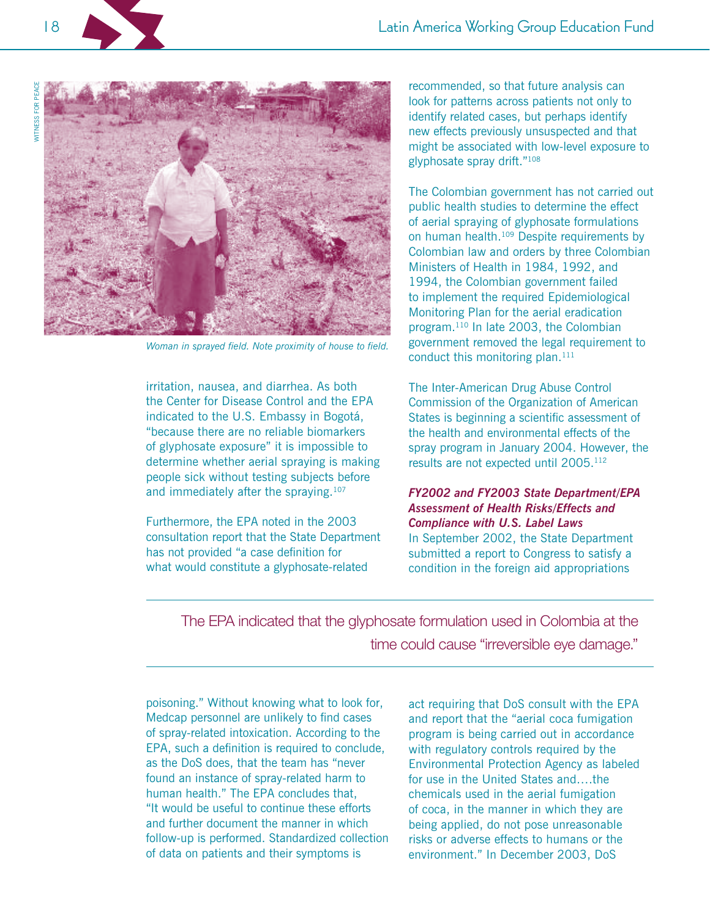

Woman in sprayed field. Note proximity of house to field.

irritation, nausea, and diarrhea. As both the Center for Disease Control and the EPA indicated to the U.S. Embassy in Bogotá, "because there are no reliable biomarkers of glyphosate exposure" it is impossible to determine whether aerial spraying is making people sick without testing subjects before and immediately after the spraying.<sup>107</sup>

Furthermore, the EPA noted in the 2003 consultation report that the State Department has not provided "a case definition for what would constitute a glyphosate-related

recommended, so that future analysis can look for patterns across patients not only to identify related cases, but perhaps identify new effects previously unsuspected and that might be associated with low-level exposure to glyphosate spray drift."108

The Colombian government has not carried out public health studies to determine the effect of aerial spraying of glyphosate formulations on human health.<sup>109</sup> Despite requirements by Colombian law and orders by three Colombian Ministers of Health in 1984, 1992, and 1994, the Colombian government failed to implement the required Epidemiological Monitoring Plan for the aerial eradication program.<sup>110</sup> In late 2003, the Colombian government removed the legal requirement to conduct this monitoring plan.<sup>111</sup>

The Inter-American Drug Abuse Control Commission of the Organization of American States is beginning a scientific assessment of the health and environmental effects of the spray program in January 2004. However, the results are not expected until 2005.<sup>112</sup>

FY2002 and FY2003 State Department/EPA **Assessment of Health Risks/Effects and Compliance with U.S. Label Laws** In September 2002, the State Department submitted a report to Congress to satisfy a condition in the foreign aid appropriations

The EPA indicated that the glyphosate formulation used in Colombia at the time could cause "irreversible eve damage."

poisoning." Without knowing what to look for, Medcap personnel are unlikely to find cases of spray-related intoxication. According to the EPA, such a definition is required to conclude, as the DoS does, that the team has "never found an instance of spray-related harm to human health." The EPA concludes that. "It would be useful to continue these efforts and further document the manner in which follow-up is performed. Standardized collection of data on patients and their symptoms is

act requiring that DoS consult with the EPA and report that the "aerial coca fumigation program is being carried out in accordance with regulatory controls required by the Environmental Protection Agency as labeled for use in the United States and....the chemicals used in the aerial fumigation of coca, in the manner in which they are being applied, do not pose unreasonable risks or adverse effects to humans or the environment." In December 2003, DoS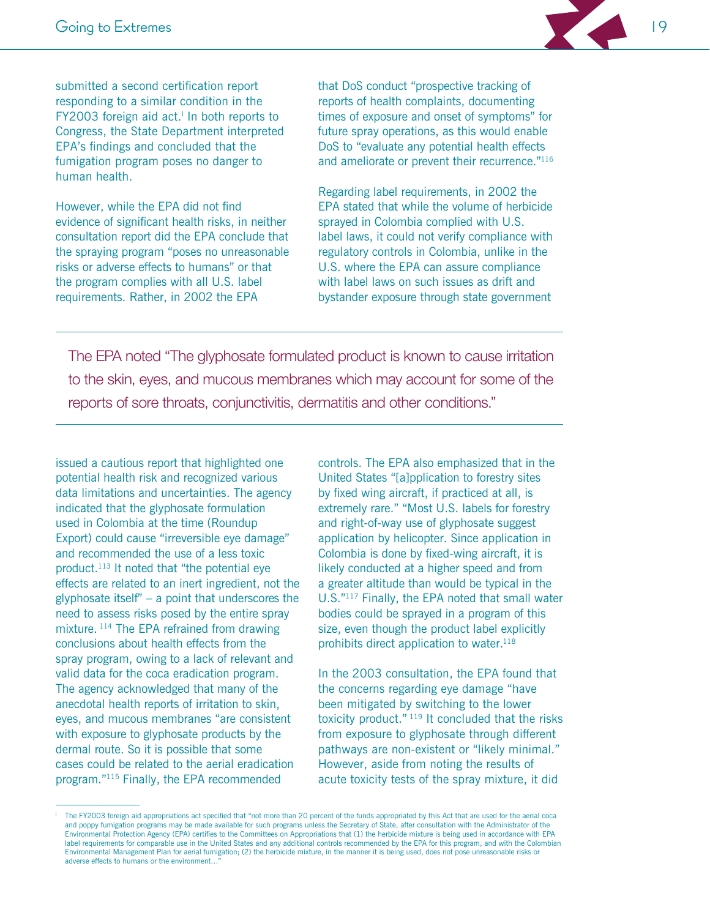

submitted a second certification report responding to a similar condition in the FY2003 foreign aid act.<sup>1</sup> In both reports to Congress, the State Department interpreted EPA's findings and concluded that the fumigation program poses no danger to human health.

However, while the EPA did not find evidence of significant health risks, in neither consultation report did the EPA conclude that the spraying program "poses no unreasonable risks or adverse effects to humans" or that the program complies with all U.S. label requirements. Rather, in 2002 the EPA

that DoS conduct "prospective tracking of reports of health complaints, documenting times of exposure and onset of symptoms" for future spray operations, as this would enable DoS to "evaluate any potential health effects and ameliorate or prevent their recurrence."116

Regarding label requirements, in 2002 the EPA stated that while the volume of herbicide sprayed in Colombia complied with U.S. label laws, it could not verify compliance with regulatory controls in Colombia, unlike in the U.S. where the EPA can assure compliance with label laws on such issues as drift and bystander exposure through state government

The EPA noted "The glyphosate formulated product is known to cause irritation to the skin, eyes, and mucous membranes which may account for some of the reports of sore throats, conjunctivitis, dermatitis and other conditions."

issued a cautious report that highlighted one potential health risk and recognized various data limitations and uncertainties. The agency indicated that the glyphosate formulation used in Colombia at the time (Roundup Export) could cause "irreversible eye damage" and recommended the use of a less toxic product.<sup>113</sup> It noted that "the potential eye effects are related to an inert ingredient, not the glyphosate itself"  $-$  a point that underscores the need to assess risks posed by the entire spray mixture.<sup>114</sup> The EPA refrained from drawing conclusions about health effects from the spray program, owing to a lack of relevant and valid data for the coca eradication program. The agency acknowledged that many of the anecdotal health reports of irritation to skin. eyes, and mucous membranes "are consistent with exposure to glyphosate products by the dermal route. So it is possible that some cases could be related to the aerial eradication program."<sup>115</sup> Finally, the EPA recommended

controls. The EPA also emphasized that in the United States "[a]pplication to forestry sites by fixed wing aircraft, if practiced at all, is extremely rare." "Most U.S. labels for forestry and right-of-way use of glyphosate suggest application by helicopter. Since application in Colombia is done by fixed-wing aircraft, it is likely conducted at a higher speed and from a greater altitude than would be typical in the U.S."<sup>117</sup> Finally, the EPA noted that small water bodies could be sprayed in a program of this size, even though the product label explicitly prohibits direct application to water.<sup>118</sup>

In the 2003 consultation, the EPA found that the concerns regarding eye damage "have been mitigated by switching to the lower toxicity product." 119 It concluded that the risks from exposure to glyphosate through different pathways are non-existent or "likely minimal." However, aside from noting the results of acute toxicity tests of the spray mixture, it did

The FY2003 foreign aid appropriations act specified that "not more than 20 percent of the funds appropriated by this Act that are used for the aerial coca and poppy fumigation programs may be made available for such programs unless the Secretary of State, after consultation with the Administrator of the Environmental Protection Agency (EPA) certifies to the Committees on Appropriations that (1) the herbicide mixture is being used in accordance with EPA label requirements for comparable use in the United States and any additional controls recommended by the EPA for this program, and with the Colombian Environmental Management Plan for aerial fumigation; (2) the herbicide mixture, in the manner it is being used, does not pose unreasonable risks or adverse effects to humans or the environment...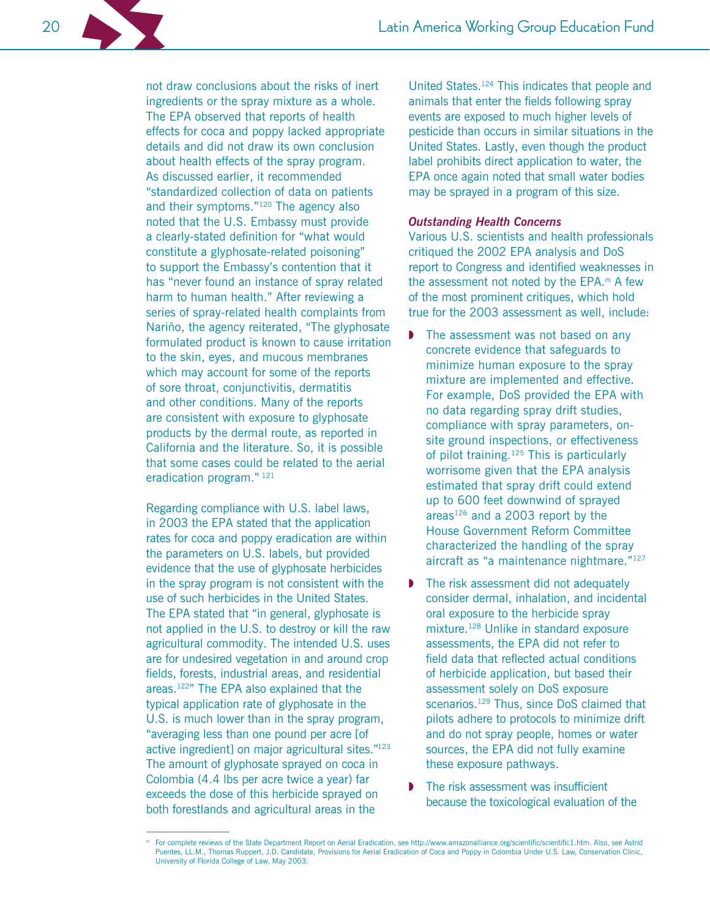not draw conclusions about the risks of inert ingredients or the spray mixture as a whole. The EPA observed that reports of health effects for coca and poppy lacked appropriate details and did not draw its own conclusion about health effects of the spray program. As discussed earlier, it recommended "standardized collection of data on patients and their symptoms."<sup>120</sup> The agency also noted that the U.S. Embassy must provide a clearly-stated definition for "what would constitute a glyphosate-related poisoning" to support the Embassy's contention that it has "never found an instance of spray related harm to human health." After reviewing a series of spray-related health complaints from Nariño, the agency reiterated, "The glyphosate" formulated product is known to cause irritation to the skin, eyes, and mucous membranes which may account for some of the reports of sore throat, conjunctivitis, dermatitis and other conditions. Many of the reports are consistent with exposure to glyphosate products by the dermal route, as reported in California and the literature. So, it is possible that some cases could be related to the aerial eradication program." 121

Regarding compliance with U.S. label laws, in 2003 the EPA stated that the application rates for coca and poppy eradication are within the parameters on U.S. labels, but provided evidence that the use of glyphosate herbicides in the spray program is not consistent with the use of such herbicides in the United States. The EPA stated that "in general, glyphosate is not applied in the U.S. to destroy or kill the raw agricultural commodity. The intended U.S. uses are for undesired vegetation in and around crop fields, forests, industrial areas, and residential areas.<sup>122</sup>" The EPA also explained that the typical application rate of glyphosate in the U.S. is much lower than in the spray program, "averaging less than one pound per acre [of active ingredient] on major agricultural sites."123 The amount of glyphosate sprayed on coca in Colombia (4.4 lbs per acre twice a year) far exceeds the dose of this herbicide sprayed on both forestlands and agricultural areas in the

United States.<sup>124</sup> This indicates that people and animals that enter the fields following spray events are exposed to much higher levels of pesticide than occurs in similar situations in the United States. Lastly, even though the product label prohibits direct application to water, the EPA once again noted that small water bodies may be sprayed in a program of this size.

#### **Outstanding Health Concerns**

Various U.S. scientists and health professionals critiqued the 2002 EPA analysis and DoS report to Congress and identified weaknesses in the assessment not noted by the  $EPA.^m$  A few of the most prominent critiques, which hold true for the 2003 assessment as well, include:

- The assessment was not based on any concrete evidence that safeguards to minimize human exposure to the spray mixture are implemented and effective. For example, DoS provided the EPA with no data regarding spray drift studies, compliance with spray parameters, onsite ground inspections, or effectiveness of pilot training.<sup>125</sup> This is particularly worrisome given that the EPA analysis estimated that spray drift could extend up to 600 feet downwind of sprayed areas<sup>126</sup> and a 2003 report by the House Government Reform Committee characterized the handling of the spray aircraft as "a maintenance nightmare."127
- The risk assessment did not adequately  $\mathbf{D}$ consider dermal, inhalation, and incidental oral exposure to the herbicide spray mixture.<sup>128</sup> Unlike in standard exposure assessments, the EPA did not refer to field data that reflected actual conditions of herbicide application, but based their assessment solely on DoS exposure scenarios.<sup>129</sup> Thus, since DoS claimed that pilots adhere to protocols to minimize drift and do not spray people, homes or water sources, the EPA did not fully examine these exposure pathways.
- The risk assessment was insufficient because the toxicological evaluation of the

For complete reviews of the State Department Report on Aerial Eradication, see http://www.amazonalliance.org/scientific/scientific1.htm. Also, see Astrid Puentes, LL.M., Thomas Ruppert, J.D. Candidate, Provisions for Aerial Eradication of Coca and Poppy in Colombia Under U.S. Law, Conservation Clinic, University of Florida College of Law, May 2003.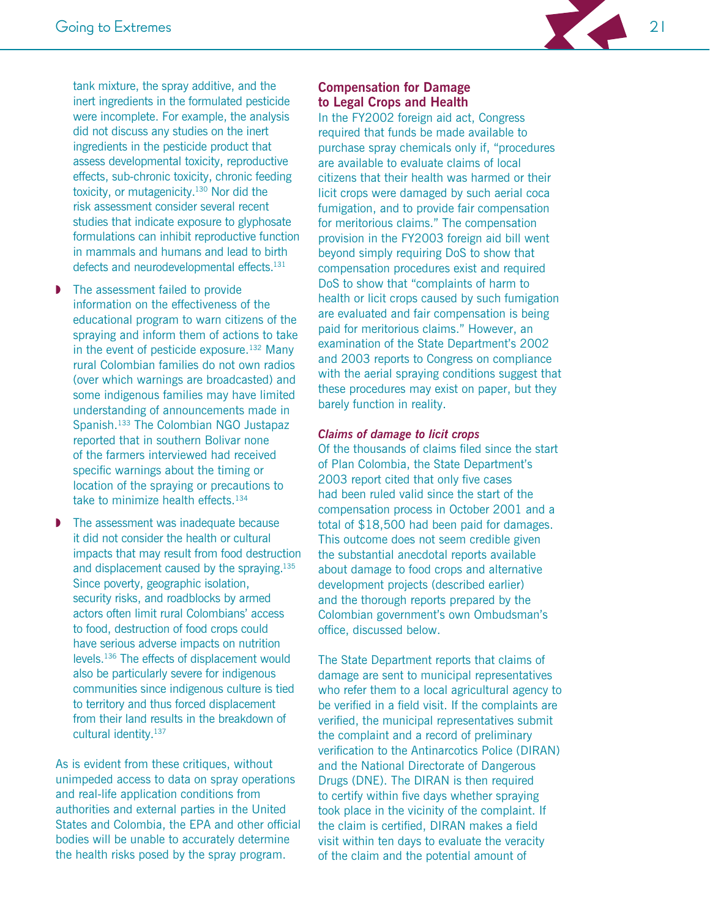

tank mixture, the spray additive, and the inert ingredients in the formulated pesticide were incomplete. For example, the analysis did not discuss any studies on the inert ingredients in the pesticide product that assess developmental toxicity, reproductive effects, sub-chronic toxicity, chronic feeding toxicity, or mutagenicity.<sup>130</sup> Nor did the risk assessment consider several recent studies that indicate exposure to glyphosate formulations can inhibit reproductive function in mammals and humans and lead to birth defects and neurodevelopmental effects.<sup>131</sup>

- The assessment failed to provide information on the effectiveness of the educational program to warn citizens of the spraying and inform them of actions to take in the event of pesticide exposure.  $132$  Many rural Colombian families do not own radios (over which warnings are broadcasted) and some indigenous families may have limited understanding of announcements made in Spanish.<sup>133</sup> The Colombian NGO Justapaz reported that in southern Bolivar none of the farmers interviewed had received specific warnings about the timing or location of the spraying or precautions to take to minimize health effects.<sup>134</sup>
- The assessment was inadequate because it did not consider the health or cultural impacts that may result from food destruction and displacement caused by the spraying.<sup>135</sup> Since poverty, geographic isolation, security risks, and roadblocks by armed actors often limit rural Colombians' access to food, destruction of food crops could have serious adverse impacts on nutrition levels.<sup>136</sup> The effects of displacement would also be particularly severe for indigenous communities since indigenous culture is tied to territory and thus forced displacement from their land results in the breakdown of cultural identity.<sup>137</sup>

As is evident from these critiques, without unimpeded access to data on spray operations and real-life application conditions from authorities and external parties in the United States and Colombia, the EPA and other official bodies will be unable to accurately determine the health risks posed by the spray program.

#### **Compensation for Damage** to Legal Crops and Health

In the FY2002 foreign aid act, Congress required that funds be made available to purchase spray chemicals only if, "procedures are available to evaluate claims of local citizens that their health was harmed or their licit crops were damaged by such aerial coca fumigation, and to provide fair compensation for meritorious claims." The compensation provision in the FY2003 foreign aid bill went beyond simply requiring DoS to show that compensation procedures exist and required DoS to show that "complaints of harm to health or licit crops caused by such fumigation are evaluated and fair compensation is being paid for meritorious claims." However, an examination of the State Department's 2002 and 2003 reports to Congress on compliance with the aerial spraying conditions suggest that these procedures may exist on paper, but they barely function in reality.

#### **Claims of damage to licit crops**

Of the thousands of claims filed since the start of Plan Colombia, the State Department's 2003 report cited that only five cases had been ruled valid since the start of the compensation process in October 2001 and a total of \$18,500 had been paid for damages. This outcome does not seem credible given the substantial anecdotal reports available about damage to food crops and alternative development projects (described earlier) and the thorough reports prepared by the Colombian government's own Ombudsman's office, discussed below.

The State Department reports that claims of damage are sent to municipal representatives who refer them to a local agricultural agency to be verified in a field visit. If the complaints are verified, the municipal representatives submit the complaint and a record of preliminary verification to the Antinarcotics Police (DIRAN) and the National Directorate of Dangerous Drugs (DNE). The DIRAN is then required to certify within five days whether spraying took place in the vicinity of the complaint. If the claim is certified. DIRAN makes a field visit within ten days to evaluate the veracity of the claim and the potential amount of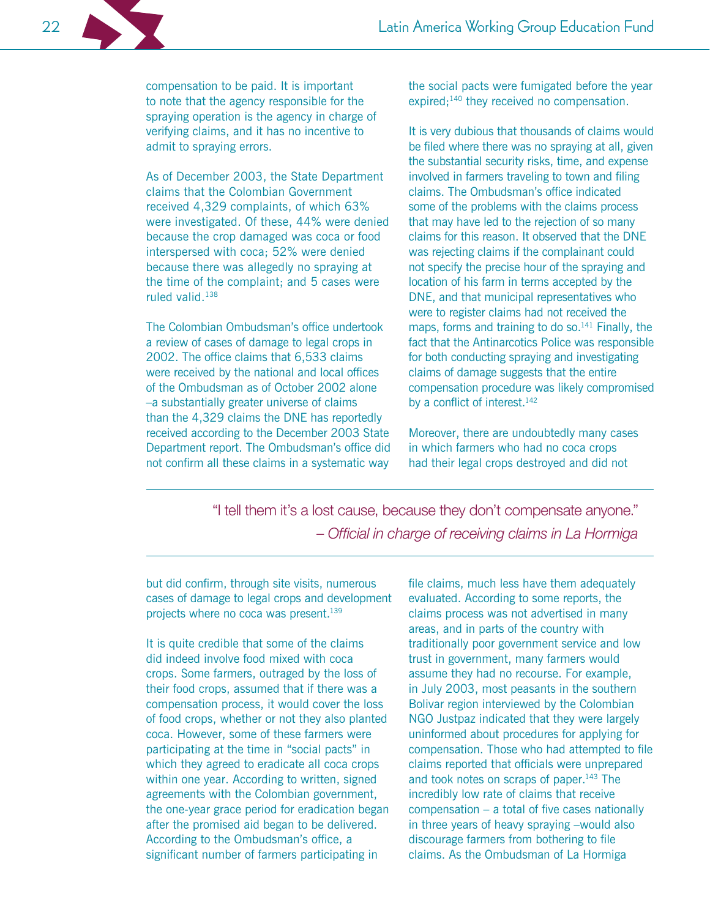compensation to be paid. It is important to note that the agency responsible for the spraying operation is the agency in charge of verifying claims, and it has no incentive to admit to spraying errors.

As of December 2003, the State Department claims that the Colombian Government received 4,329 complaints, of which 63% were investigated. Of these, 44% were denied because the crop damaged was coca or food interspersed with coca; 52% were denied because there was allegedly no spraying at the time of the complaint; and 5 cases were ruled valid.<sup>138</sup>

The Colombian Ombudsman's office undertook a review of cases of damage to legal crops in 2002. The office claims that 6,533 claims were received by the national and local offices of the Ombudsman as of October 2002 alone -a substantially greater universe of claims than the 4,329 claims the DNE has reportedly received according to the December 2003 State Department report. The Ombudsman's office did not confirm all these claims in a systematic way

the social pacts were fumigated before the year expired;<sup>140</sup> they received no compensation.

It is very dubious that thousands of claims would be filed where there was no spraying at all, given the substantial security risks, time, and expense involved in farmers traveling to town and filing claims. The Ombudsman's office indicated some of the problems with the claims process that may have led to the rejection of so many claims for this reason. It observed that the DNE was rejecting claims if the complainant could not specify the precise hour of the spraying and location of his farm in terms accepted by the DNE, and that municipal representatives who were to register claims had not received the maps, forms and training to do so.<sup>141</sup> Finally, the fact that the Antinarcotics Police was responsible for both conducting spraying and investigating claims of damage suggests that the entire compensation procedure was likely compromised by a conflict of interest.<sup>142</sup>

Moreover, there are undoubtedly many cases in which farmers who had no coca crops had their legal crops destroyed and did not

"I tell them it's a lost cause, because they don't compensate anyone." - Official in charge of receiving claims in La Hormiga

but did confirm, through site visits, numerous cases of damage to legal crops and development projects where no coca was present.<sup>139</sup>

It is quite credible that some of the claims did indeed involve food mixed with coca crops. Some farmers, outraged by the loss of their food crops, assumed that if there was a compensation process, it would cover the loss of food crops, whether or not they also planted coca. However, some of these farmers were participating at the time in "social pacts" in which they agreed to eradicate all coca crops within one year. According to written, signed agreements with the Colombian government, the one-year grace period for eradication began after the promised aid began to be delivered. According to the Ombudsman's office, a significant number of farmers participating in

file claims, much less have them adequately evaluated. According to some reports, the claims process was not advertised in many areas, and in parts of the country with traditionally poor government service and low trust in government, many farmers would assume they had no recourse. For example, in July 2003, most peasants in the southern Bolivar region interviewed by the Colombian NGO Justpaz indicated that they were largely uninformed about procedures for applying for compensation. Those who had attempted to file claims reported that officials were unprepared and took notes on scraps of paper.<sup>143</sup> The incredibly low rate of claims that receive compensation - a total of five cases nationally in three years of heavy spraying -would also discourage farmers from bothering to file claims. As the Ombudsman of La Hormiga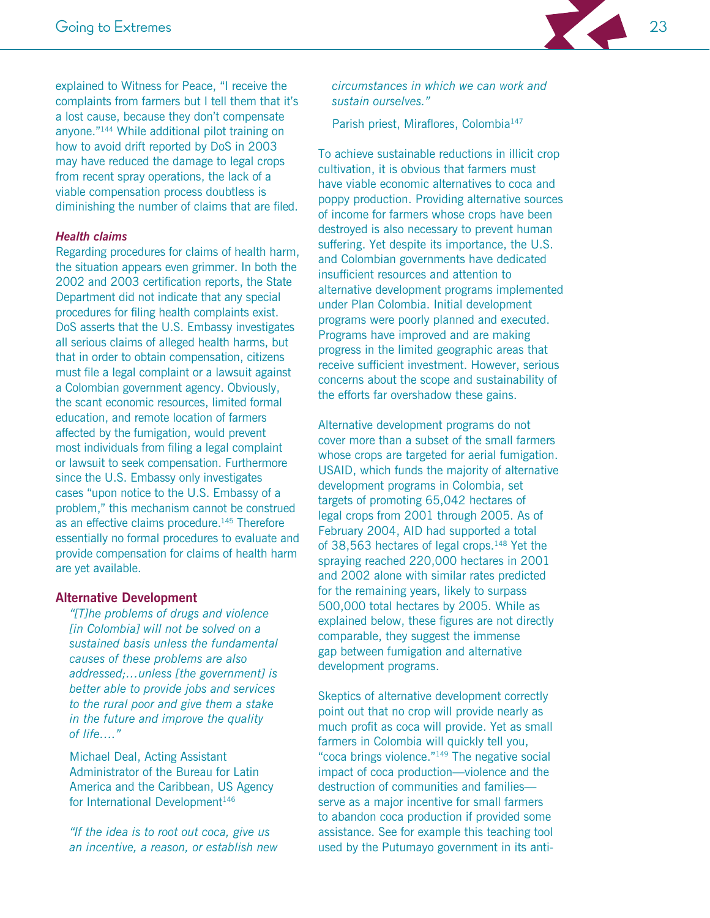

explained to Witness for Peace, "I receive the complaints from farmers but I tell them that it's a lost cause, because they don't compensate anyone."<sup>144</sup> While additional pilot training on how to avoid drift reported by DoS in 2003 may have reduced the damage to legal crops from recent spray operations, the lack of a viable compensation process doubtless is diminishing the number of claims that are filed.

#### **Health claims**

Regarding procedures for claims of health harm, the situation appears even grimmer. In both the 2002 and 2003 certification reports, the State Department did not indicate that any special procedures for filing health complaints exist. DoS asserts that the U.S. Embassy investigates all serious claims of alleged health harms, but that in order to obtain compensation, citizens must file a legal complaint or a lawsuit against a Colombian government agency. Obviously, the scant economic resources, limited formal education, and remote location of farmers affected by the fumigation, would prevent most individuals from filing a legal complaint or lawsuit to seek compensation. Furthermore since the U.S. Embassy only investigates cases "upon notice to the U.S. Embassy of a problem," this mechanism cannot be construed as an effective claims procedure.<sup>145</sup> Therefore essentially no formal procedures to evaluate and provide compensation for claims of health harm are yet available.

#### **Alternative Development**

"[T]he problems of drugs and violence [in Colombia] will not be solved on a sustained basis unless the fundamental causes of these problems are also addressed;...unless [the government] is better able to provide jobs and services to the rural poor and give them a stake in the future and improve the quality of  $life...$ "

Michael Deal, Acting Assistant Administrator of the Bureau for Latin America and the Caribbean, US Agency for International Development<sup>146</sup>

"If the idea is to root out coca, give us an incentive, a reason, or establish new circumstances in which we can work and sustain ourselves."

Parish priest, Miraflores, Colombia<sup>147</sup>

To achieve sustainable reductions in illicit crop cultivation, it is obvious that farmers must have viable economic alternatives to coca and poppy production. Providing alternative sources of income for farmers whose crops have been destroyed is also necessary to prevent human suffering. Yet despite its importance, the U.S. and Colombian governments have dedicated insufficient resources and attention to alternative development programs implemented under Plan Colombia. Initial development programs were poorly planned and executed. Programs have improved and are making progress in the limited geographic areas that receive sufficient investment. However, serious concerns about the scope and sustainability of the efforts far overshadow these gains.

Alternative development programs do not cover more than a subset of the small farmers whose crops are targeted for aerial fumigation. USAID, which funds the majority of alternative development programs in Colombia, set targets of promoting 65,042 hectares of legal crops from 2001 through 2005. As of February 2004, AID had supported a total of 38,563 hectares of legal crops.<sup>148</sup> Yet the spraying reached 220,000 hectares in 2001 and 2002 alone with similar rates predicted for the remaining years, likely to surpass 500,000 total hectares by 2005. While as explained below, these figures are not directly comparable, they suggest the immense gap between fumigation and alternative development programs.

Skeptics of alternative development correctly point out that no crop will provide nearly as much profit as coca will provide. Yet as small farmers in Colombia will quickly tell you, "coca brings violence."<sup>149</sup> The negative social impact of coca production-violence and the destruction of communities and familiesserve as a major incentive for small farmers to abandon coca production if provided some assistance. See for example this teaching tool used by the Putumayo government in its anti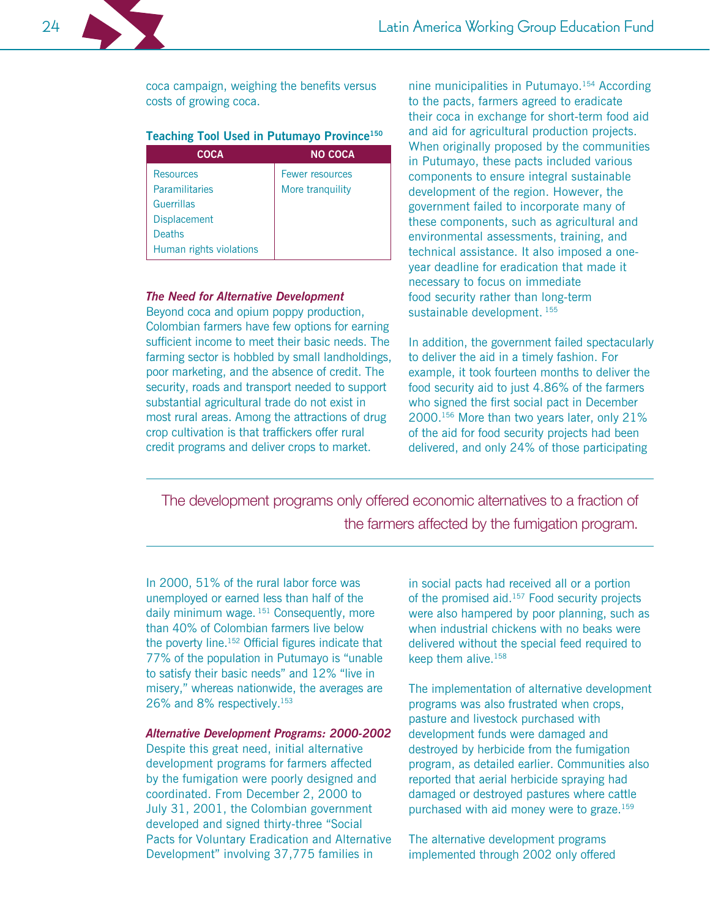coca campaign, weighing the benefits versus costs of growing coca.

#### Teaching Tool Used in Putumayo Province<sup>150</sup>

| <b>COCA</b>             | <b>NO COCA</b>   |
|-------------------------|------------------|
| <b>Resources</b>        | Fewer resources  |
| Paramilitaries          | More tranguility |
| <b>Guerrillas</b>       |                  |
| <b>Displacement</b>     |                  |
| <b>Deaths</b>           |                  |
| Human rights violations |                  |
|                         |                  |

#### **The Need for Alternative Development**

Beyond coca and opium poppy production, Colombian farmers have few options for earning sufficient income to meet their basic needs. The farming sector is hobbled by small landholdings, poor marketing, and the absence of credit. The security, roads and transport needed to support substantial agricultural trade do not exist in most rural areas. Among the attractions of drug crop cultivation is that traffickers offer rural credit programs and deliver crops to market.

nine municipalities in Putumayo.<sup>154</sup> According to the pacts, farmers agreed to eradicate their coca in exchange for short-term food aid and aid for agricultural production projects. When originally proposed by the communities in Putumayo, these pacts included various components to ensure integral sustainable development of the region. However, the government failed to incorporate many of these components, such as agricultural and environmental assessments, training, and technical assistance. It also imposed a oneyear deadline for eradication that made it necessary to focus on immediate food security rather than long-term sustainable development. 155

In addition, the government failed spectacularly to deliver the aid in a timely fashion. For example, it took fourteen months to deliver the food security aid to just 4.86% of the farmers who signed the first social pact in December 2000.<sup>156</sup> More than two years later, only 21% of the aid for food security projects had been delivered, and only 24% of those participating

The development programs only offered economic alternatives to a fraction of the farmers affected by the fumigation program.

In 2000, 51% of the rural labor force was unemployed or earned less than half of the daily minimum wage. 151 Consequently, more than 40% of Colombian farmers live below the poverty line.<sup>152</sup> Official figures indicate that 77% of the population in Putumayo is "unable" to satisfy their basic needs" and 12% "live in misery," whereas nationwide, the averages are 26% and 8% respectively.<sup>153</sup>

#### **Alternative Development Programs: 2000-2002**

Despite this great need, initial alternative development programs for farmers affected by the fumigation were poorly designed and coordinated. From December 2, 2000 to July 31, 2001, the Colombian government developed and signed thirty-three "Social Pacts for Voluntary Eradication and Alternative Development" involving 37,775 families in

in social pacts had received all or a portion of the promised aid.<sup>157</sup> Food security projects were also hampered by poor planning, such as when industrial chickens with no beaks were delivered without the special feed required to keep them alive.<sup>158</sup>

The implementation of alternative development programs was also frustrated when crops, pasture and livestock purchased with development funds were damaged and destroyed by herbicide from the fumigation program, as detailed earlier. Communities also reported that aerial herbicide spraying had damaged or destroyed pastures where cattle purchased with aid money were to graze.<sup>159</sup>

The alternative development programs implemented through 2002 only offered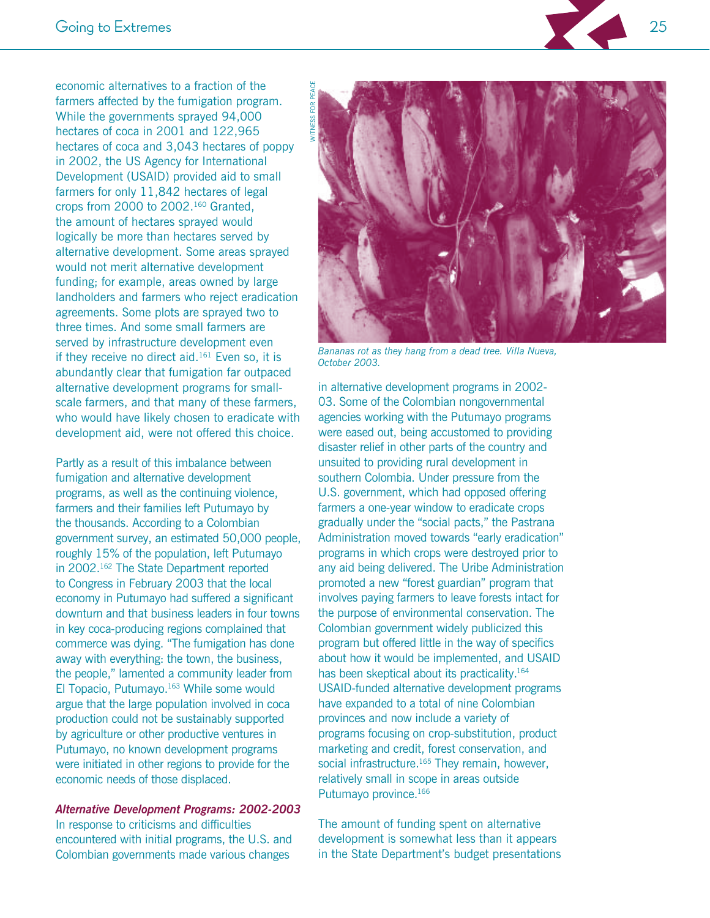economic alternatives to a fraction of the farmers affected by the fumigation program. While the governments sprayed 94,000 hectares of coca in 2001 and 122,965 hectares of coca and 3,043 hectares of poppy in 2002, the US Agency for International Development (USAID) provided aid to small farmers for only 11,842 hectares of legal crops from 2000 to 2002.<sup>160</sup> Granted, the amount of hectares sprayed would logically be more than hectares served by alternative development. Some areas sprayed would not merit alternative development funding; for example, areas owned by large landholders and farmers who reject eradication agreements. Some plots are sprayed two to three times. And some small farmers are served by infrastructure development even if they receive no direct aid.<sup>161</sup> Even so, it is abundantly clear that fumigation far outpaced alternative development programs for smallscale farmers, and that many of these farmers, who would have likely chosen to eradicate with development aid, were not offered this choice.

Partly as a result of this imbalance between fumigation and alternative development programs, as well as the continuing violence. farmers and their families left Putumayo by the thousands. According to a Colombian government survey, an estimated 50,000 people, roughly 15% of the population, left Putumayo in 2002.<sup>162</sup> The State Department reported to Congress in February 2003 that the local economy in Putumayo had suffered a significant downturn and that business leaders in four towns in key coca-producing regions complained that commerce was dying. "The fumigation has done away with everything: the town, the business, the people," lamented a community leader from El Topacio, Putumayo.<sup>163</sup> While some would argue that the large population involved in coca production could not be sustainably supported by agriculture or other productive ventures in Putumayo, no known development programs were initiated in other regions to provide for the economic needs of those displaced.

#### **Alternative Development Programs: 2002-2003**

In response to criticisms and difficulties encountered with initial programs, the U.S. and Colombian governments made various changes



Bananas rot as they hang from a dead tree. Villa Nueva, October 2003.

in alternative development programs in 2002-03. Some of the Colombian nongovernmental agencies working with the Putumayo programs were eased out, being accustomed to providing disaster relief in other parts of the country and unsuited to providing rural development in southern Colombia. Under pressure from the U.S. government, which had opposed offering farmers a one-year window to eradicate crops gradually under the "social pacts," the Pastrana Administration moved towards "early eradication" programs in which crops were destroyed prior to any aid being delivered. The Uribe Administration promoted a new "forest guardian" program that involves paying farmers to leave forests intact for the purpose of environmental conservation. The Colombian government widely publicized this program but offered little in the way of specifics about how it would be implemented, and USAID has been skeptical about its practicality.<sup>164</sup> USAID-funded alternative development programs have expanded to a total of nine Colombian provinces and now include a variety of programs focusing on crop-substitution, product marketing and credit, forest conservation, and social infrastructure.<sup>165</sup> They remain, however, relatively small in scope in areas outside Putumayo province.<sup>166</sup>

The amount of funding spent on alternative development is somewhat less than it appears in the State Department's budget presentations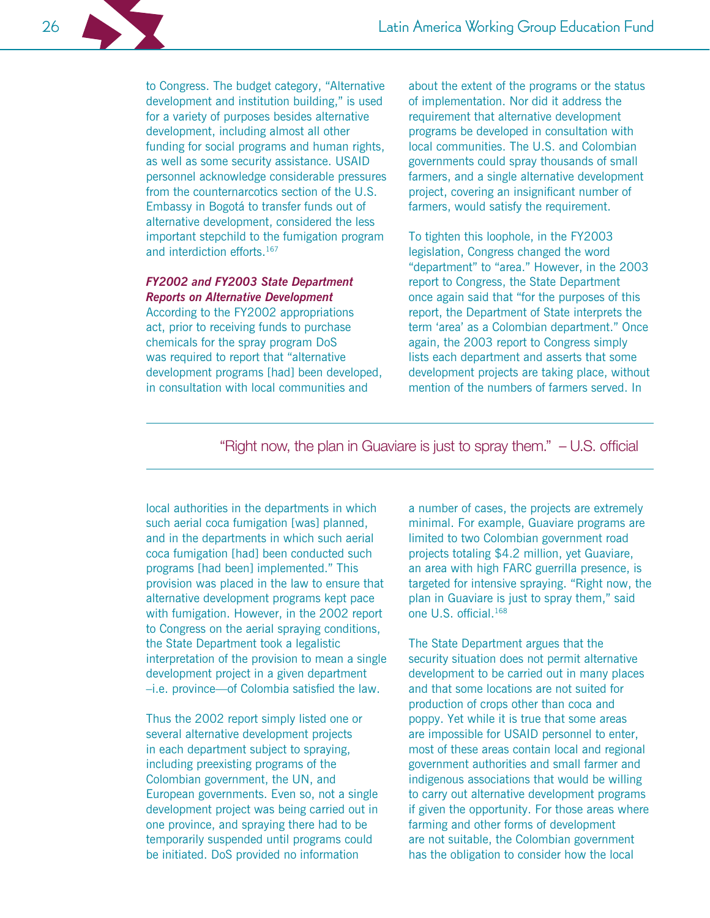to Congress. The budget category, "Alternative development and institution building," is used for a variety of purposes besides alternative development, including almost all other funding for social programs and human rights, as well as some security assistance. USAID personnel acknowledge considerable pressures from the counternarcotics section of the U.S. Embassy in Bogotá to transfer funds out of alternative development, considered the less important stepchild to the fumigation program and interdiction efforts.<sup>167</sup>

#### FY2002 and FY2003 State Department **Reports on Alternative Development**

According to the FY2002 appropriations act, prior to receiving funds to purchase chemicals for the spray program DoS was required to report that "alternative development programs [had] been developed, in consultation with local communities and

about the extent of the programs or the status of implementation. Nor did it address the requirement that alternative development programs be developed in consultation with local communities. The U.S. and Colombian governments could spray thousands of small farmers, and a single alternative development project, covering an insignificant number of farmers, would satisfy the requirement.

To tighten this loophole, in the FY2003 legislation, Congress changed the word "department" to "area." However, in the 2003 report to Congress, the State Department once again said that "for the purposes of this report, the Department of State interprets the term 'area' as a Colombian department." Once again, the 2003 report to Congress simply lists each department and asserts that some development projects are taking place, without mention of the numbers of farmers served. In

"Right now, the plan in Guaviare is just to spray them." - U.S. official

local authorities in the departments in which such aerial coca fumigation [was] planned, and in the departments in which such aerial coca fumigation [had] been conducted such programs [had been] implemented." This provision was placed in the law to ensure that alternative development programs kept pace with fumigation. However, in the 2002 report to Congress on the aerial spraying conditions, the State Department took a legalistic interpretation of the provision to mean a single development project in a given department -i.e. province-of Colombia satisfied the law.

Thus the 2002 report simply listed one or several alternative development projects in each department subject to spraying, including preexisting programs of the Colombian government, the UN, and European governments. Even so, not a single development project was being carried out in one province, and spraying there had to be temporarily suspended until programs could be initiated. DoS provided no information

a number of cases, the projects are extremely minimal. For example, Guaviare programs are limited to two Colombian government road projects totaling \$4.2 million, yet Guaviare, an area with high FARC guerrilla presence, is targeted for intensive spraying. "Right now, the plan in Guaviare is just to spray them," said one U.S. official.<sup>168</sup>

The State Department argues that the security situation does not permit alternative development to be carried out in many places and that some locations are not suited for production of crops other than coca and poppy. Yet while it is true that some areas are impossible for USAID personnel to enter, most of these areas contain local and regional government authorities and small farmer and indigenous associations that would be willing to carry out alternative development programs if given the opportunity. For those areas where farming and other forms of development are not suitable, the Colombian government has the obligation to consider how the local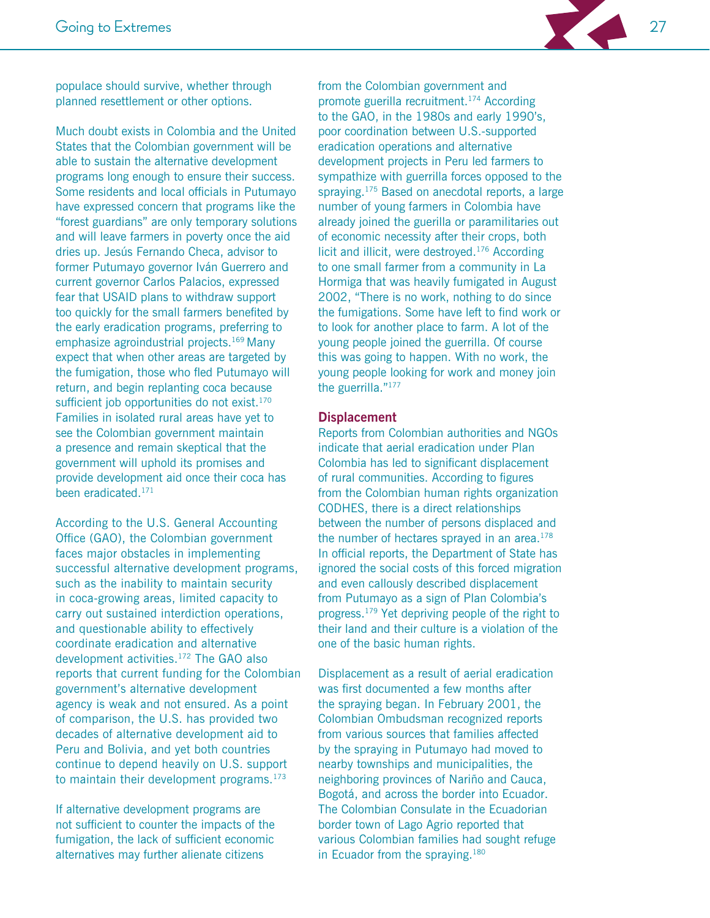

populace should survive, whether through planned resettlement or other options.

Much doubt exists in Colombia and the United States that the Colombian government will be able to sustain the alternative development programs long enough to ensure their success. Some residents and local officials in Putumayo have expressed concern that programs like the "forest guardians" are only temporary solutions and will leave farmers in poverty once the aid dries up. Jesús Fernando Checa, advisor to former Putumayo governor Iván Guerrero and current governor Carlos Palacios, expressed fear that USAID plans to withdraw support too quickly for the small farmers benefited by the early eradication programs, preferring to emphasize agroindustrial projects.<sup>169</sup> Many expect that when other areas are targeted by the fumigation, those who fled Putumayo will return, and begin replanting coca because sufficient job opportunities do not exist.<sup>170</sup> Families in isolated rural areas have yet to see the Colombian government maintain a presence and remain skeptical that the government will uphold its promises and provide development aid once their coca has been eradicated.<sup>171</sup>

According to the U.S. General Accounting Office (GAO), the Colombian government faces major obstacles in implementing successful alternative development programs, such as the inability to maintain security in coca-growing areas, limited capacity to carry out sustained interdiction operations, and questionable ability to effectively coordinate eradication and alternative development activities.<sup>172</sup> The GAO also reports that current funding for the Colombian government's alternative development agency is weak and not ensured. As a point of comparison, the U.S. has provided two decades of alternative development aid to Peru and Bolivia, and yet both countries continue to depend heavily on U.S. support to maintain their development programs. $173$ 

If alternative development programs are not sufficient to counter the impacts of the fumigation, the lack of sufficient economic alternatives may further alienate citizens

from the Colombian government and promote guerilla recruitment.<sup>174</sup> According to the GAO, in the 1980s and early 1990's, poor coordination between U.S.-supported eradication operations and alternative development projects in Peru led farmers to sympathize with guerrilla forces opposed to the spraying.<sup>175</sup> Based on anecdotal reports, a large number of young farmers in Colombia have already joined the guerilla or paramilitaries out of economic necessity after their crops, both licit and illicit, were destroyed.<sup>176</sup> According to one small farmer from a community in La Hormiga that was heavily fumigated in August 2002, "There is no work, nothing to do since the fumigations. Some have left to find work or to look for another place to farm. A lot of the young people joined the guerrilla. Of course this was going to happen. With no work, the young people looking for work and money join the guerrilla."177

#### **Displacement**

Reports from Colombian authorities and NGOs indicate that aerial eradication under Plan Colombia has led to significant displacement of rural communities. According to figures from the Colombian human rights organization CODHES, there is a direct relationships between the number of persons displaced and the number of hectares sprayed in an area.<sup>178</sup> In official reports, the Department of State has ignored the social costs of this forced migration and even callously described displacement from Putumayo as a sign of Plan Colombia's progress.<sup>179</sup> Yet depriving people of the right to their land and their culture is a violation of the one of the basic human rights.

Displacement as a result of aerial eradication was first documented a few months after the spraying began. In February 2001, the Colombian Ombudsman recognized reports from various sources that families affected by the spraying in Putumayo had moved to nearby townships and municipalities, the neighboring provinces of Nariño and Cauca, Bogotá, and across the border into Ecuador. The Colombian Consulate in the Ecuadorian border town of Lago Agrio reported that various Colombian families had sought refuge in Ecuador from the spraying.<sup>180</sup>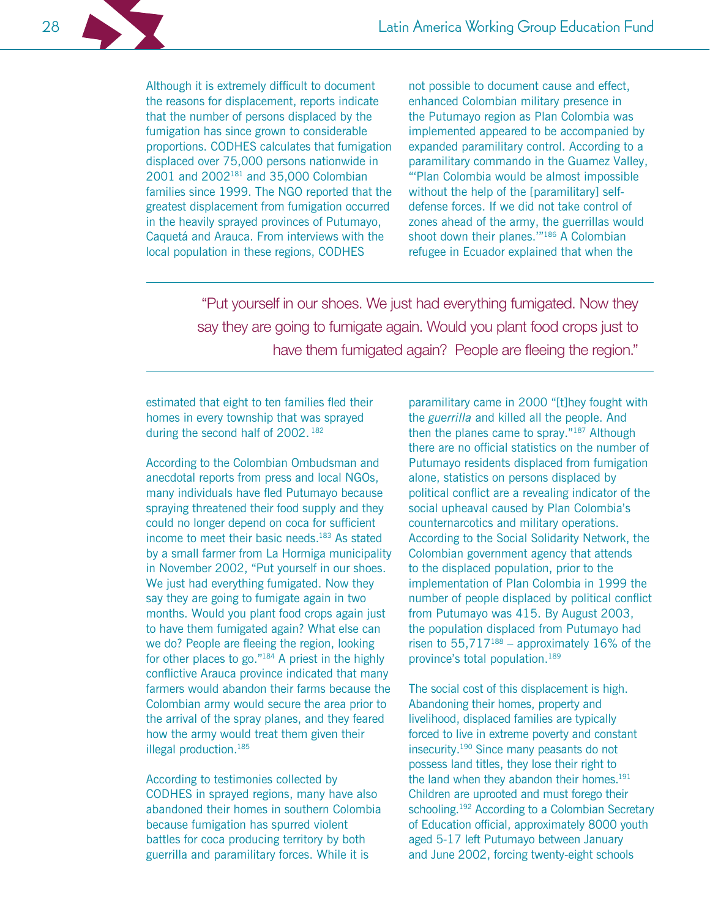Although it is extremely difficult to document the reasons for displacement, reports indicate that the number of persons displaced by the fumigation has since grown to considerable proportions. CODHES calculates that fumigation displaced over 75,000 persons nationwide in 2001 and 2002<sup>181</sup> and 35,000 Colombian families since 1999. The NGO reported that the greatest displacement from fumigation occurred in the heavily sprayed provinces of Putumayo, Caquetá and Arauca. From interviews with the local population in these regions, CODHES

not possible to document cause and effect, enhanced Colombian military presence in the Putumayo region as Plan Colombia was implemented appeared to be accompanied by expanded paramilitary control. According to a paramilitary commando in the Guamez Valley, "'Plan Colombia would be almost impossible without the help of the [paramilitary] selfdefense forces. If we did not take control of zones ahead of the army, the guerrillas would shoot down their planes."<sup>186</sup> A Colombian refugee in Ecuador explained that when the

"Put yourself in our shoes. We just had everything fumigated. Now they say they are going to fumigate again. Would you plant food crops just to have them fumigated again? People are fleeing the region."

estimated that eight to ten families fled their homes in every township that was sprayed during the second half of 2002. 182

According to the Colombian Ombudsman and anecdotal reports from press and local NGOs, many individuals have fled Putumayo because spraying threatened their food supply and they could no longer depend on coca for sufficient income to meet their basic needs.<sup>183</sup> As stated by a small farmer from La Hormiga municipality in November 2002, "Put yourself in our shoes. We just had everything fumigated. Now they say they are going to fumigate again in two months. Would you plant food crops again just to have them fumigated again? What else can we do? People are fleeing the region, looking for other places to go."<sup>184</sup> A priest in the highly conflictive Arauca province indicated that many farmers would abandon their farms because the Colombian army would secure the area prior to the arrival of the spray planes, and they feared how the army would treat them given their illegal production.<sup>185</sup>

According to testimonies collected by CODHES in sprayed regions, many have also abandoned their homes in southern Colombia because fumigation has spurred violent battles for coca producing territory by both guerrilla and paramilitary forces. While it is

paramilitary came in 2000 "[t]hey fought with the guerrilla and killed all the people. And then the planes came to spray."187 Although there are no official statistics on the number of Putumayo residents displaced from fumigation alone, statistics on persons displaced by political conflict are a revealing indicator of the social upheaval caused by Plan Colombia's counternarcotics and military operations. According to the Social Solidarity Network, the Colombian government agency that attends to the displaced population, prior to the implementation of Plan Colombia in 1999 the number of people displaced by political conflict from Putumayo was 415. By August 2003, the population displaced from Putumayo had risen to  $55,717^{188}$  – approximately 16% of the province's total population.<sup>189</sup>

The social cost of this displacement is high. Abandoning their homes, property and livelihood, displaced families are typically forced to live in extreme poverty and constant insecurity.<sup>190</sup> Since many peasants do not possess land titles, they lose their right to the land when they abandon their homes.<sup>191</sup> Children are uprooted and must forego their schooling.<sup>192</sup> According to a Colombian Secretary of Education official, approximately 8000 youth aged 5-17 left Putumayo between January and June 2002, forcing twenty-eight schools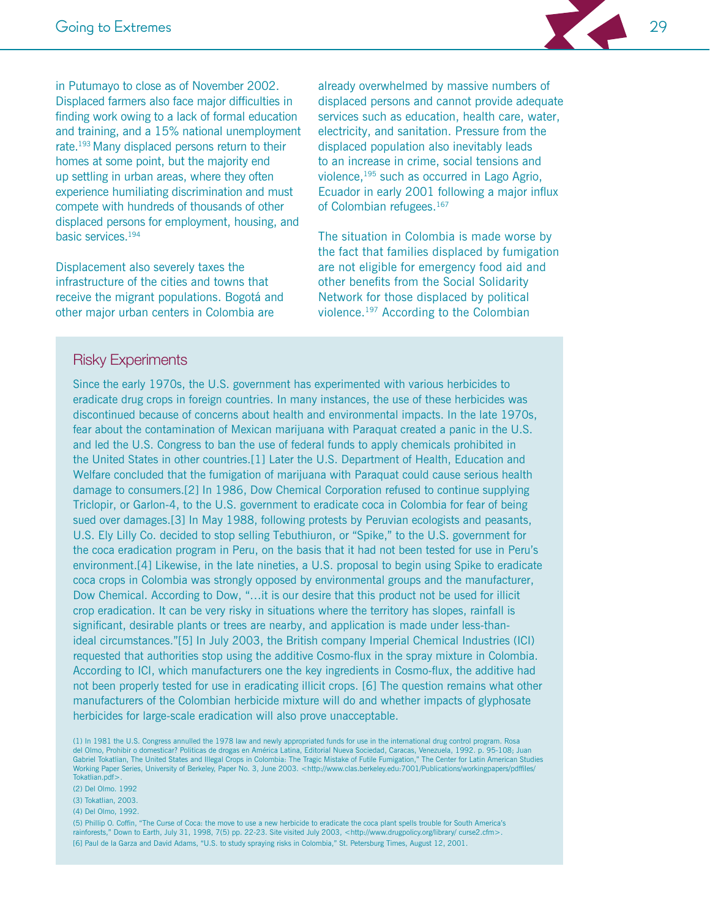

Displacement also severely taxes the infrastructure of the cities and towns that receive the migrant populations. Bogotá and other major urban centers in Colombia are

already overwhelmed by massive numbers of displaced persons and cannot provide adequate services such as education, health care, water, electricity, and sanitation. Pressure from the displaced population also inevitably leads to an increase in crime, social tensions and violence, 195 such as occurred in Lago Agrio, Ecuador in early 2001 following a major influx of Colombian refugees.<sup>167</sup>

The situation in Colombia is made worse by the fact that families displaced by fumigation are not eligible for emergency food aid and other benefits from the Social Solidarity Network for those displaced by political violence.<sup>197</sup> According to the Colombian

#### **Risky Experiments**

Since the early 1970s, the U.S. government has experimented with various herbicides to eradicate drug crops in foreign countries. In many instances, the use of these herbicides was discontinued because of concerns about health and environmental impacts. In the late 1970s, fear about the contamination of Mexican marijuana with Paraguat created a panic in the U.S. and led the U.S. Congress to ban the use of federal funds to apply chemicals prohibited in the United States in other countries.[1] Later the U.S. Department of Health, Education and Welfare concluded that the fumigation of marijuana with Paraquat could cause serious health damage to consumers.[2] In 1986, Dow Chemical Corporation refused to continue supplying Triclopir, or Garlon-4, to the U.S. government to eradicate coca in Colombia for fear of being sued over damages. [3] In May 1988, following protests by Peruvian ecologists and peasants, U.S. Ely Lilly Co. decided to stop selling Tebuthiuron, or "Spike," to the U.S. government for the coca eradication program in Peru, on the basis that it had not been tested for use in Peru's environment.[4] Likewise, in the late nineties, a U.S. proposal to begin using Spike to eradicate coca crops in Colombia was strongly opposed by environmental groups and the manufacturer, Dow Chemical. According to Dow, "...it is our desire that this product not be used for illicit crop eradication. It can be very risky in situations where the territory has slopes, rainfall is significant, desirable plants or trees are nearby, and application is made under less-thanideal circumstances."[5] In July 2003, the British company Imperial Chemical Industries (ICI) requested that authorities stop using the additive Cosmo-flux in the spray mixture in Colombia. According to ICI, which manufacturers one the key ingredients in Cosmo-flux, the additive had not been properly tested for use in eradicating illicit crops. [6] The question remains what other manufacturers of the Colombian herbicide mixture will do and whether impacts of glyphosate herbicides for large-scale eradication will also prove unacceptable.

(1) In 1981 the U.S. Congress annulled the 1978 law and newly appropriated funds for use in the international drug control program. Rosa del Olmo, Prohibir o domesticar? Politicas de drogas en América Latina, Editorial Nueva Sociedad, Caracas, Venezuela, 1992. p. 95-108; Juan Gabriel Tokatlian, The United States and Illegal Crops in Colombia: The Tragic Mistake of Futile Fumigation," The Center for Latin American Studies Working Paper Series, University of Berkeley, Paper No. 3, June 2003. <http://www.clas.berkeley.edu:7001/Publications/workingpapers/pdffiles/ Tokatlian.pdf>.

(2) Del Olmo. 1992

(3) Tokatlian, 2003.

(4) Del Olmo, 1992.

(5) Phillip O. Coffin, "The Curse of Coca: the move to use a new herbicide to eradicate the coca plant spells trouble for South America's rainforests," Down to Earth, July 31, 1998, 7(5) pp. 22-23. Site visited July 2003, <http://www.drugpolicy.org/library/ curse2.cfm>. [6] Paul de la Garza and David Adams, "U.S. to study spraying risks in Colombia," St. Petersburg Times, August 12, 2001.

29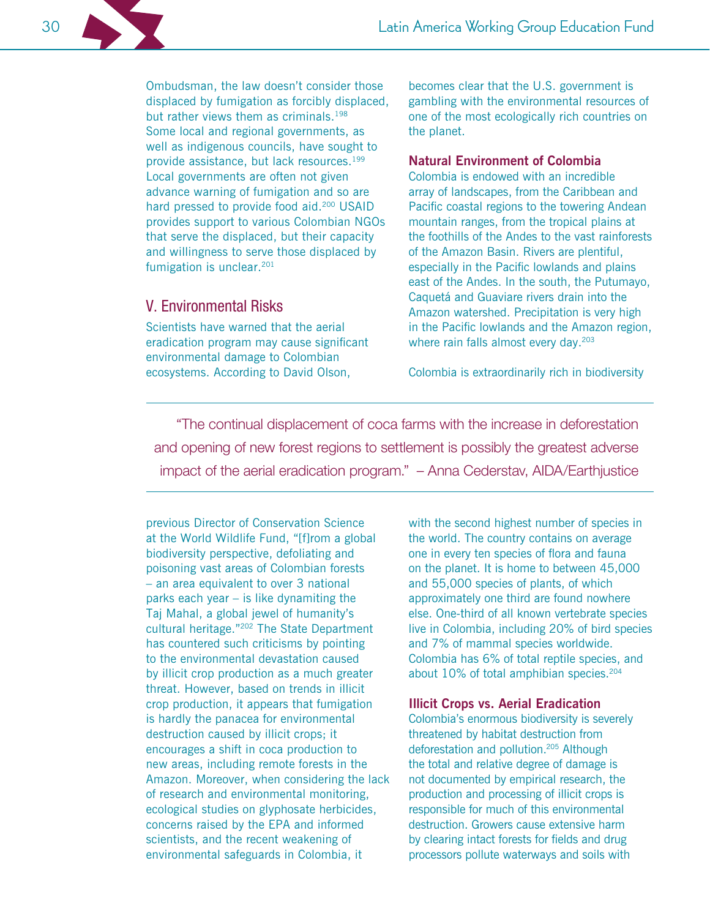Ombudsman, the law doesn't consider those displaced by fumigation as forcibly displaced, but rather views them as criminals.<sup>198</sup> Some local and regional governments, as well as indigenous councils, have sought to provide assistance, but lack resources.<sup>199</sup> Local governments are often not given advance warning of fumigation and so are hard pressed to provide food aid.<sup>200</sup> USAID provides support to various Colombian NGOs that serve the displaced, but their capacity and willingness to serve those displaced by fumigation is unclear.<sup>201</sup>

# V. Environmental Risks

Scientists have warned that the aerial eradication program may cause significant environmental damage to Colombian ecosystems. According to David Olson,

becomes clear that the U.S. government is gambling with the environmental resources of one of the most ecologically rich countries on the planet.

#### **Natural Environment of Colombia**

Colombia is endowed with an incredible array of landscapes, from the Caribbean and Pacific coastal regions to the towering Andean mountain ranges, from the tropical plains at the foothills of the Andes to the vast rainforests of the Amazon Basin. Rivers are plentiful, especially in the Pacific lowlands and plains east of the Andes. In the south, the Putumayo, Caquetá and Guaviare rivers drain into the Amazon watershed. Precipitation is very high in the Pacific lowlands and the Amazon region, where rain falls almost every day.<sup>203</sup>

Colombia is extraordinarily rich in biodiversity

"The continual displacement of coca farms with the increase in deforestation and opening of new forest regions to settlement is possibly the greatest adverse impact of the aerial eradication program." - Anna Cederstav, AIDA/Earthjustice

previous Director of Conservation Science at the World Wildlife Fund, "[f]rom a global biodiversity perspective, defoliating and poisoning vast areas of Colombian forests - an area equivalent to over 3 national parks each year  $-$  is like dynamiting the Taj Mahal, a global jewel of humanity's cultural heritage."<sup>202</sup> The State Department has countered such criticisms by pointing to the environmental devastation caused by illicit crop production as a much greater threat. However, based on trends in illicit crop production, it appears that fumigation is hardly the panacea for environmental destruction caused by illicit crops; it encourages a shift in coca production to new areas, including remote forests in the Amazon. Moreover, when considering the lack of research and environmental monitoring, ecological studies on glyphosate herbicides, concerns raised by the EPA and informed scientists, and the recent weakening of environmental safeguards in Colombia, it

with the second highest number of species in the world. The country contains on average one in every ten species of flora and fauna on the planet. It is home to between 45,000 and 55,000 species of plants, of which approximately one third are found nowhere else. One-third of all known vertebrate species live in Colombia, including 20% of bird species and 7% of mammal species worldwide. Colombia has 6% of total reptile species, and about 10% of total amphibian species.<sup>204</sup>

#### **Illicit Crops vs. Aerial Eradication**

Colombia's enormous biodiversity is severely threatened by habitat destruction from deforestation and pollution.<sup>205</sup> Although the total and relative degree of damage is not documented by empirical research, the production and processing of illicit crops is responsible for much of this environmental destruction. Growers cause extensive harm by clearing intact forests for fields and drug processors pollute waterways and soils with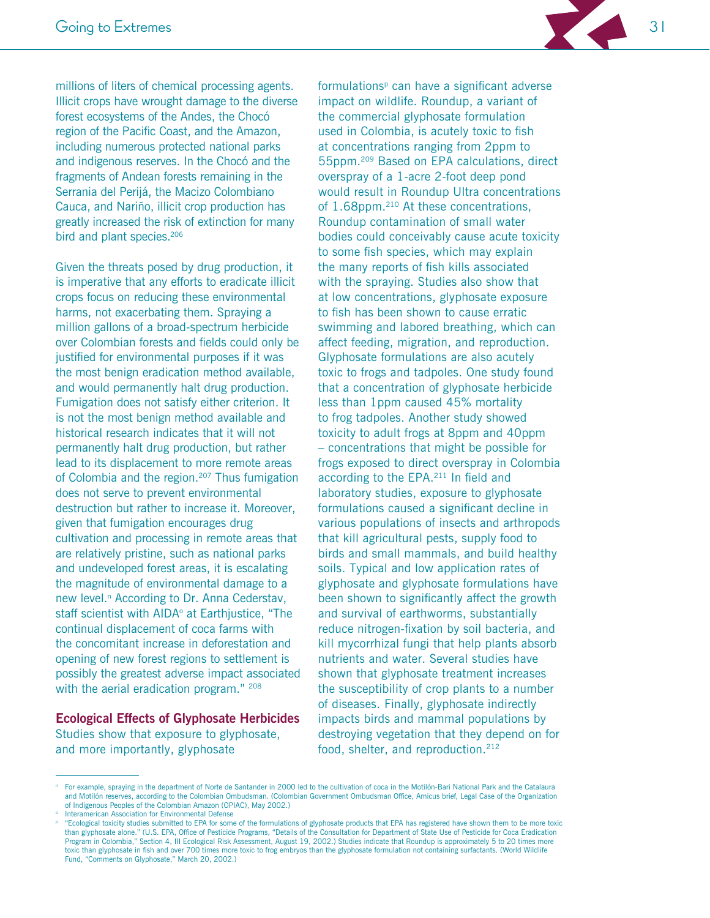

millions of liters of chemical processing agents. Illicit crops have wrought damage to the diverse forest ecosystems of the Andes, the Chocó region of the Pacific Coast, and the Amazon, including numerous protected national parks and indigenous reserves. In the Chocó and the fragments of Andean forests remaining in the Serrania del Perijá, the Macizo Colombiano Cauca, and Nariño, illicit crop production has greatly increased the risk of extinction for many bird and plant species.<sup>206</sup>

Given the threats posed by drug production, it is imperative that any efforts to eradicate illicit crops focus on reducing these environmental harms, not exacerbating them. Spraying a million gallons of a broad-spectrum herbicide over Colombian forests and fields could only be justified for environmental purposes if it was the most benign eradication method available. and would permanently halt drug production. Fumigation does not satisfy either criterion. It is not the most benign method available and historical research indicates that it will not permanently halt drug production, but rather lead to its displacement to more remote areas of Colombia and the region.<sup>207</sup> Thus fumigation does not serve to prevent environmental destruction but rather to increase it. Moreover, given that fumigation encourages drug cultivation and processing in remote areas that are relatively pristine, such as national parks and undeveloped forest areas, it is escalating the magnitude of environmental damage to a new level.<sup>n</sup> According to Dr. Anna Cederstav, staff scientist with AIDA<sup>°</sup> at Earthjustice, "The continual displacement of coca farms with the concomitant increase in deforestation and opening of new forest regions to settlement is possibly the greatest adverse impact associated with the aerial eradication program." 208

#### **Ecological Effects of Glyphosate Herbicides** Studies show that exposure to glyphosate,

and more importantly, glyphosate

formulations<sup>p</sup> can have a significant adverse impact on wildlife. Roundup, a variant of the commercial glyphosate formulation used in Colombia, is acutely toxic to fish at concentrations ranging from 2ppm to 55ppm.<sup>209</sup> Based on EPA calculations, direct overspray of a 1-acre 2-foot deep pond would result in Roundup Ultra concentrations of 1.68ppm.<sup>210</sup> At these concentrations, Roundup contamination of small water bodies could conceivably cause acute toxicity to some fish species, which may explain the many reports of fish kills associated with the spraying. Studies also show that at low concentrations, glyphosate exposure to fish has been shown to cause erratic swimming and labored breathing, which can affect feeding, migration, and reproduction. Glyphosate formulations are also acutely toxic to frogs and tadpoles. One study found that a concentration of glyphosate herbicide less than 1ppm caused 45% mortality to frog tadpoles. Another study showed toxicity to adult frogs at 8ppm and 40ppm - concentrations that might be possible for frogs exposed to direct overspray in Colombia according to the EPA.<sup>211</sup> In field and laboratory studies, exposure to glyphosate formulations caused a significant decline in various populations of insects and arthropods that kill agricultural pests, supply food to birds and small mammals, and build healthy soils. Typical and low application rates of glyphosate and glyphosate formulations have been shown to significantly affect the growth and survival of earthworms, substantially reduce nitrogen-fixation by soil bacteria, and kill mycorrhizal fungi that help plants absorb nutrients and water. Several studies have shown that glyphosate treatment increases the susceptibility of crop plants to a number of diseases. Finally, glyphosate indirectly impacts birds and mammal populations by destroying vegetation that they depend on for food, shelter, and reproduction.<sup>212</sup>

Interamerican Association for Environmental Defense

For example, spraying in the department of Norte de Santander in 2000 led to the cultivation of coca in the Motilón-Bari National Park and the Catalaura and Motilón reserves, according to the Colombian Ombudsman. (Colombian Government Ombudsman Office, Amicus brief, Legal Case of the Organization of Indigenous Peoples of the Colombian Amazon (OPIAC), May 2002.)

<sup>&</sup>quot;Ecological toxicity studies submitted to EPA for some of the formulations of glyphosate products that EPA has registered have shown them to be more toxic than glyphosate alone." (U.S. EPA, Office of Pesticide Programs, "Details of the Consultation for Department of State Use of Pesticide for Coca Eradication Program in Colombia," Section 4, III Ecological Risk Assessment, August 19, 2002.) Studies indicate that Roundup is approximately 5 to 20 times more toxic than glyphosate in fish and over 700 times more toxic to frog embryos than the glyphosate formulation not containing surfactants. (World Wildlife Fund, "Comments on Glyphosate," March 20, 2002.)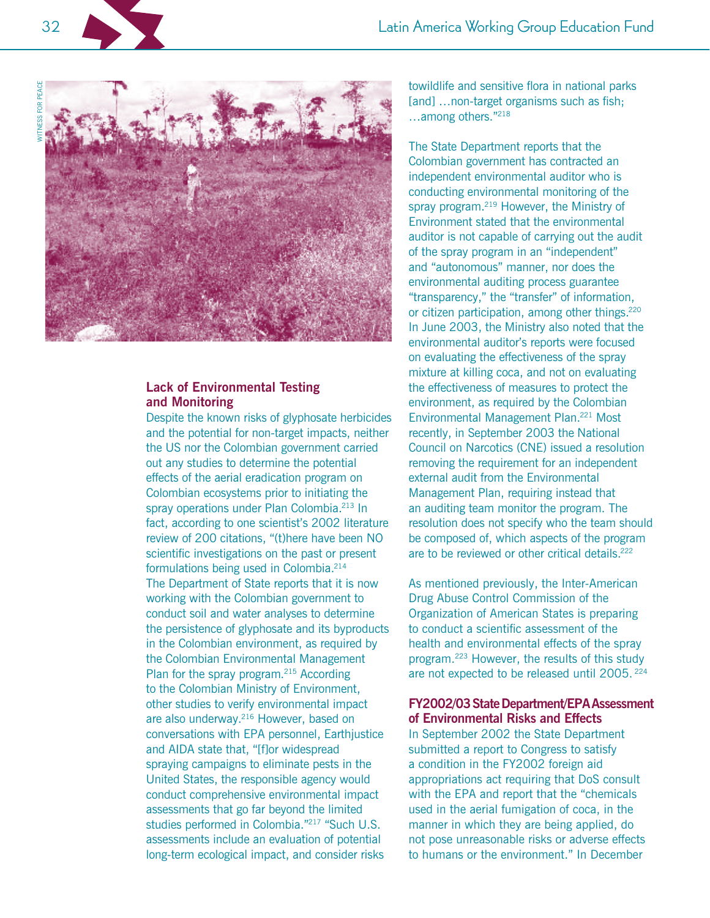

32

#### **Lack of Environmental Testing** and Monitoring

Despite the known risks of glyphosate herbicides and the potential for non-target impacts, neither the US nor the Colombian government carried out any studies to determine the potential effects of the aerial eradication program on Colombian ecosystems prior to initiating the spray operations under Plan Colombia.<sup>213</sup> In fact, according to one scientist's 2002 literature review of 200 citations, "(t)here have been NO scientific investigations on the past or present formulations being used in Colombia.<sup>214</sup> The Department of State reports that it is now working with the Colombian government to conduct soil and water analyses to determine the persistence of glyphosate and its byproducts in the Colombian environment, as required by the Colombian Environmental Management Plan for the spray program.<sup>215</sup> According to the Colombian Ministry of Environment, other studies to verify environmental impact are also underway.<sup>216</sup> However, based on conversations with EPA personnel, Earthjustice and AIDA state that, "[f]or widespread spraying campaigns to eliminate pests in the United States, the responsible agency would conduct comprehensive environmental impact assessments that go far beyond the limited studies performed in Colombia."<sup>217</sup> "Such U.S. assessments include an evaluation of potential long-term ecological impact, and consider risks

towildlife and sensitive flora in national parks [and] ... non-target organisms such as fish; ...among others."218

The State Department reports that the Colombian government has contracted an independent environmental auditor who is conducting environmental monitoring of the spray program.<sup>219</sup> However, the Ministry of Environment stated that the environmental auditor is not capable of carrying out the audit of the spray program in an "independent" and "autonomous" manner, nor does the environmental auditing process guarantee "transparency," the "transfer" of information, or citizen participation, among other things.<sup>220</sup> In June 2003, the Ministry also noted that the environmental auditor's reports were focused on evaluating the effectiveness of the spray mixture at killing coca, and not on evaluating the effectiveness of measures to protect the environment, as required by the Colombian Environmental Management Plan.<sup>221</sup> Most recently, in September 2003 the National Council on Narcotics (CNE) issued a resolution removing the requirement for an independent external audit from the Environmental Management Plan, requiring instead that an auditing team monitor the program. The resolution does not specify who the team should be composed of, which aspects of the program are to be reviewed or other critical details.<sup>222</sup>

As mentioned previously, the Inter-American Drug Abuse Control Commission of the Organization of American States is preparing to conduct a scientific assessment of the health and environmental effects of the spray program.<sup>223</sup> However, the results of this study are not expected to be released until 2005. 224

#### FY2002/03 State Department/EPA Assessment of Environmental Risks and Effects

In September 2002 the State Department submitted a report to Congress to satisfy a condition in the FY2002 foreign aid appropriations act requiring that DoS consult with the EPA and report that the "chemicals" used in the aerial fumigation of coca, in the manner in which they are being applied, do not pose unreasonable risks or adverse effects to humans or the environment." In December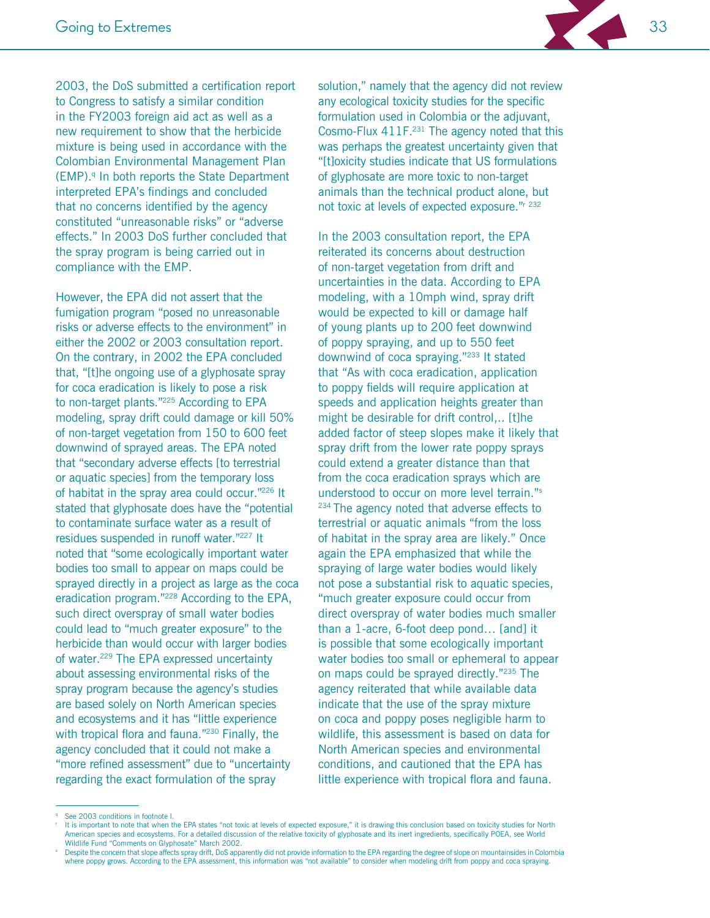

However, the EPA did not assert that the fumigation program "posed no unreasonable risks or adverse effects to the environment" in either the 2002 or 2003 consultation report. On the contrary, in 2002 the EPA concluded that, "[t]he ongoing use of a glyphosate spray for coca eradication is likely to pose a risk to non-target plants."<sup>225</sup> According to EPA modeling, spray drift could damage or kill 50% of non-target vegetation from 150 to 600 feet downwind of sprayed areas. The EPA noted that "secondary adverse effects [to terrestrial] or aquatic species] from the temporary loss of habitat in the spray area could occur."226 It stated that glyphosate does have the "potential to contaminate surface water as a result of residues suspended in runoff water."227 It noted that "some ecologically important water bodies too small to appear on maps could be sprayed directly in a project as large as the coca eradication program."<sup>228</sup> According to the EPA, such direct overspray of small water bodies could lead to "much greater exposure" to the herbicide than would occur with larger bodies of water.<sup>229</sup> The EPA expressed uncertainty about assessing environmental risks of the spray program because the agency's studies are based solely on North American species and ecosystems and it has "little experience with tropical flora and fauna."<sup>230</sup> Finally, the agency concluded that it could not make a "more refined assessment" due to "uncertainty regarding the exact formulation of the spray

solution," namely that the agency did not review any ecological toxicity studies for the specific formulation used in Colombia or the adjuvant, Cosmo-Flux 411F.<sup>231</sup> The agency noted that this was perhaps the greatest uncertainty given that "[t] oxicity studies indicate that US formulations of glyphosate are more toxic to non-target animals than the technical product alone, but not toxic at levels of expected exposure."<sup>r 232</sup>

In the 2003 consultation report, the EPA reiterated its concerns about destruction of non-target vegetation from drift and uncertainties in the data. According to EPA modeling, with a 10mph wind, spray drift would be expected to kill or damage half of young plants up to 200 feet downwind of poppy spraying, and up to 550 feet downwind of coca spraying."<sup>233</sup> It stated that "As with coca eradication, application to poppy fields will require application at speeds and application heights greater than might be desirable for drift control... [t]he added factor of steep slopes make it likely that spray drift from the lower rate poppy sprays could extend a greater distance than that from the coca eradication sprays which are understood to occur on more level terrain."<sup>s</sup> <sup>234</sup> The agency noted that adverse effects to terrestrial or aquatic animals "from the loss of habitat in the spray area are likely." Once again the EPA emphasized that while the spraying of large water bodies would likely not pose a substantial risk to aquatic species, "much greater exposure could occur from direct overspray of water bodies much smaller than a 1-acre, 6-foot deep pond... [and] it is possible that some ecologically important water bodies too small or ephemeral to appear on maps could be sprayed directly."235 The agency reiterated that while available data indicate that the use of the spray mixture on coca and poppy poses negligible harm to wildlife, this assessment is based on data for North American species and environmental conditions, and cautioned that the EPA has little experience with tropical flora and fauna.

See 2003 conditions in footnote I.

It is important to note that when the EPA states "not toxic at levels of expected exposure," it is drawing this conclusion based on toxicity studies for North American species and ecosystems. For a detailed discussion of the relative toxicity of glyphosate and its inert ingredients, specifically POEA, see World Wildlife Fund "Comments on Glyphosate" March 2002.

Despite the concern that slope affects spray drift, DoS apparently did not provide information to the EPA regarding the degree of slope on mountainsides in Colombia where poppy grows. According to the EPA assessment, this information was "not available" to consider when modeling drift from poppy and coca spraying.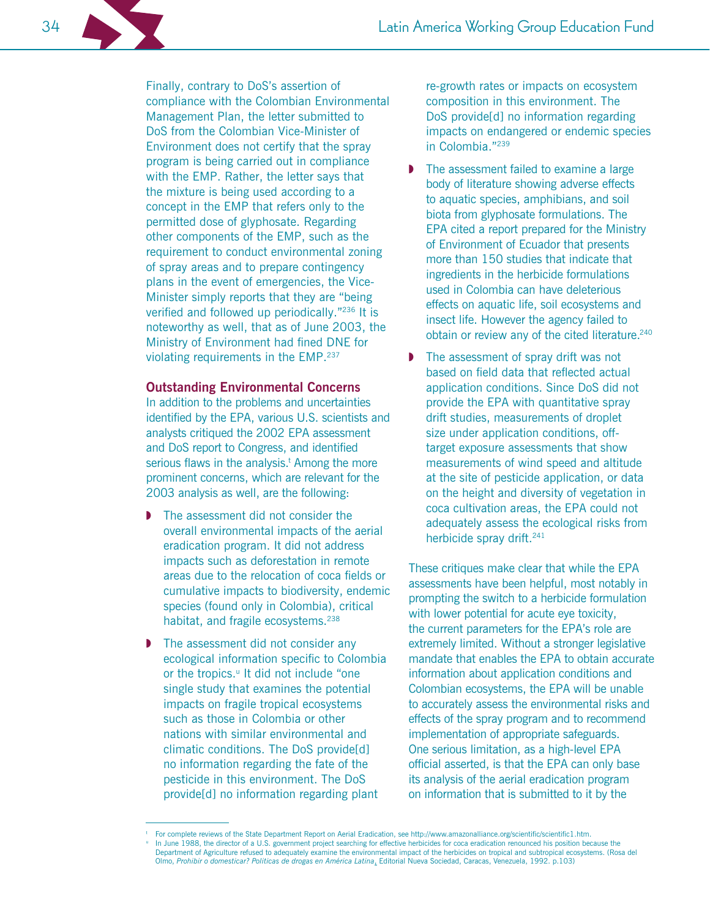Finally, contrary to DoS's assertion of compliance with the Colombian Environmental Management Plan, the letter submitted to DoS from the Colombian Vice-Minister of Environment does not certify that the spray program is being carried out in compliance with the EMP. Rather, the letter says that the mixture is being used according to a concept in the EMP that refers only to the permitted dose of glyphosate. Regarding other components of the EMP, such as the requirement to conduct environmental zoning of spray areas and to prepare contingency plans in the event of emergencies, the Vice-Minister simply reports that they are "being" verified and followed up periodically."236 It is noteworthy as well, that as of June 2003, the Ministry of Environment had fined DNE for violating requirements in the EMP.<sup>237</sup>

#### **Outstanding Environmental Concerns**

In addition to the problems and uncertainties identified by the EPA, various U.S. scientists and analysts critiqued the 2002 EPA assessment and DoS report to Congress, and identified serious flaws in the analysis.<sup>t</sup> Among the more prominent concerns, which are relevant for the 2003 analysis as well, are the following:

- The assessment did not consider the overall environmental impacts of the aerial eradication program. It did not address impacts such as deforestation in remote areas due to the relocation of coca fields or cumulative impacts to biodiversity, endemic species (found only in Colombia), critical habitat, and fragile ecosystems.<sup>238</sup>
- The assessment did not consider any ecological information specific to Colombia or the tropics.<sup>"</sup> It did not include "one single study that examines the potential impacts on fragile tropical ecosystems such as those in Colombia or other nations with similar environmental and climatic conditions. The DoS provide[d] no information regarding the fate of the pesticide in this environment. The DoS provide[d] no information regarding plant

re-growth rates or impacts on ecosystem composition in this environment. The DoS provide[d] no information regarding impacts on endangered or endemic species in Colombia."239

- The assessment failed to examine a large body of literature showing adverse effects to aquatic species, amphibians, and soil biota from glyphosate formulations. The EPA cited a report prepared for the Ministry of Environment of Ecuador that presents more than 150 studies that indicate that ingredients in the herbicide formulations used in Colombia can have deleterious effects on aquatic life, soil ecosystems and insect life. However the agency failed to obtain or review any of the cited literature.<sup>240</sup>
- The assessment of spray drift was not based on field data that reflected actual application conditions. Since DoS did not provide the EPA with quantitative spray drift studies, measurements of droplet size under application conditions, offtarget exposure assessments that show measurements of wind speed and altitude at the site of pesticide application, or data on the height and diversity of vegetation in coca cultivation areas, the EPA could not adequately assess the ecological risks from herbicide spray drift.<sup>241</sup>

These critiques make clear that while the EPA assessments have been helpful, most notably in prompting the switch to a herbicide formulation with lower potential for acute eye toxicity, the current parameters for the EPA's role are extremely limited. Without a stronger legislative mandate that enables the EPA to obtain accurate information about application conditions and Colombian ecosystems, the EPA will be unable to accurately assess the environmental risks and effects of the spray program and to recommend implementation of appropriate safeguards. One serious limitation, as a high-level EPA official asserted, is that the EPA can only base its analysis of the aerial eradication program on information that is submitted to it by the

For complete reviews of the State Department Report on Aerial Eradication, see http://www.amazonalliance.org/scientific/scientific1.htm. In June 1988, the director of a U.S. government project searching for effective herbicides for coca eradication renounced his position because the Department of Agriculture refused to adequately examine the environmental impact of the herbicides on tropical and subtropical ecosystems. (Rosa del Olmo, Prohibir o domesticar? Politicas de drogas en América Latina, Editorial Nueva Sociedad, Caracas, Venezuela, 1992. p.103)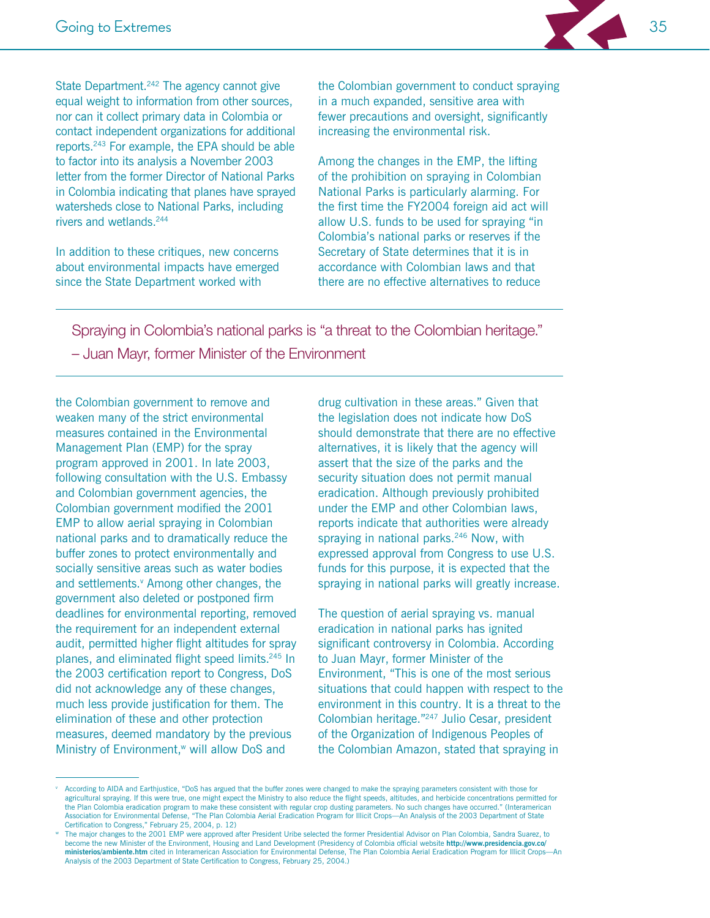State Department.<sup>242</sup> The agency cannot give equal weight to information from other sources, nor can it collect primary data in Colombia or contact independent organizations for additional reports.<sup>243</sup> For example, the EPA should be able to factor into its analysis a November 2003 letter from the former Director of National Parks in Colombia indicating that planes have sprayed watersheds close to National Parks, including rivers and wetlands.<sup>244</sup>

In addition to these critiques, new concerns about environmental impacts have emerged since the State Department worked with

the Colombian government to conduct spraying in a much expanded, sensitive area with fewer precautions and oversight, significantly increasing the environmental risk.

Among the changes in the EMP, the lifting of the prohibition on spraying in Colombian National Parks is particularly alarming. For the first time the FY2004 foreign aid act will allow U.S. funds to be used for spraying "in Colombia's national parks or reserves if the Secretary of State determines that it is in accordance with Colombian laws and that there are no effective alternatives to reduce

Spraying in Colombia's national parks is "a threat to the Colombian heritage." - Juan Mayr, former Minister of the Environment

the Colombian government to remove and weaken many of the strict environmental measures contained in the Environmental Management Plan (EMP) for the spray program approved in 2001. In late 2003, following consultation with the U.S. Embassy and Colombian government agencies, the Colombian government modified the 2001 EMP to allow aerial spraying in Colombian national parks and to dramatically reduce the buffer zones to protect environmentally and socially sensitive areas such as water bodies and settlements.<sup>v</sup> Among other changes, the government also deleted or postponed firm deadlines for environmental reporting, removed the requirement for an independent external audit, permitted higher flight altitudes for spray planes, and eliminated flight speed limits.<sup>245</sup> In the 2003 certification report to Congress, DoS did not acknowledge any of these changes, much less provide justification for them. The elimination of these and other protection measures, deemed mandatory by the previous Ministry of Environment,<sup>w</sup> will allow DoS and

drug cultivation in these areas." Given that the legislation does not indicate how DoS should demonstrate that there are no effective alternatives, it is likely that the agency will assert that the size of the parks and the security situation does not permit manual eradication. Although previously prohibited under the EMP and other Colombian laws, reports indicate that authorities were already spraying in national parks.<sup>246</sup> Now, with expressed approval from Congress to use U.S. funds for this purpose, it is expected that the spraying in national parks will greatly increase.

The question of aerial spraying vs. manual eradication in national parks has ignited significant controversy in Colombia. According to Juan Mayr, former Minister of the Environment, "This is one of the most serious situations that could happen with respect to the environment in this country. It is a threat to the Colombian heritage."<sup>247</sup> Julio Cesar, president of the Organization of Indigenous Peoples of the Colombian Amazon, stated that spraying in

According to AIDA and Earthjustice, "DoS has argued that the buffer zones were changed to make the spraying parameters consistent with those for agricultural spraying. If this were true, one might expect the Ministry to also reduce the flight speeds, altitudes, and herbicide concentrations permitted for the Plan Colombia eradication program to make these consistent with regular crop dusting parameters. No such changes have occurred." (Interamerican Association for Environmental Defense, "The Plan Colombia Aerial Eradication Program for Illicit Crops-An Analysis of the 2003 Department of State Certification to Congress," February 25, 2004, p. 12)

The major changes to the 2001 EMP were approved after President Uribe selected the former Presidential Advisor on Plan Colombia, Sandra Suarez, to become the new Minister of the Environment, Housing and Land Development (Presidency of Colombia official website http://www.presidencia.gov.co/ ministerios/ambiente.htm cited in Interamerican Association for Environmental Defense. The Plan Colombia Aerial Eradication Program for Illicit Crops-An Analysis of the 2003 Department of State Certification to Congress, February 25, 2004.)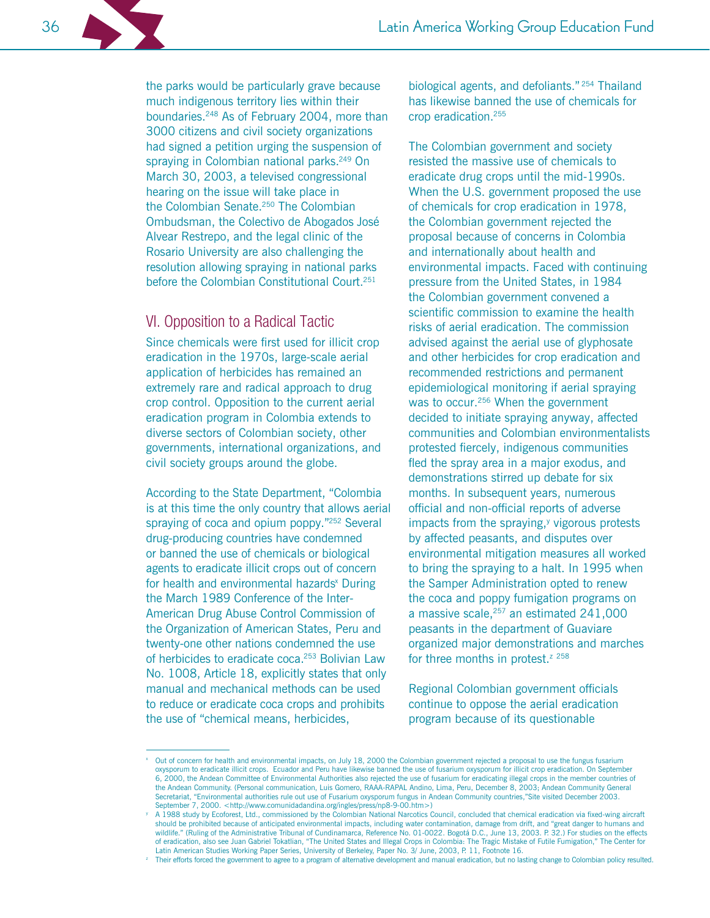the parks would be particularly grave because much indigenous territory lies within their boundaries.<sup>248</sup> As of February 2004, more than 3000 citizens and civil society organizations had signed a petition urging the suspension of spraying in Colombian national parks.<sup>249</sup> On March 30, 2003, a televised congressional hearing on the issue will take place in the Colombian Senate.<sup>250</sup> The Colombian Ombudsman, the Colectivo de Abogados José Alvear Restrepo, and the legal clinic of the Rosario University are also challenging the resolution allowing spraying in national parks before the Colombian Constitutional Court.<sup>251</sup>

# VI. Opposition to a Radical Tactic

Since chemicals were first used for illicit crop eradication in the 1970s, large-scale aerial application of herbicides has remained an extremely rare and radical approach to drug crop control. Opposition to the current aerial eradication program in Colombia extends to diverse sectors of Colombian society, other governments, international organizations, and civil society groups around the globe.

According to the State Department, "Colombia is at this time the only country that allows aerial spraying of coca and opium poppy."252 Several drug-producing countries have condemned or banned the use of chemicals or biological agents to eradicate illicit crops out of concern for health and environmental hazards<sup>x</sup> During the March 1989 Conference of the Inter-American Drug Abuse Control Commission of the Organization of American States, Peru and twenty-one other nations condemned the use of herbicides to eradicate coca.<sup>253</sup> Bolivian Law No. 1008, Article 18, explicitly states that only manual and mechanical methods can be used to reduce or eradicate coca crops and prohibits the use of "chemical means, herbicides,

biological agents, and defoliants."<sup>254</sup> Thailand has likewise banned the use of chemicals for crop eradication.<sup>255</sup>

The Colombian government and society resisted the massive use of chemicals to eradicate drug crops until the mid-1990s. When the U.S. government proposed the use of chemicals for crop eradication in 1978, the Colombian government rejected the proposal because of concerns in Colombia and internationally about health and environmental impacts. Faced with continuing pressure from the United States, in 1984 the Colombian government convened a scientific commission to examine the health risks of aerial eradication. The commission advised against the aerial use of glyphosate and other herbicides for crop eradication and recommended restrictions and permanent epidemiological monitoring if aerial spraying was to occur.<sup>256</sup> When the government decided to initiate spraying anyway, affected communities and Colombian environmentalists protested fiercely, indigenous communities fled the spray area in a major exodus, and demonstrations stirred up debate for six months. In subsequent vears, numerous official and non-official reports of adverse impacts from the spraying,<sup>y</sup> vigorous protests by affected peasants, and disputes over environmental mitigation measures all worked to bring the spraying to a halt. In 1995 when the Samper Administration opted to renew the coca and poppy fumigation programs on a massive scale,<sup>257</sup> an estimated 241,000 peasants in the department of Guaviare organized major demonstrations and marches for three months in protest.<sup>z 258</sup>

Regional Colombian government officials continue to oppose the aerial eradication program because of its questionable

36

Out of concern for health and environmental impacts, on July 18, 2000 the Colombian government rejected a proposal to use the fungus fusarium oxysporum to eradicate illicit crops. Ecuador and Peru have likewise banned the use of fusarium oxysporum for illicit crop eradication. On September 6, 2000, the Andean Committee of Environmental Authorities also rejected the use of fusarium for eradicating illegal crops in the member countries of the Andean Community. (Personal communication, Luis Gomero, RAÁA-RAPAL Andino, Lima, Peru, December 8, 2003; Andean Community General Secretariat, "Environmental authorities rule out use of Fusarium oxysporum fungus in Andean Community countries,"Site visited December 2003. September 7, 2000. <http://www.comunidadandina.org/ingles/press/np8-9-00.htm>)

A 1988 study by Ecoforest, Ltd., commissioned by the Colombian National Narcotics Council, concluded that chemical eradication via fixed-wing aircraft should be prohibited because of anticipated environmental impacts, including water contamination, damage from drift, and "great danger to humans and wildlife." (Ruling of the Administrative Tribunal of Cundinamarca, Reference No. 01-0022. Bogotá D.C., June 13, 2003. P. 32.) For studies on the effects of eradication, also see Juan Gabriel Tokatlian, "The United States and Illegal Crops in Colombia: The Tragic Mistake of Futile Fumigation," The Center for Latin American Studies Working Paper Series, University of Berkeley, Paper No. 3/ June, 2003, P. 11, Footnote 16.

<sup>&</sup>lt;sup>2</sup> Their efforts forced the government to agree to a program of alternative development and manual eradication, but no lasting change to Colombian policy resulted.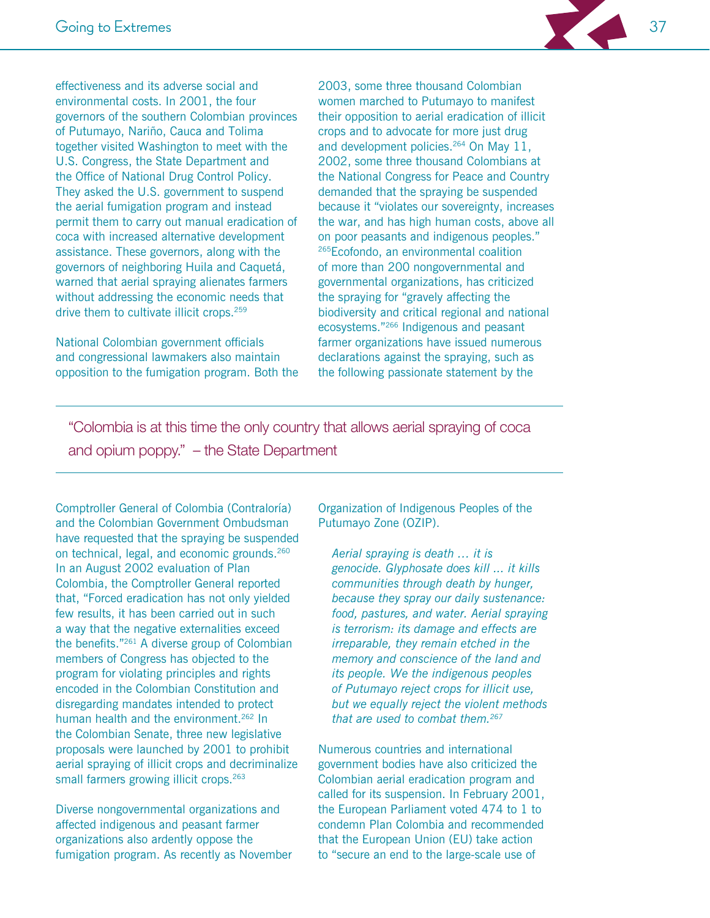

effectiveness and its adverse social and environmental costs. In 2001, the four governors of the southern Colombian provinces of Putumayo, Nariño, Cauca and Tolima together visited Washington to meet with the U.S. Congress, the State Department and the Office of National Drug Control Policy. They asked the U.S. government to suspend the aerial fumigation program and instead permit them to carry out manual eradication of coca with increased alternative development assistance. These governors, along with the governors of neighboring Huila and Caquetá, warned that aerial spraying alienates farmers without addressing the economic needs that drive them to cultivate illicit crops.<sup>259</sup>

National Colombian government officials and congressional lawmakers also maintain opposition to the fumigation program. Both the

2003, some three thousand Colombian women marched to Putumayo to manifest their opposition to aerial eradication of illicit crops and to advocate for more just drug and development policies.<sup>264</sup> On May 11, 2002, some three thousand Colombians at the National Congress for Peace and Country demanded that the spraying be suspended because it "violates our sovereignty, increases the war, and has high human costs, above all on poor peasants and indigenous peoples." <sup>265</sup>Ecofondo, an environmental coalition of more than 200 nongovernmental and governmental organizations, has criticized the spraying for "gravely affecting the biodiversity and critical regional and national ecosystems."<sup>266</sup> Indigenous and peasant farmer organizations have issued numerous declarations against the spraying, such as the following passionate statement by the

"Colombia is at this time the only country that allows aerial spraying of coca and opium poppy." - the State Department

Comptroller General of Colombia (Contraloría) and the Colombian Government Ombudsman have requested that the spraying be suspended on technical, legal, and economic grounds.<sup>260</sup> In an August 2002 evaluation of Plan Colombia, the Comptroller General reported that, "Forced eradication has not only yielded few results, it has been carried out in such a way that the negative externalities exceed the benefits."<sup>261</sup> A diverse group of Colombian members of Congress has objected to the program for violating principles and rights encoded in the Colombian Constitution and disregarding mandates intended to protect human health and the environment.<sup>262</sup> In the Colombian Senate, three new legislative proposals were launched by 2001 to prohibit aerial spraying of illicit crops and decriminalize small farmers growing illicit crops.<sup>263</sup>

Diverse nongovernmental organizations and affected indigenous and peasant farmer organizations also ardently oppose the fumigation program. As recently as November Organization of Indigenous Peoples of the Putumayo Zone (OZIP).

Aerial spraying is death ... it is genocide. Glyphosate does kill ... it kills communities through death by hunger, because they spray our daily sustenance: food, pastures, and water. Aerial spraying is terrorism: its damage and effects are irreparable, they remain etched in the memory and conscience of the land and its people. We the indigenous peoples of Putumayo reject crops for illicit use, but we equally reject the violent methods that are used to combat them.<sup>267</sup>

Numerous countries and international government bodies have also criticized the Colombian aerial eradication program and called for its suspension. In February 2001, the European Parliament voted 474 to 1 to condemn Plan Colombia and recommended that the European Union (EU) take action to "secure an end to the large-scale use of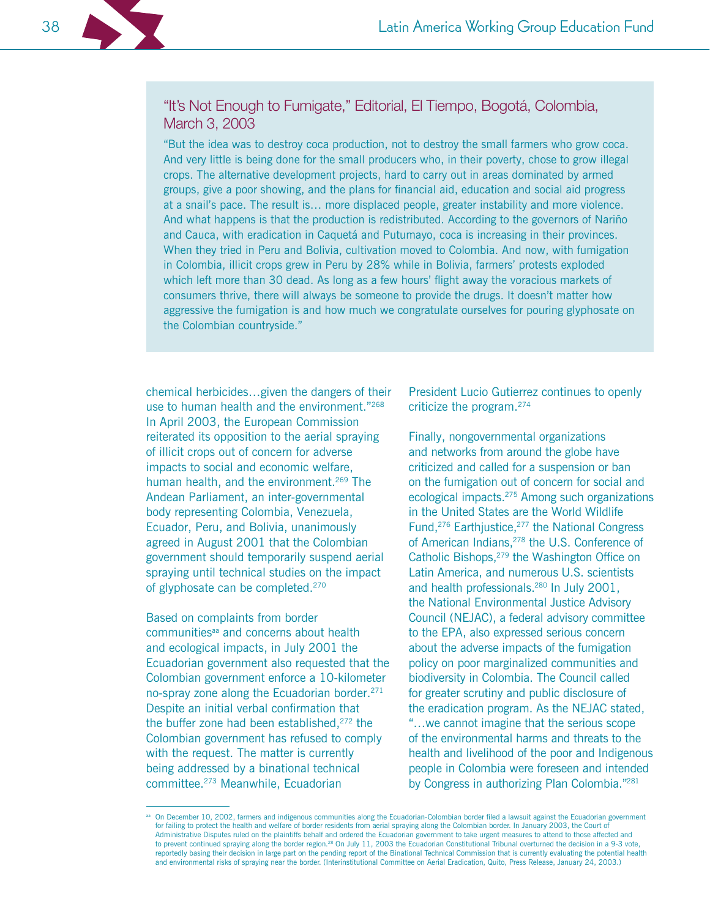

# "It's Not Enough to Fumigate," Editorial, El Tiempo, Bogotá, Colombia, March 3, 2003

"But the idea was to destroy coca production, not to destroy the small farmers who grow coca. And very little is being done for the small producers who, in their poverty, chose to grow illegal crops. The alternative development projects, hard to carry out in areas dominated by armed groups, give a poor showing, and the plans for financial aid, education and social aid progress at a snail's pace. The result is... more displaced people, greater instability and more violence. And what happens is that the production is redistributed. According to the governors of Nariño and Cauca, with eradication in Caquetá and Putumayo, coca is increasing in their provinces. When they tried in Peru and Bolivia, cultivation moved to Colombia. And now, with fumigation in Colombia, illicit crops grew in Peru by 28% while in Bolivia, farmers' protests exploded which left more than 30 dead. As long as a few hours' flight away the voracious markets of consumers thrive, there will always be someone to provide the drugs. It doesn't matter how aggressive the fumigation is and how much we congratulate ourselves for pouring glyphosate on the Colombian countryside."

chemical herbicides... given the dangers of their use to human health and the environment."268 In April 2003, the European Commission reiterated its opposition to the aerial spraying of illicit crops out of concern for adverse impacts to social and economic welfare, human health, and the environment.<sup>269</sup> The Andean Parliament, an inter-governmental body representing Colombia, Venezuela, Ecuador, Peru, and Bolivia, unanimously agreed in August 2001 that the Colombian government should temporarily suspend aerial spraying until technical studies on the impact of glyphosate can be completed.<sup>270</sup>

Based on complaints from border communities<sup>aa</sup> and concerns about health and ecological impacts, in July 2001 the Ecuadorian government also requested that the Colombian government enforce a 10-kilometer no-spray zone along the Ecuadorian border.<sup>271</sup> Despite an initial verbal confirmation that the buffer zone had been established,<sup>272</sup> the Colombian government has refused to comply with the request. The matter is currently being addressed by a binational technical committee.<sup>273</sup> Meanwhile, Ecuadorian

President Lucio Gutierrez continues to openly criticize the program.<sup>274</sup>

Finally, nongovernmental organizations and networks from around the globe have criticized and called for a suspension or ban on the fumigation out of concern for social and ecological impacts.<sup>275</sup> Among such organizations in the United States are the World Wildlife Fund,<sup>276</sup> Earthjustice,<sup>277</sup> the National Congress of American Indians,<sup>278</sup> the U.S. Conference of Catholic Bishops,<sup>279</sup> the Washington Office on Latin America, and numerous U.S. scientists and health professionals.<sup>280</sup> In July 2001, the National Environmental Justice Advisory Council (NEJAC), a federal advisory committee to the EPA, also expressed serious concern about the adverse impacts of the fumigation policy on poor marginalized communities and biodiversity in Colombia. The Council called for greater scrutiny and public disclosure of the eradication program. As the NEJAC stated, "... we cannot imagine that the serious scope" of the environmental harms and threats to the health and livelihood of the poor and Indigenous people in Colombia were foreseen and intended by Congress in authorizing Plan Colombia."281

On December 10, 2002, farmers and indigenous communities along the Ecuadorian-Colombian border filed a lawsuit against the Ecuadorian government for failing to protect the health and welfare of border residents from aerial spraying along the Colombian border. In January 2003, the Court of Administrative Disputes ruled on the plaintiffs behalf and ordered the Ecuadorian government to take urgent measures to attend to those affected and to prevent continued spraying along the border region.<sup>28</sup> On July 11, 2003 the Ecuadorian Constitutional Tribunal overturned the decision in a 9-3 vote, reportedly basing their decision in large part on the pending report of the Binational Technical Commission that is currently evaluating the potential health and environmental risks of spraying near the border. (Interinstitutional Committee on Aerial Eradication, Quito, Press Release, January 24, 2003.)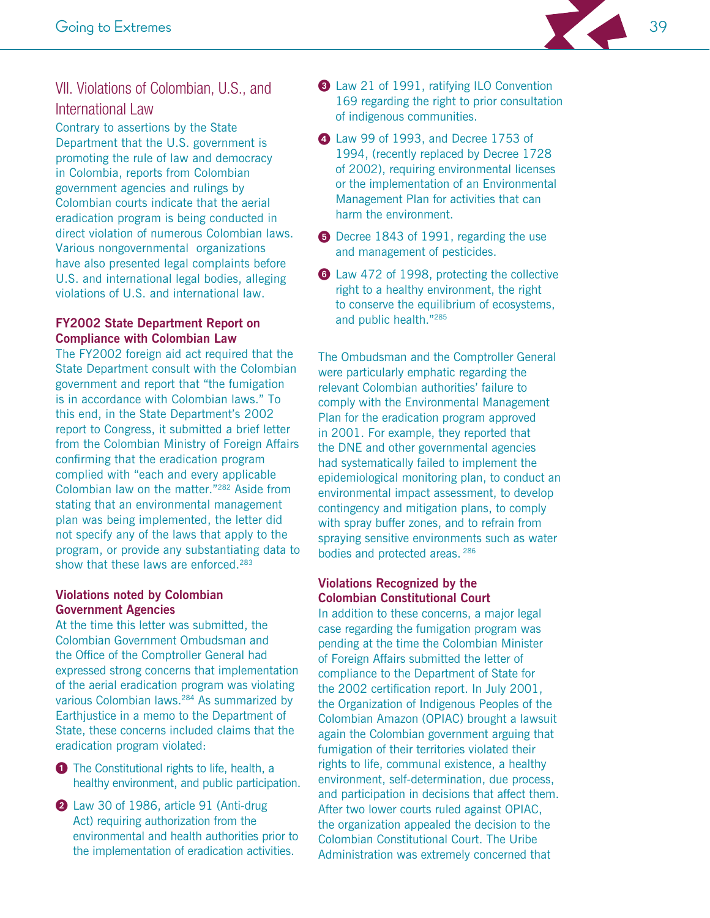

# VII. Violations of Colombian, U.S., and **International Law**

Contrary to assertions by the State Department that the U.S. government is promoting the rule of law and democracy in Colombia, reports from Colombian government agencies and rulings by Colombian courts indicate that the aerial eradication program is being conducted in direct violation of numerous Colombian laws. Various nongovernmental organizations have also presented legal complaints before U.S. and international legal bodies, alleging violations of U.S. and international law.

# **FY2002 State Department Report on Compliance with Colombian Law**

The FY2002 foreign aid act required that the State Department consult with the Colombian government and report that "the fumigation is in accordance with Colombian laws." To this end, in the State Department's 2002 report to Congress, it submitted a brief letter from the Colombian Ministry of Foreign Affairs confirming that the eradication program complied with "each and every applicable Colombian law on the matter."<sup>282</sup> Aside from stating that an environmental management plan was being implemented, the letter did not specify any of the laws that apply to the program, or provide any substantiating data to show that these laws are enforced.<sup>283</sup>

# **Violations noted by Colombian Government Agencies**

At the time this letter was submitted, the Colombian Government Ombudsman and the Office of the Comptroller General had expressed strong concerns that implementation of the aerial eradication program was violating various Colombian laws.<sup>284</sup> As summarized by Earthiustice in a memo to the Department of State, these concerns included claims that the eradication program violated:

- The Constitutional rights to life, health, a healthy environment, and public participation.
- 2 Law 30 of 1986, article 91 (Anti-drug Act) requiring authorization from the environmental and health authorities prior to the implementation of eradication activities.
- 3 Law 21 of 1991, ratifying ILO Convention 169 regarding the right to prior consultation of indigenous communities.
- 4 Law 99 of 1993, and Decree 1753 of 1994, (recently replaced by Decree 1728 of 2002), requiring environmental licenses or the implementation of an Environmental Management Plan for activities that can harm the environment.
- **D** Decree 1843 of 1991, regarding the use and management of pesticides.
- **6** Law 472 of 1998, protecting the collective right to a healthy environment, the right to conserve the equilibrium of ecosystems, and public health."285

The Ombudsman and the Comptroller General were particularly emphatic regarding the relevant Colombian authorities' failure to comply with the Environmental Management Plan for the eradication program approved in 2001. For example, they reported that the DNE and other governmental agencies had systematically failed to implement the epidemiological monitoring plan, to conduct an environmental impact assessment, to develop contingency and mitigation plans, to comply with spray buffer zones, and to refrain from spraying sensitive environments such as water bodies and protected areas. 286

# **Violations Recognized by the Colombian Constitutional Court**

In addition to these concerns, a major legal case regarding the fumigation program was pending at the time the Colombian Minister of Foreign Affairs submitted the letter of compliance to the Department of State for the 2002 certification report. In July 2001, the Organization of Indigenous Peoples of the Colombian Amazon (OPIAC) brought a lawsuit again the Colombian government arguing that fumigation of their territories violated their rights to life, communal existence, a healthy environment, self-determination, due process, and participation in decisions that affect them. After two lower courts ruled against OPIAC, the organization appealed the decision to the Colombian Constitutional Court. The Uribe Administration was extremely concerned that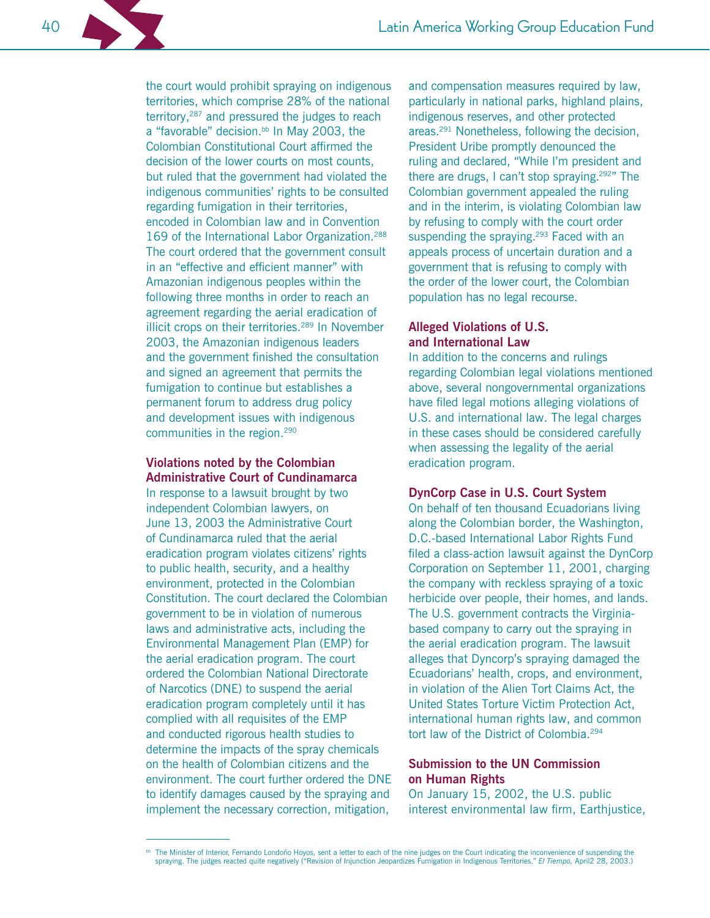the court would prohibit spraying on indigenous territories, which comprise 28% of the national territory,<sup>287</sup> and pressured the judges to reach a "favorable" decision.<sup>bb</sup> In May 2003, the Colombian Constitutional Court affirmed the decision of the lower courts on most counts, but ruled that the government had violated the indigenous communities' rights to be consulted regarding fumigation in their territories, encoded in Colombian law and in Convention 169 of the International Labor Organization.<sup>288</sup> The court ordered that the government consult in an "effective and efficient manner" with Amazonian indigenous peoples within the following three months in order to reach an agreement regarding the aerial eradication of illicit crops on their territories.<sup>289</sup> In November 2003, the Amazonian indigenous leaders and the government finished the consultation and signed an agreement that permits the fumigation to continue but establishes a permanent forum to address drug policy and development issues with indigenous communities in the region.<sup>290</sup>

# **Violations noted by the Colombian Administrative Court of Cundinamarca**

In response to a lawsuit brought by two independent Colombian lawyers, on June 13, 2003 the Administrative Court of Cundinamarca ruled that the aerial eradication program violates citizens' rights to public health, security, and a healthy environment, protected in the Colombian Constitution. The court declared the Colombian government to be in violation of numerous laws and administrative acts, including the Environmental Management Plan (EMP) for the aerial eradication program. The court ordered the Colombian National Directorate of Narcotics (DNE) to suspend the aerial eradication program completely until it has complied with all requisites of the EMP and conducted rigorous health studies to determine the impacts of the spray chemicals on the health of Colombian citizens and the environment. The court further ordered the DNE to identify damages caused by the spraying and implement the necessary correction, mitigation,

and compensation measures required by law, particularly in national parks, highland plains, indigenous reserves, and other protected areas.<sup>291</sup> Nonetheless, following the decision. President Uribe promptly denounced the ruling and declared, "While I'm president and there are drugs, I can't stop spraying.<sup>292"</sup> The Colombian government appealed the ruling and in the interim, is violating Colombian law by refusing to comply with the court order suspending the spraying.<sup>293</sup> Faced with an appeals process of uncertain duration and a government that is refusing to comply with the order of the lower court, the Colombian population has no legal recourse.

# **Alleged Violations of U.S.** and International Law

In addition to the concerns and rulings regarding Colombian legal violations mentioned above, several nongovernmental organizations have filed legal motions alleging violations of U.S. and international law. The legal charges in these cases should be considered carefully when assessing the legality of the aerial eradication program.

# **DynCorp Case in U.S. Court System**

On behalf of ten thousand Ecuadorians living along the Colombian border, the Washington, D.C.-based International Labor Rights Fund filed a class-action lawsuit against the DynCorp Corporation on September 11, 2001, charging the company with reckless spraying of a toxic herbicide over people, their homes, and lands. The U.S. government contracts the Virginiabased company to carry out the spraying in the aerial eradication program. The lawsuit alleges that Dyncorp's spraying damaged the Ecuadorians' health, crops, and environment, in violation of the Alien Tort Claims Act, the United States Torture Victim Protection Act. international human rights law, and common tort law of the District of Colombia.<sup>294</sup>

#### **Submission to the UN Commission** on Human Rights

On January 15, 2002, the U.S. public interest environmental law firm, Earthjustice,

40

bb The Minister of Interior, Fernando Londoño Hoyos, sent a letter to each of the nine judges on the Court indicating the inconvenience of suspending the spraying. The judges reacted quite negatively ("Revision of Injuncti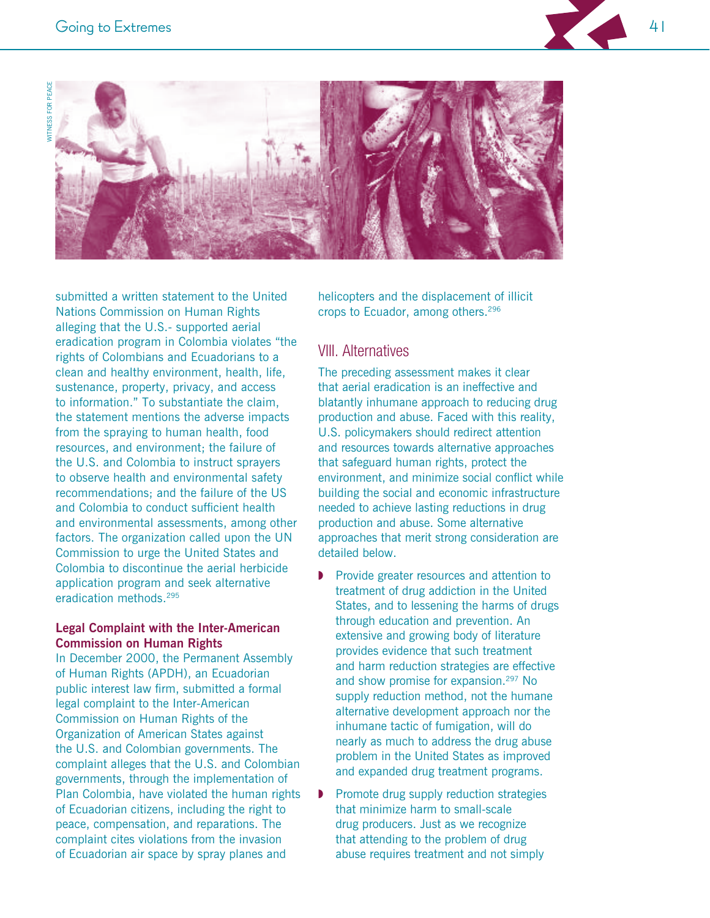



submitted a written statement to the United Nations Commission on Human Rights alleging that the U.S.- supported aerial eradication program in Colombia violates "the rights of Colombians and Ecuadorians to a clean and healthy environment, health, life, sustenance, property, privacy, and access to information." To substantiate the claim, the statement mentions the adverse impacts from the spraying to human health, food resources, and environment; the failure of the U.S. and Colombia to instruct sprayers to observe health and environmental safety recommendations; and the failure of the US and Colombia to conduct sufficient health and environmental assessments, among other factors. The organization called upon the UN Commission to urge the United States and Colombia to discontinue the aerial herbicide application program and seek alternative eradication methods.<sup>295</sup>

#### **Legal Complaint with the Inter-American Commission on Human Rights**

In December 2000, the Permanent Assembly of Human Rights (APDH), an Ecuadorian public interest law firm, submitted a formal legal complaint to the Inter-American Commission on Human Rights of the Organization of American States against the U.S. and Colombian governments. The complaint alleges that the U.S. and Colombian governments, through the implementation of Plan Colombia, have violated the human rights of Ecuadorian citizens, including the right to peace, compensation, and reparations. The complaint cites violations from the invasion of Ecuadorian air space by spray planes and

helicopters and the displacement of illicit crops to Ecuador, among others.<sup>296</sup>

# **VIII.** Alternatives

The preceding assessment makes it clear that aerial eradication is an ineffective and blatantly inhumane approach to reducing drug production and abuse. Faced with this reality, U.S. policymakers should redirect attention and resources towards alternative approaches that safeguard human rights, protect the environment, and minimize social conflict while building the social and economic infrastructure needed to achieve lasting reductions in drug production and abuse. Some alternative approaches that merit strong consideration are detailed below.

- Provide greater resources and attention to treatment of drug addiction in the United States, and to lessening the harms of drugs through education and prevention. An extensive and growing body of literature provides evidence that such treatment and harm reduction strategies are effective and show promise for expansion.<sup>297</sup> No supply reduction method, not the humane alternative development approach nor the inhumane tactic of fumigation, will do nearly as much to address the drug abuse problem in the United States as improved and expanded drug treatment programs.
- Promote drug supply reduction strategies that minimize harm to small-scale drug producers. Just as we recognize that attending to the problem of drug abuse requires treatment and not simply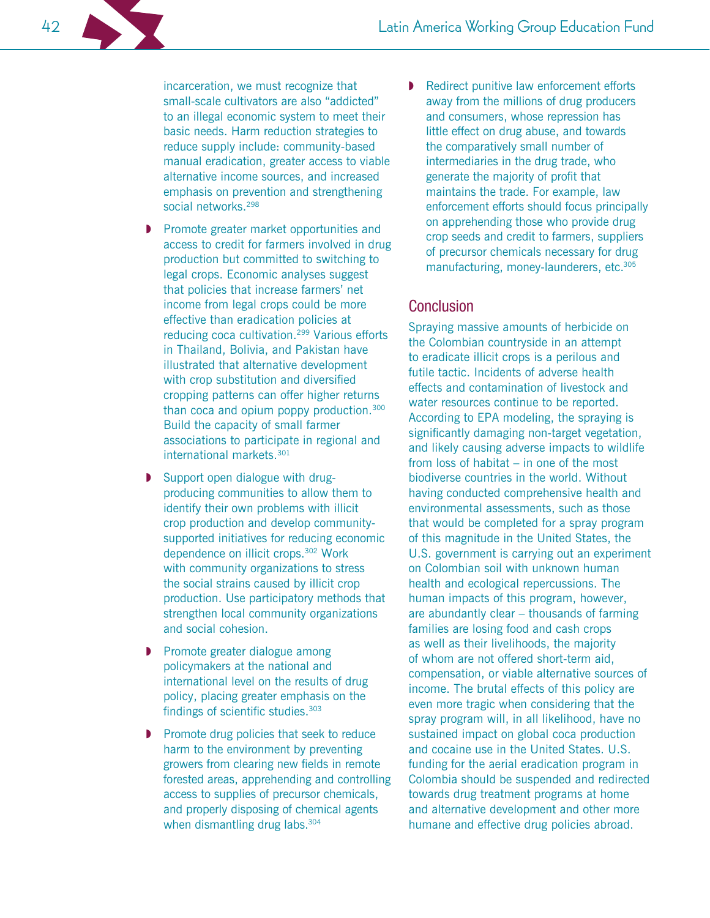incarceration, we must recognize that small-scale cultivators are also "addicted" to an illegal economic system to meet their basic needs. Harm reduction strategies to reduce supply include: community-based manual eradication, greater access to viable alternative income sources, and increased emphasis on prevention and strengthening social networks.<sup>298</sup>

- Promote greater market opportunities and access to credit for farmers involved in drug production but committed to switching to legal crops. Economic analyses suggest that policies that increase farmers' net income from legal crops could be more effective than eradication policies at reducing coca cultivation.<sup>299</sup> Various efforts in Thailand, Bolivia, and Pakistan have illustrated that alternative development with crop substitution and diversified cropping patterns can offer higher returns than coca and opium poppy production.<sup>300</sup> Build the capacity of small farmer associations to participate in regional and international markets.<sup>301</sup>
- Support open dialogue with drugproducing communities to allow them to identify their own problems with illicit crop production and develop communitysupported initiatives for reducing economic dependence on illicit crops.<sup>302</sup> Work with community organizations to stress the social strains caused by illicit crop production. Use participatory methods that strengthen local community organizations and social cohesion.
- Promote greater dialogue among policymakers at the national and international level on the results of drug policy, placing greater emphasis on the findings of scientific studies. 303
- Promote drug policies that seek to reduce harm to the environment by preventing growers from clearing new fields in remote forested areas, apprehending and controlling access to supplies of precursor chemicals, and properly disposing of chemical agents when dismantling drug labs.<sup>304</sup>

Redirect punitive law enforcement efforts away from the millions of drug producers and consumers, whose repression has little effect on drug abuse, and towards the comparatively small number of intermediaries in the drug trade, who generate the majority of profit that maintains the trade. For example, law enforcement efforts should focus principally on apprehending those who provide drug crop seeds and credit to farmers, suppliers of precursor chemicals necessary for drug manufacturing, money-launderers, etc.<sup>305</sup>

# Conclusion

Spraying massive amounts of herbicide on the Colombian countryside in an attempt to eradicate illicit crops is a perilous and futile tactic. Incidents of adverse health effects and contamination of livestock and water resources continue to be reported. According to EPA modeling, the spraying is significantly damaging non-target vegetation, and likely causing adverse impacts to wildlife from loss of habitat  $-$  in one of the most biodiverse countries in the world. Without having conducted comprehensive health and environmental assessments, such as those that would be completed for a spray program of this magnitude in the United States, the U.S. government is carrying out an experiment on Colombian soil with unknown human health and ecological repercussions. The human impacts of this program, however, are abundantly clear – thousands of farming families are losing food and cash crops as well as their livelihoods, the majority of whom are not offered short-term aid, compensation, or viable alternative sources of income. The brutal effects of this policy are even more tragic when considering that the spray program will, in all likelihood, have no sustained impact on global coca production and cocaine use in the United States. U.S. funding for the aerial eradication program in Colombia should be suspended and redirected towards drug treatment programs at home and alternative development and other more humane and effective drug policies abroad.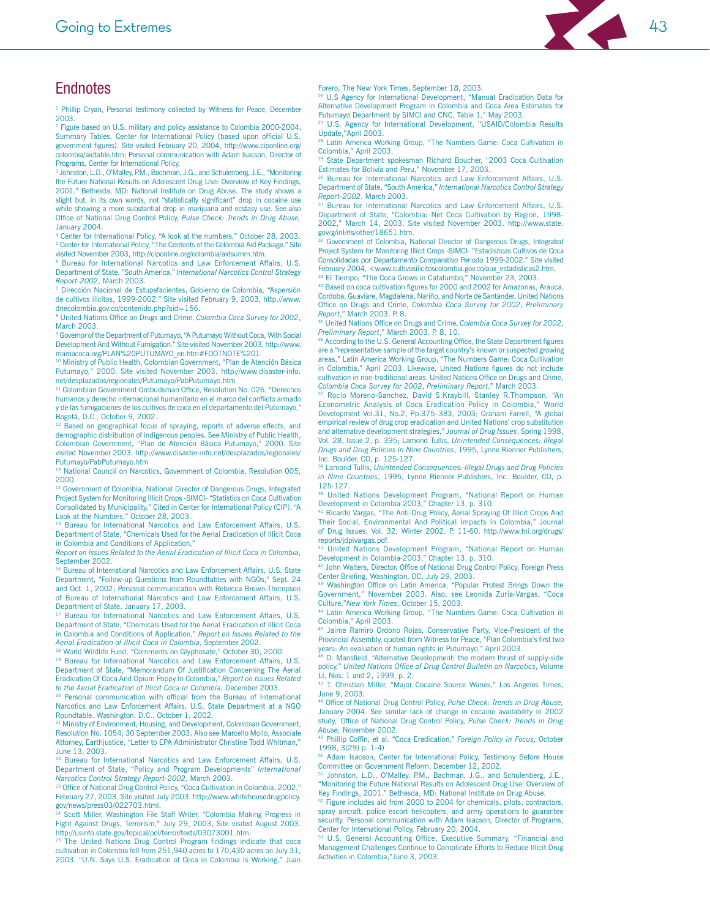# 43

# **Endnotes**

<sup>1</sup> Phillip Cryan, Personal testimony collected by Witness for Peace, December 2003.

<sup>2</sup> Figure based on U.S. military and policy assistance to Colombia 2000-2004, Summary Tables, Center for International Policy (based upon official U.S. government figures). Site visited February 20, 2004, http://www.ciponline.org/ colombia/aidtable.htm; Personal communication with Adam Isacson, Director of Programs Center for International Policy

<sup>3</sup> Johnston, L.D., O'Malley, P.M., Bachman, J.G., and Schulenberg, J.E., "Monitoring the Future National Results on Adolescent Drug Use: Overview of Key Findings. 2001." Bethesda, MD: National Institute on Drug Abuse. The study shows a slight but, in its own words, not "statistically significant" drop in cocaine use while showing a more substantial drop in marijuana and ecstasy use. See also Office of National Drug Control Policy, Pulse Check: Trends in Drug Abuse, January 2004.

structury Leo the International Policy, "A look at the numbers," October 28, 2003.<br><sup>5</sup> Center for International Policy, "The Contents of the Colombia Aid Package." Site visited November 2003, http://ciponline.org/colombia/

<sup>6</sup> Bureau for International Narcotics and Law Enforcement Affairs, U.S. Department of State, "South America," International Narcotics Control Strategy Report-2002, March 2003.

7 Dirección Nacional de Estupefacientes, Gobierno de Colombia, "Aspersión de cultivos ilícitos, 1999-2002." Site visited February 9, 2003, http://www. dnecolombia.gov.co/contenido.php?sid=156.

<sup>8</sup> United Nations Office on Drugs and Crime, Colombia Coca Survey for 2002, March 2003.

<sup>9</sup> Governor of the Department of Putumayo, "A Putumayo Without Coca, With Social Development And Without Fumigation." Site visited November 2003, http://www. mamacoca.org/PLAN%20PUTUMAYO\_en.htm#FOOTNOTE%201.

<sup>10</sup> Ministry of Public Health, Colombian Government, "Plan de Atención Básica Putumayo," 2000. Site visited November 2003. http://www.disaster-info. net/desplazados/regionales/Putumayo/PabPutumayo.htm

<sup>11</sup> Colombian Government Ombudsman Office, Resolution No. 026, "Derechos humanos y derecho internacional humanitario en el marco del conflicto armado y de las fumigaciones de los cultivos de coca en el departamento del Putumayo. Bogotá, D.C., October 9, 2002.

 $12$ Based on geographical focus of spraying, reports of adverse effects, and demographic distribution of indigenous peoples. See Ministry of Public Health, Colombian Government, "Plan de Atención Básica Putumayo," 2000. Site visited November 2003. http://www.disaster-info.net/desplazados/regionales/ Putumayo/PabPutumayo.htm

<sup>13</sup> National Council on Narcotics, Government of Colombia, Resolution 005, 2000.

<sup>14</sup> Government of Colombia, National Director of Dangerous Drugs, Integrated Project System for Monitoring Illicit Crops -SIMCI- "Statistics on Coca Cultivation Consolidated by Municipality," Cited in Center for International Policy (CIP), "A Look at the Numbers," October 28, 2003.

<sup>15</sup> Bureau for International Narcotics and Law Enforcement Affairs, U.S. Department of State, "Chemicals Used for the Aerial Eradication of Illicit Coca in Colombia and Conditions of Application,

Report on Issues Related to the Aerial Eradication of Illicit Coca in Colombia, September 2002.

<sup>16</sup> Bureau of International Narcotics and Law Enforcement Affairs, U.S. State Department. "Follow-up Questions from Roundtables with NGOs." Sept. 24 and Oct. 1, 2002: Personal communication with Rebecca Brown-Thompson of Bureau of International Narcotics and Law Enforcement Affairs, U.S. Department of State, January 17, 2003.

<sup>17</sup> Bureau for International Narcotics and Law Enforcement Affairs, U.S. Department of State, "Chemicals Used for the Aerial Eradication of Illicit Coca in Colombia and Conditions of Application," Report on Issues Related to the Aerial Eradication of Illicit Coca in Colombia, September 2002.

<sup>18</sup> World Wildlife Fund, "Comments on Glyphosate," October 30, 2000.

<sup>19</sup> Bureau for International Narcotics and Law Enforcement Affairs, U.S. Department of State, "Memorandum Of Justification Concerning The Aerial Eradication Of Coca And Opium Poppy In Colombia," Report on Issues Related to the Aerial Eradication of Illicit Coca in Colombia, December 2003.

<sup>20</sup> Personal communication with official from the Bureau of International Narcotics and Law Enforcement Affairs, U.S. State Department at a NGO Roundtable. Washington, D.C., October 1, 2002.

<sup>21</sup> Ministry of Environment, Housing, and Development, Colombian Government, Resolution No. 1054, 30 September 2003. Also see Marcello Mollo, Associate Attorney, Earthjustice, "Letter to EPA Administrator Christine Todd Whitman,'  $l$ une 13 2003

<sup>22</sup> Bureau for International Narcotics and Law Enforcement Affairs, U.S.<br>Department of State, "Policy and Program Developments" International Narcotics Control Strategy Report-2002, March 2003.<br><sup>23</sup> Office of National Drug Control Policy, "Coca Cultivation in Colombia, 2002,"

February 27, 2003. Site visited July 2003. http://www.whitehousedrugpolicy. gov/news/press03/022703.html.<br><sup>24</sup> Scott Miller, Washington File Staff Writer, "Colombia Making Progress in

Fight Against Drugs, Terrorism," July 29, 2003, Site visited August 2003. http://usinfo.state.gov/topical/pol/terror/texts/03073001.htm.

<sup>25</sup> The United Nations Drug Control Program findings indicate that coca cultivation in Colombia fell from 251,940 acres to 170,430 acres on July 31, 2003. "U.N. Says U.S. Eradication of Coca in Colombia Is Working," Juan Forero, The New York Times, September 18, 2003.

<sup>26</sup> U.S Agency for International Development, "Manual Eradication Data for Alternative Development Program in Colombia and Coca Area Estimates for Putumayo Department by SIMCI and CNC, Table 1," May 2003.

<sup>27</sup> U.S. Agency for International Development, "USAID/Colombia Results<br>Update,"April 2003.

<sup>28</sup> Latin America Working Group, "The Numbers Game: Coca Cultivation in Colombia," April 2003.

<sup>29</sup> State Department spokesman Richard Boucher, "2003 Coca Cultivation Estimates for Bolivia and Peru." November 17, 2003.

<sup>30</sup> Bureau for International Narcotics and Law Enforcement Affairs, U.S. Department of State, "South America," International Narcotics Control Strategy Report-2002, March 2003.

<sup>31</sup> Bureau for International Narcotics and Law Enforcement Affairs, U.S. Department of State, "Colombia: Net Coca Cultivation by Region, 1998-2002," March 14, 2003. Site visited November 2003. http://www.state. gov/g/inl/rls/other/18651.htm.

Government of Colombia, National Director of Dangerous Drugs, Integrated Project System for Monitoring Illicit Crops -SIMCI- "Estadisticas Cultivos de Coca Consolidadas por Departamento Comparativo Periodo 1999-2002." Site visited February 2004, <www.cultivosilicitoscolombia.gov.co/aux estadisticas2.htm. <sup>33</sup> El Tiempo, "The Coca Grows in Catatumbo," November 23, 2003.

<sup>34</sup> Based on coca cultivation figures for 2000 and 2002 for Amazonas, Arauca, Cordoba, Guaviare, Magdalena, Nariño, and Norte de Santander. United Nations Office on Drugs and Crime, Colombia Coca Survey for 2002, Preliminary Report." March 2003, P. 8.

<sup>35</sup> United Nations Office on Drugs and Crime, Colombia Coca Survey for 2002, Preliminary Report," March 2003. P. 8, 10.

<sup>36</sup> According to the U.S. General Accounting Office, the State Department figures are a "representative sample of the target country's known or suspected growing areas." Latin America Working Group, "The Numbers Game: Coca Cultivation in Colombia," April 2003. Likewise, United Nations figures do not include cultivation in non-traditional areas. United Nations Office on Drugs and Crime, Colombia Coca Survey for 2002, Preliminary Report," March 2003.

Rocio Moreno-Sanchez, David S.Kraybill, Stanley R.Thompson, "An Econometric Analysis of Coca Eradication Policy in Colombia," World Development Vol.31, No.2, Pp.375-383, 2003; Graham Farrell, "A global empirical review of drug crop eradication and United Nations' crop substitution and alternative development strategies," Journal of Drug Issues, Spring 1998, Vol. 28, Issue 2, p. 395; Lamond Tullis, Unintended Consequences: Illegal Drugs and Drug Policies in Nine Countries, 1995, Lynne Rienner Publishers, Inc. Boulder, CO, p. 125-127.

<sup>38</sup> Lamond Tullis, Unintended Consequences: Illegal Drugs and Drug Policies in Nine Countries, 1995, Lynne Rienner Publishers, Inc. Boulder, CO, p. 125-127

<sup>39</sup> United Nations Development Program, "National Report on Human Development in Colombia-2003," Chapter 13, p. 310.

<sup>40</sup> Ricardo Vargas, "The Anti-Drug Policy, Aerial Spraying Of Illicit Crops And Their Social, Environmental And Political Impacts In Colombia," Journal of Drug Issues, Vol. 32, Winter 2002. P. 11-60. http://www.tni.org/drugs/ reports/idpivargas.pdf.

reports/<br>
41 United Nations Development Program, "National Report on Human<br>
Development in Colombia-2003," Chapter 13, p. 310.

42 John Walters, Director, Office of National Drug Control Policy, Foreign Press Center Briefing, Washington, DC, July 29, 2003.<br><sup>43</sup> Washington Office on Latin America, "Popular Protest Brings Down the

Government," November 2003. Also, see Leonida Zuria-Vargas, "Coca Culture,"New York Times, October 15, 2003.

<sup>44</sup> Latin America Working Group, "The Numbers Game: Coca Cultivation in Colombia," April 2003.

<sup>45</sup> Jaime Ramiro Ordono Rojas, Conservative Party, Vice-President of the Provincial Assembly, quoted from Witness for Peace, "Plan Colombia's first two years: An evaluation of human rights in Putumayo," April 2003.

46 D. Mansfield. "Alternative Development: the modern thrust of supply-side policy," United Nations Office of Drug Control Bulletin on Narcotics, Volume LI, Nos. 1 and 2, 1999, p. 2.

<sup>47</sup> T. Christian Miller, "Major Cocaine Source Wanes," Los Angeles Times, June 9, 2003.

<sup>48</sup> Office of National Drug Control Policy, Pulse Check: Trends in Drug Abuse, January 2004. See similar lack of change in cocaine availability in 2002 study, Office of National Drug Control Policy, Pulse Check: Trends in Drug Abuse. November 2002.

<sup>49</sup> Phillip Coffin, et al. "Coca Eradication," Foreign Policy in Focus, October 1998, 3(29) p. 1-4)

<sup>6</sup> Adam Isacson, Center for International Policy, Testimony Before House Committee on Government Reform, December 12, 2002.

<sup>51</sup> Johnston, L.D., O'Malley, P.M., Bachman, J.G., and Schulenberg, J.E., "Monitoring the Future National Results on Adolescent Drug Use: Overview of Key Findings, 2001." Bethesda, MD: National Institute on Drug Abuse.

Figure includes aid from 2000 to 2004 for chemicals, pilots, contractors, spray aircraft, police escort helicopters, and army operations to guarantee security. Personal communication with Adam Isacson, Director of Programs, Center for International Policy, February 20, 2004.

53 U.S. General Accounting Office, Executive Summary, "Financial and Management Challenges Continue to Complicate Efforts to Reduce Illicit Drug Activities in Colombia,"June 3, 2003.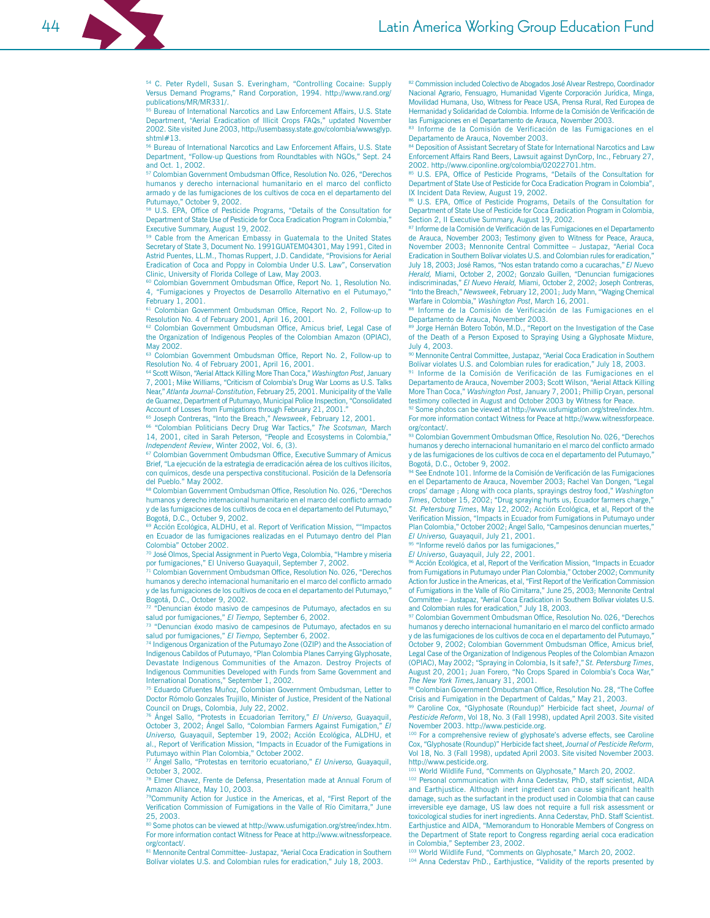<sup>54</sup> C. Peter Rydell, Susan S. Everingham, "Controlling Cocaine: Supply Versus Demand Programs," Rand Corporation, 1994. http://www.rand.org/ publications/MR/MR331/.

Bureau of International Narcotics and Law Enforcement Affairs, U.S. State Department, "Aerial Eradication of Illicit Crops FAQs," updated November 2002. Site visited June 2003, http://usembassy.state.gov/colombia/wwwsglyp.  $shtml#13$ 

<sup>56</sup> Bureau of International Narcotics and Law Enforcement Affairs, U.S. State Department, "Follow-up Questions from Roundtables with NGOs," Sept. 24 and Oct. 1, 2002.

<sup>57</sup> Colombian Government Ombudsman Office, Resolution No. 026, "Derechos humanos y derecho internacional humanitario en el marco del conflicto armado y de las fumigaciones de los cultivos de coca en el departamento del Putumavo." October 9, 2002.

<sup>58</sup> U.S. EPA, Office of Pesticide Programs, "Details of the Consultation for Department of State Use of Pesticide for Coca Eradication Program in Colombia, Executive Summary, August 19, 2002.

Cable from the American Embassy in Guatemala to the United States Secretary of State 3, Document No. 1991GUATEM04301, May 1991, Cited in Astrid Puentes, LL.M., Thomas Ruppert, J.D. Candidate, "Provisions for Aerial Eradication of Coca and Poppy in Colombia Under U.S. Law", Conservation Clinic, University of Florida College of Law, May 2003.

<sup>60</sup> Colombian Government Ombudsman Office, Report No. 1, Resolution No. 4, "Fumigaciones y Proyectos de Desarrollo Alternativo en el Putumayo, February 1, 2001.

<sup>61</sup> Colombian Government Ombudsman Office, Report No. 2, Follow-up to Resolution No. 4 of February 2001, April 16, 2001.

<sup>62</sup> Colombian Government Ombudsman Office, Amicus brief, Legal Case of the Organization of Indigenous Peoples of the Colombian Amazon (OPIAC), May 2002.

<sup>63</sup> Colombian Government Ombudsman Office, Report No. 2, Follow-up to Resolution No. 4 of February 2001, April 16, 2001.

64 Scott Wilson, "Aerial Attack Killing More Than Coca," Washington Post, January 7, 2001; Mike Williams, "Criticism of Colombia's Drug War Looms as U.S. Talks Near," Atlanta Journal-Constitution, February 25, 2001. Municipality of the Valle de Guamez, Department of Putumayo, Municipal Police Inspection, "Consolidated Account of Losses from Fumigations through February 21, 2001.

<sup>65</sup> Joseph Contreras, "Into the Breach," Newsweek, February 12, 2001.

<sup>66</sup> "Colombian Politicians Decry Drug War Tactics," The Scotsman, March 14, 2001, cited in Sarah Peterson, "People and Ecosystems in Colombia," Independent Review, Winter 2002, Vol. 6, (3).

Colombian Government Ombudsman Office, Executive Summary of Amicus Brief, "La ejecución de la estrategia de erradicación aérea de los cultivos ilícitos, con químicos, desde una perspectiva constitucional. Posición de la Defensoría del Pueblo." May 2002.

<sup>68</sup> Colombian Government Ombudsman Office, Resolution No. 026, "Derechos humanos y derecho internacional humanitario en el marco del conflicto armado y de las fumigaciones de los cultivos de coca en el departamento del Putumayo," Bogotá, D.C., Octuber 9, 2002.

<sup>69</sup> Acción Ecológica, ALDHU, et al. Report of Verification Mission, ""Impactos en Ecuador de las fumigaciones realizadas en el Putumayo dentro del Plan Colombia" October 2002.

70 José Olmos, Special Assignment in Puerto Vega, Colombia, "Hambre y miseria por fumigaciones," El Universo Guayaquil, September 7, 2002.

71 Colombian Government Ombudsman Office, Resolution No. 026, "Derechos humanos y derecho internacional humanitario en el marco del conflicto armado y de las fumigaciones de los cultivos de coca en el departamento del Putumayo," Bogotá, D.C., October 9, 2002.

72 "Denuncian éxodo masivo de campesinos de Putumayo, afectados en su salud por fumigaciones," El Tiempo, September 6, 2002.

73 "Denuncian éxodo masivo de campesinos de Putumayo, afectados en su salud por fumigaciones," El Tiempo, September 6, 2002.

74 Indigenous Organization of the Putumayo Zone (OZIP) and the Association of Indigenous Cabildos of Putumayo, "Plan Colombia Planes Carrying Glyphosate, Devastate Indigenous Communities of the Amazon. Destroy Projects of Indigenous Communities Developed with Funds from Same Government and International Donations." September 1, 2002.

75 Eduardo Cifuentes Muñoz, Colombian Government Ombudsman, Letter to Doctor Rómolo Gonzales Trujillo, Minister of Justice, President of the National Council on Drugs, Colombia, July 22, 2002.

"Protests in Ecuadorian Territory," El Universo, Guayaquil Ángel Sallo. October 3, 2002; Ángel Sallo, "Colombian Farmers Against Fumigation," El Universo, Guavaguil, September 19, 2002; Acción Ecológica, ALDHU, et al., Report of Verification Mission, "Impacts in Ecuador of the Fumigations in Putumayo within Plan Colombia," October 2002.

77 Ángel Sallo, "Protestas en territorio ecuatoriano," El Universo, Guayaquil, October 3, 2002.

78 Elmer Chavez, Frente de Defensa, Presentation made at Annual Forum of Amazon Alliance, May 10, 2003.

79Community Action for Justice in the Americas, et al, "First Report of the Verification Commission of Fumigations in the Valle of Río Cimitarra," June 25.2003.

80 Some photos can be viewed at http://www.usfumigation.org/stree/index.htm. For more information contact Witness for Peace at http://www.witnessforpeace. org/contact/.

81 Mennonite Central Committee- Justapaz, "Aerial Coca Eradication in Southern Bolívar violates U.S. and Colombian rules for eradication," July 18, 2003.

82 Commission included Colectivo de Abogados José Alvear Restrepo, Coordinador Nacional Agrario, Fensuagro, Humanidad Vigente Corporación Jurídica, Minga, Movilidad Humana, Uso, Witness for Peace USA, Prensa Rural, Red Europea de Hermanidad y Solidaridad de Colombia. Informe de la Comisión de Verificación de las Fumigaciones en el Departamento de Arauca, November 2003.

83 Informe de la Comisión de Verificación de las Fumigaciones en el Departamento de Arauca, November 2003.

<sup>4</sup> Deposition of Assistant Secretary of State for International Narcotics and Law Enforcement Affairs Rand Beers, Lawsuit against DynCorp, Inc., February 27, 2002. http://www.ciponline.org/colombia/02022701.htm.

85 U.S. EPA, Office of Pesticide Programs, "Details of the Consultation for Department of State Use of Pesticide for Coca Eradication Program in Colombia", IX Incident Data Review, August 19, 2002.

86 U.S. EPA, Office of Pesticide Programs, Details of the Consultation for Department of State Use of Pesticide for Coca Eradication Program in Colombia, Section 2, Il Executive Summary, August 19, 2002.

87 Informe de la Comisión de Verificación de las Fumigaciones en el Departamento de Arauca, November 2003; Testimony given to Witness for Peace, Arauca, November 2003; Mennonite Central Committee - Justapaz, "Aerial Coca Eradication in Southern Bolívar violates U.S. and Colombian rules for eradication," July 18, 2003; José Ramos, "Nos estan tratando como a cucarachas," El Nuevo Herald, Miami, October 2, 2002; Gonzalo Guillen, "Denuncian fumigaciones indiscriminadas," El Nuevo Herald, Miami, October 2, 2002; Joseph Contreras, "Into the Breach," Newsweek, February 12, 2001; Judy Mann, "Waging Chemical Warfare in Colombia," Washington Post, March 16, 2001.

38 Informe de la Comisión de Verificación de las Fumigaciones en el Departamento de Arauca. November 2003.

s procurante de contrar, commencement and the Investigation of the Case of the Death of a Person Exposed to Spraying Using a Glyphosate Mixture, July 4, 2003.

90 Mennonite Central Committee, Justapaz, "Aerial Coca Eradication in Southern Bolívar violates U.S. and Colombian rules for eradication," July 18, 2003.

91 Informe de la Comisión de Verificación de las Fumigaciones en el Departamento de Arauca, November 2003; Scott Wilson, "Aerial Attack Killing More Than Coca," Washington Post, January 7, 2001; Phillip Cryan, personal testimony collected in August and October 2003 by Witness for Peace

92 Some photos can be viewed at http://www.usfumigation.org/stree/index.htm. For more information contact Witness for Peace at http://www.witnessforpeace. org/contact/.

93 Colombian Government Ombudsman Office, Resolution No. 026, "Derechos humanos y derecho internacional humanitario en el marco del conflicto armado y de las fumigaciones de los cultivos de coca en el departamento del Putumayo,' Bogotá, D.C., October 9, 2002.

94 See Endnote 101. Informe de la Comisión de Verificación de las Fumigaciones en el Departamento de Arauca, November 2003; Rachel Van Dongen, "Legal crops' damage ; Along with coca plants, sprayings destroy food," Washington Times, October 15, 2002; "Drug spraying hurts us, Ecuador farmers charge," St. Petersburg Times, May 12, 2002; Acción Ecológica, et al, Report of the Verification Mission, "Impacts in Ecuador from Fumigations in Putumayo under Plan Colombia," October 2002; Ángel Sallo, "Campesinos denuncian muertes," El Universo. Guavaguil, July 21, 2001.

"Informe reveló daños por las fumigaciones,"

El Universo, Guayaquil, July 22, 2001.

Acción Ecológica, et al, Report of the Verification Mission, "Impacts in Ecuador from Fumigations in Putumayo under Plan Colombia," October 2002; Community Action for Justice in the Americas, et al, "First Report of the Verification Commission of Fumigations in the Valle of Río Cimitarra," June 25, 2003; Mennonite Central Committee - Justapaz, "Aerial Coca Eradication in Southern Bolívar violates U.S. and Colombian rules for eradication," July 18, 2003.

<sup>97</sup> Colombian Government Ombudsman Office, Resolution No. 026, "Derechos humanos y derecho internacional humanitario en el marco del conflicto armado y de las fumigaciones de los cultivos de coca en el departamento del Putumayo, October 9, 2002; Colombian Government Ombudsman Office, Amicus brief, Legal Case of the Organization of Indigenous Peoples of the Colombian Amazon (OPIAC), May 2002; "Spraying in Colombia, Is it safe?," St. Petersburg Times, August 20, 2001; Juan Forero, "No Crops Spared in Colombia's Coca War,' The New York Times, January 31, 2001.

<sup>38</sup> Colombian Government Ombudsman Office, Resolution No. 28, "The Coffee Crisis and Fumigation in the Department of Caldas," May 21, 2003.

99 Caroline Cox, "Glyphosate (Roundup)" Herbicide fact sheet, Journal of Pesticide Reform, Vol 18, No. 3 (Fall 1998), updated April 2003. Site visited November 2003. http://www.pesticide.org.

100 For a comprehensive review of glyphosate's adverse effects, see Caroline Cox, "Glyphosate (Roundup)" Herbicide fact sheet, Journal of Pesticide Reform, Vol 18, No. 3 (Fall 1998), updated April 2003. Site visited November 2003. http://www.pesticide.org.<br><sup>101</sup> World Wildlife Fund, "Comments on Glyphosate," March 20, 2002.

<sup>102</sup> Personal communication with Anna Cederstav, PhD, staff scientist, AIDA and Earthjustice. Although inert ingredient can cause significant health damage, such as the surfactant in the product used in Colombia that can cause irreversible eye damage, US law does not require a full risk assessment or toxicological studies for inert ingredients. Anna Cederstav, PhD. Staff Scientist. Earthjustice and AIDA, "Memorandum to Honorable Members of Congress on the Department of State report to Congress regarding aerial coca eradication in Colombia," September 23, 2002.

<sup>103</sup> World Wildlife Fund, "Comments on Glyphosate," March 20, 2002.

104 Anna Cederstav PhD., Earthjustice, "Validity of the reports presented by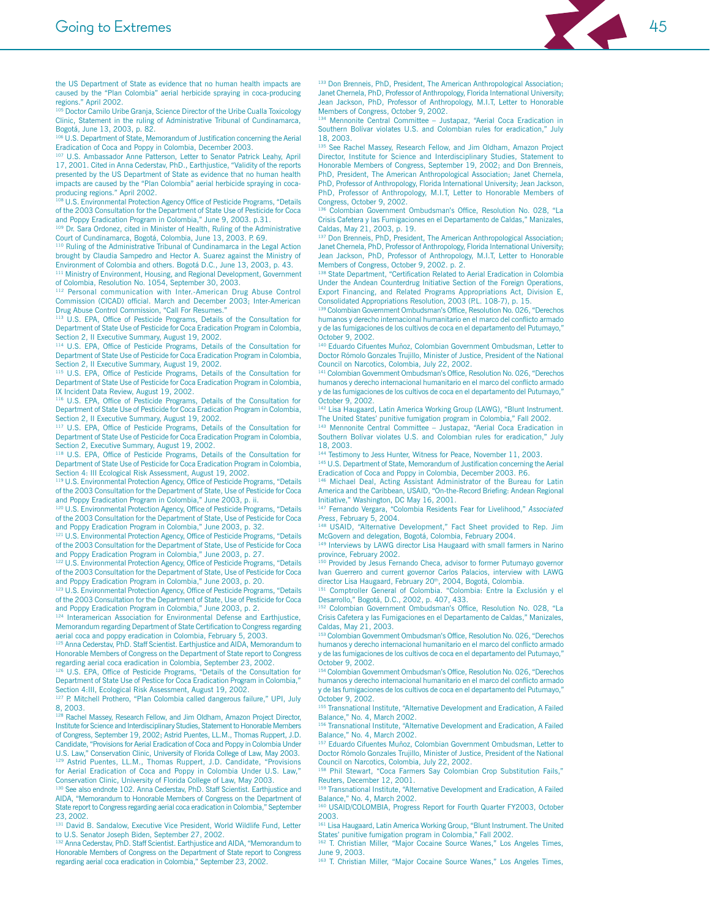

the US Department of State as evidence that no human health impacts are caused by the "Plan Colombia" aerial herbicide spraving in coca-producing regions." April 2002.<br><sup>105</sup> Doctor Camilo Uribe Granja, Science Director of the Uribe Cualla Toxicology

Clinic, Statement in the ruling of Administrative Tribunal of Cundinamarca, Bogotá, June 13, 2003, p. 82.

106 U.S. Department of State, Memorandum of Justification concerning the Aerial Eradication of Coca and Poppy in Colombia, December 2003.

107 U.S. Ambassador Anne Patterson, Letter to Senator Patrick Leahy, April 17, 2001. Cited in Anna Cederstav, PhD., Earthjustice, "Validity of the reports presented by the US Department of State as evidence that no human health impacts are caused by the "Plan Colombia" aerial herbicide spraying in cocaproducing regions." April 2002.

108 U.S. Environmental Protection Agency Office of Pesticide Programs, "Details of the 2003 Consultation for the Department of State Use of Pesticide for Coca and Poppy Eradication Program in Colombia," June 9, 2003. p.31.

109 Dr. Sara Ordonez, cited in Minister of Health, Ruling of the Administrative Court of Cundinamarca, Bogotá, Colombia, June 13, 2003. P. 69.

<sup>110</sup> Ruling of the Administrative Tribunal of Cundinamarca in the Legal Action brought by Claudia Sampedro and Hector A. Suarez against the Ministry of Environment of Colombia and others. Bogotá D.C., June 13, 2003, p. 43.

<sup>111</sup> Ministry of Environment, Housing, and Regional Development, Government of Colombia, Resolution No. 1054, September 30, 2003. 112 Personal communication with Inter.-American Drug Abuse Control

Commission (CICAD) official. March and December 2003; Inter-American<br>Drug Abuse Control Commission. "Call For Resumes."

<sup>113</sup> U.S. EPA, Office of Pesticide Programs, Details of the Consultation for Department of State Use of Pesticide for Coca Eradication Program in Colombia. Section 2. Il Executive Summary, August 19, 2002.

<sup>114</sup> U.S. EPA, Office of Pesticide Programs, Details of the Consultation for Department of State Use of Pesticide for Coca Eradication Program in Colombia, Section 2, Il Executive Summary, August 19, 2002.

<sup>115</sup> U.S. EPA, Office of Pesticide Programs, Details of the Consultation for Department of State Use of Pesticide for Coca Eradication Program in Colombia, IX Incident Data Review, August 19, 2002.

<sup>116</sup> U.S. EPA, Office of Pesticide Programs, Details of the Consultation for Department of State Use of Pesticide for Coca Eradication Program in Colombia, Section 2, Il Executive Summary, August 19, 2002.

<sup>117</sup> U.S. EPA, Office of Pesticide Programs, Details of the Consultation for Department of State Use of Pesticide for Coca Eradication Program in Colombia, Section 2, Executive Summary, August 19, 2002.

<sup>118</sup> U.S. EPA, Office of Pesticide Programs, Details of the Consultation for Department of State Use of Pesticide for Coca Eradication Program in Colombia, Section 4: III Ecological Risk Assessment, August 19, 2002

<sup>119</sup> U.S. Environmental Protection Agency, Office of Pesticide Programs, "Details of the 2003 Consultation for the Department of State, Use of Pesticide for Coca and Poppy Eradication Program in Colombia," June 2003, p. ii.

120 U.S. Environmental Protection Agency, Office of Pesticide Programs, "Details of the 2003 Consultation for the Department of State. Use of Pesticide for Coca and Poppy Eradication Program in Colombia," June 2003, p. 32.

<sup>121</sup> U.S. Environmental Protection Agency, Office of Pesticide Programs, "Details of the 2003 Consultation for the Department of State, Use of Pesticide for Coca and Poppy Eradication Program in Colombia," June 2003, p. 27.

122 U.S. Environmental Protection Agency, Office of Pesticide Programs, "Details of the 2003 Consultation for the Department of State, Use of Pesticide for Coca and Poppy Eradication Program in Colombia," June 2003, p. 20.

<sup>123</sup> U.S. Environmental Protection Agency, Office of Pesticide Programs, "Details of the 2003 Consultation for the Department of State, Use of Pesticide for Coca and Poppy Eradication Program in Colombia," June 2003, p. 2.

<sup>124</sup> Interamerican Association for Environmental Defense and Earthjustice, Memorandum regarding Department of State Certification to Congress regarding aerial coca and poppy eradication in Colombia, February 5, 2003.

<sup>125</sup> Anna Cederstav, PhD. Staff Scientist. Earthjustice and AIDA, Memorandum to Honorable Members of Congress on the Department of State report to Congress regarding activities of congression are department of State report to the regarding aerotion occurs are radication in Colombia. September 23, 2002.

U.S. EPA, Office of Pesticide Programs, "Details of the Consultation for Department of State Use of Pestice for Coca Eradication Program in Colombia," Section 4:III, Ecological Risk Assessment, August 19, 2002

P. Mitchell Prothero, "Plan Colombia called dangerous failure," UPI, July 8, 2003.

<sup>8</sup> Rachel Massey, Research Fellow, and Jim Oldham, Amazon Project Director, Institute for Science and Interdisciplinary Studies, Statement to Honorable Members of Congress, September 19, 2002; Astrid Puentes, LL.M., Thomas Ruppert, J.D. Candidate, "Provisions for Aerial Eradication of Coca and Poppy in Colombia Under U.S. Law," Conservation Clinic, University of Florida College of Law, May 2003. 129 Astrid Puentes, LL.M., Thomas Ruppert, J.D. Candidate, "Provisions for Aerial Eradication of Coca and Poppy in Colombia Under U.S. Law," Conservation Clinic, University of Florida College of Law, May 2003.

130 See also endnote 102. Anna Cederstav, PhD. Staff Scientist. Earthjustice and AIDA, "Memorandum to Honorable Members of Congress on the Department of State report to Congress regarding aerial coca eradication in Colombia," September 23, 2002

<sup>131</sup> David B. Sandalow, Executive Vice President, World Wildlife Fund, Letter to U.S. Senator Joseph Biden, September 27, 2002.

132 Anna Cederstav, PhD. Staff Scientist. Earthjustice and AIDA, "Memorandum to Honorable Members of Congress on the Department of State report to Congress regarding aerial coca eradication in Colombia," September 23, 2002.

133 Don Brenneis, PhD, President, The American Anthropological Association; Janet Chernela, PhD, Professor of Anthropology, Florida International University: Jean Jackson, PhD, Professor of Anthropology, M.I.T, Letter to Honorable Members of Congress, October 9, 2002.

134 Mennonite Central Committee - Justapaz, "Aerial Coca Eradication in Southern Bolívar violates U.S. and Colombian rules for eradication," July 18 2003

See Rachel Massey, Research Fellow, and Jim Oldham, Amazon Project Director, Institute for Science and Interdisciplinary Studies, Statement to Honorable Members of Congress, September 19, 2002; and Don Brenneis, PhD, President, The American Anthropological Association; Janet Chernela, PhD, Professor of Anthropology, Florida International University; Jean Jackson, PhD, Professor of Anthropology, M.I.T, Letter to Honorable Members of Congress, October 9, 2002

136 Colombian Government Ombudsman's Office, Resolution No. 028, "La Crisis Cafetera y las Fumigaciones en el Departamento de Caldas," Manizales, Caldas, May 21, 2003, p. 19.

<sup>137</sup> Don Brenneis, PhD, President, The American Anthropological Association; Janet Chernela, PhD, Professor of Anthropology, Florida International University; Jean Jackson, PhD, Professor of Anthropology, M.I.T, Letter to Honorable Members of Congress, October 9, 2002. p. 2.

<sup>138</sup> State Department, "Certification Related to Aerial Eradication in Colombia Under the Andean Counterdrug Initiative Section of the Foreign Operations, Export Financing, and Related Programs Appropriations Act, Division E, Consolidated Appropriations Resolution, 2003 (P.L. 108-7), p. 15.

139 Colombian Government Ombudsman's Office. Resolution No. 026. "Derechos humanos y derecho internacional humanitario en el marco del conflicto armado y de las fumigaciones de los cultivos de coca en el departamento del Putumayo.' October 9, 2002.

<sup>140</sup> Eduardo Cifuentes Muñoz, Colombian Government Ombudsman, Letter to Doctor Rómolo Gonzales Trujillo, Minister of Justice, President of the National Council on Narcotics, Colombia, July 22, 2002.

<sup>141</sup> Colombian Government Ombudsman's Office, Resolution No. 026, "Derechos humanos y derecho internacional humanitario en el marco del conflicto armado y de las fumigaciones de los cultivos de coca en el departamento del Putumayo," October 9, 2002

<sup>142</sup> Lisa Haugaard, Latin America Working Group (LAWG), "Blunt Instrument. The United States' punitive fumigation program in Colombia," Fall 2002.

143 Mennonite Central Committee - Justapaz, "Aerial Coca Eradication in Southern Bolívar violates U.S. and Colombian rules for eradication," July 18, 2003

144 Testimony to Jess Hunter, Witness for Peace, November 11, 2003

<sup>145</sup> U.S. Department of State, Memorandum of Justification concerning the Aerial Eradication of Coca and Poppy in Colombia, December 2003. P.6.

146 Michael Deal, Acting Assistant Administrator of the Bureau for Latin America and the Caribbean, USAID, "On-the-Record Briefing: Andean Regional<br>Initiative," Washington, DC May 16, 2001.

147 Fernando Vergara, "Colombia Residents Fear for Livelihood," Associated Press. February 5, 2004.

<sup>48</sup> USAID, "Alternative Development," Fact Sheet provided to Rep. Jim McGovern and delegation, Bogotá, Colombia, February 2004.

149 Interviews by LAWG director Lisa Haugaard with small farmers in Narino province. February 2002.

Provided by Jesus Fernando Checa, advisor to former Putumayo governor Ivan Guerrero and current governor Carlos Palacios, interview with LAWG director Lisa Haugaard, February 20th, 2004, Bogotá, Colombia

151 Comptroller General of Colombia. "Colombia: Entre la Exclusión y el Desarrollo," Bogotá, D.C., 2002, p. 407, 433.

152 Colombian Government Ombudsman's Office, Resolution No. 028, "La Crisis Cafetera y las Fumigaciones en el Departamento de Caldas," Manizales, Caldas, May 21, 2003.

153 Colombian Government Ombudsman's Office, Resolution No. 026, "Derechos humanos y derecho internacional humanitario en el marco del conflicto armado y de las fumigaciones de los cultivos de coca en el departamento del Putumayo, October 9, 2002.

154 Colombian Government Ombudsman's Office, Resolution No. 026, "Derechos humanos y derecho internacional humanitario en el marco del conflicto armado y de las fumigaciones de los cultivos de coca en el departamento del Putumayo," October 9 2002

<sup>155</sup> Transnational Institute, "Alternative Development and Eradication, A Failed Balance." No. 4. March 2002.

156 Transnational Institute, "Alternative Development and Eradication, A Failed Balance," No. 4, March 2002.

<sup>157</sup> Eduardo Cifuentes Muñoz, Colombian Government Ombudsman, Letter to Doctor Rómolo Gonzales Trujillo, Minister of Justice, President of the National Council on Narcotics, Colombia, July 22, 2002.

<sup>158</sup> Phil Stewart, "Coca Farmers Say Colombian Crop Substitution Fails," Reuters, December 12, 2001.

159 Transnational Institute, "Alternative Development and Eradication, A Failed Balance," No. 4, March 2002.

160 USAID/COLOMBIA, Progress Report for Fourth Quarter FY2003, October 2003

<sup>161</sup> Lisa Haugaard, Latin America Working Group, "Blunt Instrument. The United States' punitive fumigation program in Colombia," Fall 2002.

<sup>162</sup> T. Christian Miller, "Major Cocaine Source Wanes," Los Angeles Times, June 9, 2003.

163 T. Christian Miller, "Major Cocaine Source Wanes," Los Angeles Times,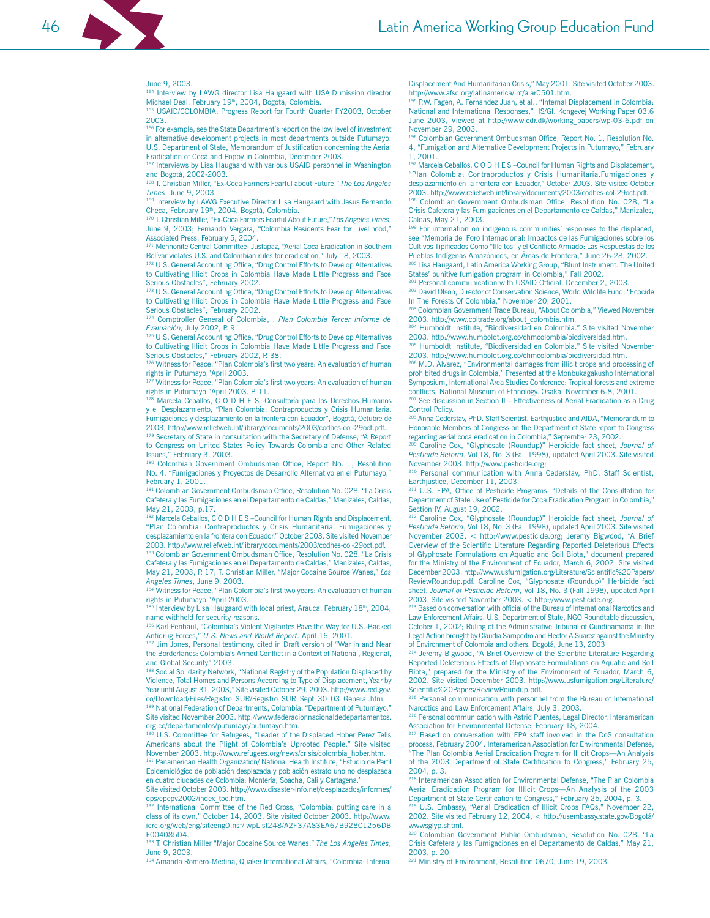Interview by LAWG director Lisa Haugaard with USAID mission director Michael Deal, February 19th, 2004, Bogotá, Colombia.

165 USAID/COLOMBIA, Progress Report for Fourth Quarter FY2003, October 2003.

<sup>166</sup> For example, see the State Department's report on the low level of investment in alternative development projects in most departments outside Putumayo. U.S. Department of State. Memorandum of Justification concerning the Aerial Eradication of Coca and Poppy in Colombia, December 2003.

<sup>167</sup> Interviews by Lisa Haugaard with various USAID personnel in Washington and Bogotá, 2002-2003.

168 T. Christian Miller, "Ex-Coca Farmers Fearful about Future," The Los Angeles Times, June 9, 2003

169 Interview by LAWG Executive Director Lisa Haugaard with Jesus Fernando Checa, February 19<sup>th</sup>, 2004, Bogotá, Colombia.<br><sup>170</sup> T. Christian Miller, "Ex-Coca Farmers Fearful About Future," Los Angeles Times

June 9, 2003; Fernando Vergara, "Colombia Residents Fear for Livelihood," Associated Press, February 5, 2004.

171 Mennonite Central Committee- Justapaz, "Aerial Coca Eradication in Southern Bolívar violates U.S. and Colombian rules for eradication," July 18, 2003.

<sup>172</sup> U.S. General Accounting Office, "Drug Control Efforts to Develop Alternatives to Cultivating Illicit Crops in Colombia Have Made Little Progress and Face Serious Obstacles", February 2002.

<sup>173</sup> U.S. General Accounting Office, "Drug Control Efforts to Develop Alternatives to Cultivating Illicit Crops in Colombia Have Made Little Progress and Face Serious Obstacles", February 2002.

174 Comptroller General of Colombia, , Plan Colombia Tercer Informe de Evaluación. July 2002, P. 9.

175 U.S. General Accounting Office, "Drug Control Efforts to Develop Alternatives to Cultivating Illicit Crops in Colombia Have Made Little Progress and Face Serious Obstacles," February 2002, P. 38.

176 Witness for Peace, "Plan Colombia's first two years: An evaluation of human rights in Putumayo, "April 2003.<br><sup>177</sup> Witness for Peace, "Plan Colombia's first two years: An evaluation of human

rights in Putumayo,"April 2003. P. 11.

178 Marcela Ceballos, C O D H E S -Consultoría para los Derechos Humanos y el Desplazamiento, "Plan Colombia: Contraproductos y Crisis Humanitaria. Fumigaciones y desplazamiento en la frontera con Ecuador", Bogotá, Octubre de 2003, http://www.reliefweb.int/library/documents/2003/codhes-col-29oct.pdf.. 179 Secretary of State in consultation with the Secretary of Defense, "A Report

to Congress on United States Policy Towards Colombia and Other Related Issues," February 3, 2003. 180 Colombian Government Ombudsman Office, Report No. 1, Resolution

No. 4, "Fumigaciones y Proyectos de Desarrollo Alternativo en el Putumayo," February 1, 2001.

<sup>181</sup> Colombian Government Ombudsman Office, Resolution No. 028, "La Crisis Cafetera y las Fumigaciones en el Departamento de Caldas," Manizales, Caldas, May 21, 2003, p.17

182 Marcela Ceballos, C O D H E S - Council for Human Rights and Displacement, "Plan Colombia: Contraproductos y Crisis Humanitaria. Fumigaciones y desplazamiento en la frontera con Ecuador," October 2003. Site visited November 2003. http://www.reliefweb.int/library/documents/2003/codhes-col-29oct.pdf.

183 Colombian Government Ombudsman Office, Resolution No. 028, "La Crisis Cafetera y las Fumigaciones en el Departamento de Caldas," Manizales, Caldas, May 21, 2003, P. 17; T. Christian Miller, "Major Cocaine Source Wanes," Los Angeles Times, June 9, 2003.

184 Witness for Peace, "Plan Colombia's first two years: An evaluation of human rights in Putumayo,"April 2003.

185 Interview by Lisa Haugaard with local priest, Arauca, February 18th, 2004; name withheld for security reasons.

186 Karl Penhaul, "Colombia's Violent Vigilantes Pave the Way for U.S.-Backed Antidrug Forces," U.S. News and World Report. April 16, 2001.

187 Jim Jones, Personal testimony, cited in Draft version of "War in and Near the Borderlands: Colombia's Armed Conflict in a Context of National, Regional, and Global Security" 2003.

188 Social Solidarity Network, "National Registry of the Population Displaced by Violence, Total Homes and Persons According to Type of Displacement, Year by Year until August 31, 2003," Site visited October 29, 2003. http://www.red.gov. co/Download/Files/Registro\_SUR/Registro\_SUR\_Sept\_30\_03\_General.htm. <sup>189</sup> National Federation of Departments, Colombia, "Department of Putumayo." Site visited November 2003, http://www.federacionnacionaldedepartamentos.

org.co/departamentos/putumayo/putumayo.htm. U.S. Committee for Refugees, "Leader of the Displaced Hober Perez Tells

Americans about the Plight of Colombia's Uprooted People." Site visited November 2003. http://www.refugees.org/news/crisis/colombia hober.htm. <sup>191</sup> Panamerican Health Organization/ National Health Institute, "Estudio de Perfil

Epidemiológico de población desplazada y población estrato uno no desplazada en cuatro ciudades de Colombia: Montería, Soacha, Cali y Cartagena.

Site visited October 2003. http://www.disaster-info.net/desplazados/informes/ ops/epepv2002/index\_toc.htm.

<sup>192</sup> International Committee of the Red Cross, "Colombia: putting care in a class of its own," October 14, 2003. Site visited October 2003. http://www. icrc.org/web/eng/siteeng0.nsf/iwpList248/A2F37A83EA67B928C1256DB F004085D4.

<sup>193</sup> T. Christian Miller "Major Cocaine Source Wanes," The Los Angeles Times, June 9, 2003.

<sup>194</sup> Amanda Romero-Medina, Quaker International Affairs, "Colombia: Internal

Displacement And Humanitarian Crisis," May 2001. Site visited October 2003. http://www.afsc.org/latinamerica/int/ajar0501.htm.

195 P.W. Fagen, A. Fernandez Juan, et al., "Internal Displacement in Colombia:<br>National and International Responses," IIS/GI. Kongevej Working Paper 03.6 June 2003, Viewed at http://www.cdr.dk/working papers/wp-03-6.pdf on November 29, 2003.

<sup>196</sup> Colombian Government Ombudsman Office, Report No. 1, Resolution No. 4. "Fumigation and Alternative Development Projects in Putumayo." February 1.2001.

<sup>197</sup> Marcela Ceballos, C O D H E S - Council for Human Rights and Displacement, "Plan Colombia: Contraproductos y Crisis Humanitaria.Fumigaciones y desplazamiento en la frontera con Ecuador," October 2003. Site visited October 2003. http://www.reliefweb.int/library/documents/2003/codhes-col-29oct.pdf.

<sup>198</sup> Colombian Government Ombudsman Office, Resolution No. 028, "La Crisis Cafetera y las Fumigaciones en el Departamento de Caldas," Manizales, Caldas, May 21, 2003.

<sup>199</sup> For information on indigenous communities' responses to the displaced, see "Memoria del Foro Internacional: Impactos de las Fumigaciones sobre los Cultivos Tipificados Como "Ilícitos" y el Conflicto Armado: Las Respuestas de los Pueblos Indígenas Amazónicos, en Áreas de Frontera," June 26-28, 2002. <sup>00</sup> Lisa Haugaard, Latin America Working Group, "Blunt Instrument. The United States' punitive fumigation program in Colombia," Fall 2002.

<sup>201</sup> Personal communication with USAID Official, December 2, 2003.

202 David Olson, Director of Conservation Science, World Wildlife Fund, "Ecocide In The Forests Of Colombia," November 20, 2001.

<sup>03</sup> Colombian Government Trade Bureau, "About Colombia," Viewed November 2003. http://www.coltrade.org/about colombia.htm.

<sup>204</sup> Humboldt Institute. "Biodiversidad en Colombia." Site visited November 2003. http://www.humboldt.org.co/chmcolombia/biodiversidad.htm.

205 Humboldt Institute, "Biodiversidad en Colombia." Site visited November 2003. http://www.humboldt.org.co/chmcolombia/biodiversidad.htm.

<sup>206</sup> M.D. Álvarez, "Environmental damages from illicit crops and processing of prohibited drugs in Colombia," Presented at the Monbukagakusho International Symposium, International Area Studies Conference: Tropical forests and extreme conflicts, National Museum of Ethnology. Osaka, November 6-8, 2001.

<sup>207</sup> See discussion in Section II - Effectiveness of Aerial Eradication as a Drug **Control Policy.** 

<sup>208</sup> Anna Cederstav, PhD. Staff Scientist. Earthjustice and AIDA, "Memorandum to Honorable Members of Congress on the Department of State report to Congress regarding aerial coca eradication in Colombia," September 23, 2002.

Caroline Cox, "Glyphosate (Roundup)" Herbicide fact sheet, Journal of Pesticide Reform, Vol 18, No. 3 (Fall 1998), updated April 2003. Site visited November 2003. http://www.pesticide.org;

<sup>210</sup> Personal communication with Anna Cederstav, PhD, Staff Scientist, Earthjustice, December 11, 2003.

<sup>211</sup> U.S. EPA, Office of Pesticide Programs, "Details of the Consultation for Department of State Use of Pesticide for Coca Eradication Program in Colombia, Section IV. August 19, 2002.

<sup>212</sup> Caroline Cox, "Glyphosate (Roundup)" Herbicide fact sheet, Journal of Pesticide Reform, Vol 18, No. 3 (Fall 1998), updated April 2003. Site visited November 2003. < http://www.pesticide.org: Jeremy Bigwood. "A Brief Overview of the Scientific Literature Regarding Reported Deleterious Effects of Glyphosate Formulations on Aquatic and Soil Biota," document prepared for the Ministry of the Environment of Ecuador, March 6, 2002. Site visited December 2003. http://www.usfumigation.org/Literature/Scientific%20Papers/ ReviewRoundup.pdf. Caroline Cox, "Glyphosate (Roundup)" Herbicide fact sheet, Journal of Pesticide Reform, Vol 18, No. 3 (Fall 1998), updated April 2003. Site visited November 2003. < http://www.pesticide.org.

<sup>213</sup> Based on conversation with official of the Bureau of International Narcotics and Law Enforcement Affairs, U.S. Department of State, NGO Roundtable discussion, October 1, 2002; Ruling of the Administrative Tribunal of Cundinamarca in the Legal Action brought by Claudia Sampedro and Hector A. Suarez against the Ministry of Environment of Colombia and others. Bogotá, June 13, 2003

<sup>214</sup> Jeremy Bigwood, "A Brief Overview of the Scientific Literature Regarding Reported Deleterious Effects of Glyphosate Formulations on Aquatic and Soil Biota," prepared for the Ministry of the Environment of Ecuador, March 6, 2002. Site visited December 2003. http://www.usfumigation.org/Literature/ Scientific%20Papers/ReviewRoundup.pdf.

<sup>215</sup> Personal communication with personnel from the Bureau of International Narcotics and Law Enforcement Affairs, July 3, 2003.

<sup>216</sup> Personal communication with Astrid Puentes, Legal Director, Interamerican Association for Environmental Defense, February 18, 2004.

<sup>217</sup> Based on conversation with EPA staff involved in the DoS consultation process, February 2004. Interamerican Association for Environmental Defense, The Plan Colombia Aerial Eradication Program for Illicit Crops-An Analysis of the 2003 Department of State Certification to Congress," February 25,  $2004.$  p. 3.

<sup>218</sup> Interamerican Association for Environmental Defense, "The Plan Colombia Aerial Eradication Program for Illicit Crops-An Analysis of the 2003 Department of State Certification to Congress," February 25, 2004, p. 3.

<sup>219</sup> U.S. Embassy, "Aerial Eradication of Illicit Crops FAQs," November 22 2002. Site visited February 12, 2004, < http://usembassy.state.gov/Bogotá/ wwwsglvp.shtml.

<sup>220</sup> Colombian Government Public Ombudsman, Resolution No. 028, "La Crisis Cafetera y las Fumigaciones en el Departamento de Caldas," May 21, 2003, p. 20.

<sup>221</sup> Ministry of Environment, Resolution 0670, June 19, 2003.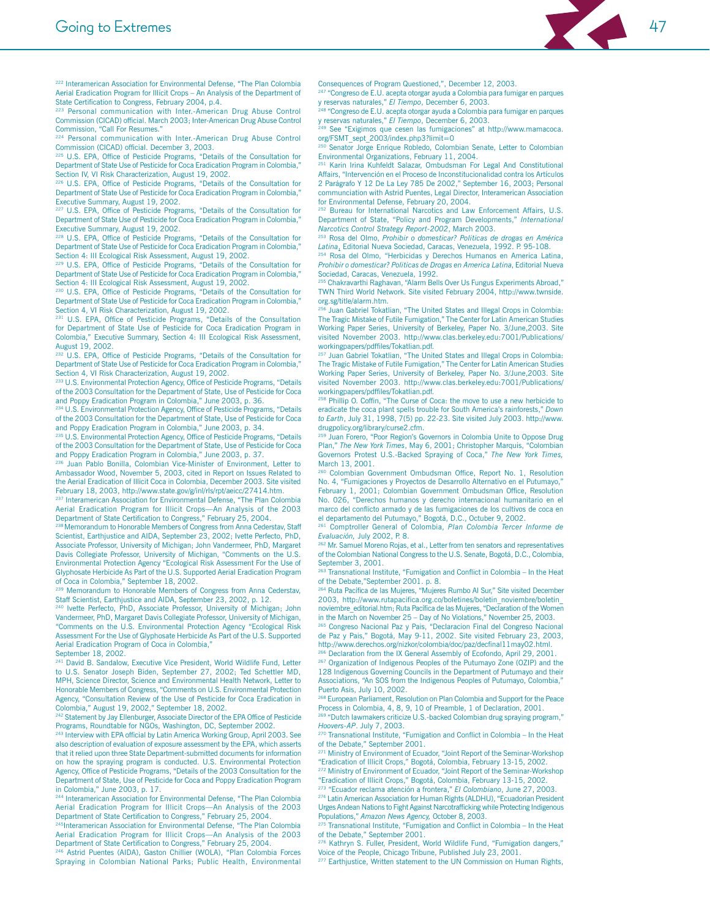

<sup>222</sup> Interamerican Association for Environmental Defense, "The Plan Colombia Aerial Eradication Program for Illicit Crops - An Analysis of the Department of State Certification to Congress, February 2004, p.4.

223 Personal communication with Inter.-American Drug Abuse Control Commission (CICAD) official. March 2003; Inter-American Drug Abuse Control Commission. "Call For Resumes.

<sup>224</sup> Personal communication with Inter.-American Drug Abuse Control Commission (CICAD) official. December 3, 2003.

225 U.S. EPA, Office of Pesticide Programs, "Details of the Consultation for Department of State Use of Pesticide for Coca Eradication Program in Colombia," Section IV, VI Risk Characterization, August 19, 2002.

<sup>226</sup> U.S. EPA, Office of Pesticide Programs, "Details of the Consultation for Department of State Use of Pesticide for Coca Eradication Program in Colombia," Executive Summary, August 19, 2002.

<sup>227</sup> U.S. EPA, Office of Pesticide Programs, "Details of the Consultation for Department of State Use of Pesticide for Coca Eradication Program in Colombia,' Executive Summary, August 19, 2002.

<sup>228</sup> U.S. EPA, Office of Pesticide Programs, "Details of the Consultation for Department of State Use of Pesticide for Coca Eradication Program in Colombia," Section 4: III Ecological Risk Assessment, August 19, 2002.

<sup>229</sup> U.S. EPA, Office of Pesticide Programs, "Details of the Consultation for Department of State Use of Pesticide for Coca Eradication Program in Colombia, Section 4: III Ecological Risk Assessment, August 19, 2002.<br><sup>230</sup> U.S. EPA, Office of Pesticide Programs, "Details of the Consultation for

Department of State Use of Pesticide for Coca Eradication Program in Colombia," Section 4, VI Risk Characterization, August 19, 2002.

U.S. EPA, Office of Pesticide Programs, "Details of the Consultation for Department of State Use of Pesticide for Coca Eradication Program in Colombia," Executive Summary, Section 4: III Ecological Risk Assessment, August 19, 2002.

U.S. EPA, Office of Pesticide Programs, "Details of the Consultation for Department of State Use of Pesticide for Coca Eradication Program in Colombia," Section 4, VI Risk Characterization, August 19, 2002.

233 U.S. Environmental Protection Agency, Office of Pesticide Programs, "Details of the 2003 Consultation for the Department of State, Use of Pesticide for Coca and Poppy Eradication Program in Colombia," June 2003, p. 36.

<sup>234</sup> U.S. Environmental Protection Agency, Office of Pesticide Programs, "Details of the 2003 Consultation for the Department of State, Use of Pesticide for Coca and Poppy Eradication Program in Colombia," June 2003, p. 34.

235 U.S. Environmental Protection Agency, Office of Pesticide Programs, "Details of the 2003 Consultation for the Department of State, Use of Pesticide for Coca and Poppy Eradication Program in Colombia," June 2003, p. 37.

<sup>236</sup> Juan Pablo Bonilla, Colombian Vice-Minister of Environment, Letter to Ambassador Wood, November 5, 2003, cited in Report on Issues Related to the Aerial Eradication of Illicit Coca in Colombia, December 2003. Site visited February 18, 2003, http://www.state.gov/g/inl/rls/rpt/aeicc/27414.htm.

237 Interamerican Association for Environmental Defense, "The Plan Colombia According to the Contract Contract Contract Contract Contract Contract Contract Contract Contract Contract Contract Contract Contract Contract Contract Contract Contract Contract Contract Contract Contract Contract Contrac

238 Memorandum to Honorable Members of Congress from Anna Cederstav, Staff Scientist, Earthjustice and AIDA, September 23, 2002; Ivette Perfecto, PhD, Associate Professor, University of Michigan; John Vandermeer, PhD, Margaret Davis Collegiate Professor, University of Michigan, "Comments on the U.S. Environmental Protection Agency "Ecological Risk Assessment For the Use of Glyphosate Herbicide As Part of the U.S. Supported Aerial Eradication Program of Coca in Colombia," September 18, 2002

<sup>239</sup> Memorandum to Honorable Members of Congress from Anna Cederstav, Staff Scientist, Earthjustice and AIDA, September 23, 2002, p. 12.

240 Ivette Perfecto, PhD, Associate Professor, University of Michigan; John Vandermeer, PhD, Margaret Davis Collegiate Professor, University of Michigan, "Comments on the U.S. Environmental Protection Agency "Ecological Risk Assessment For the Use of Glyphosate Herbicide As Part of the U.S. Supported Aerial Eradication Program of Coca in Colombia,"

September 18, 2002.

<sup>241</sup> David B. Sandalow, Executive Vice President, World Wildlife Fund, Letter to U.S. Senator Joseph Biden, September 27, 2002; Ted Schettler MD, MPH, Science Director, Science and Environmental Health Network, Letter to Honorable Members of Congress, "Comments on U.S. Environmental Protection Agency, "Consultation Review of the Use of Pesticide for Coca Eradication in Colombia," August 19, 2002," September 18, 2002.

42 Statement by Jay Ellenburger, Associate Director of the EPA Office of Pesticide Programs, Roundtable for NGOs, Washington, DC, September 2002.

243 Interview with EPA official by Latin America Working Group, April 2003, See also description of evaluation of exposure assessment by the EPA, which asserts that it relied upon three State Department-submitted documents for information on how the spraying program is conducted. U.S. Environmental Protection Agency, Office of Pesticide Programs, "Details of the 2003 Consultation for the Department of State, Use of Pesticide for Coca and Poppy Eradication Program in Colombia," June 2003, p. 17.

<sup>244</sup> Interamerican Association for Environmental Defense, "The Plan Colombia Aerial Eradication Program for Illicit Crops-An Analysis of the 2003<br>Department of State Certification to Congress," February 25, 2004.

<sup>245</sup>Interamerican Association for Environmental Defense, "The Plan Colombia Aerial Eradication Program for Illicit Crops-An Analysis of the 2003 Department of State Certification to Congress," February 25, 2004.

246 Astrid Puentes (AIDA), Gaston Chillier (WOLA), "Plan Colombia Forces Spraying in Colombian National Parks; Public Health, Environmental Consequences of Program Questioned,", December 12, 2003. "Congreso de E.U. acepta otorgar ayuda a Colombia para fumigar en parques

y reservas naturales," El Tiempo, December 6, 2003. "Congreso de E.U. acepta otorgar ayuda a Colombia para fumigar en parques

y reservas naturales," El Tiempo, December 6, 2003. See "Exigimos que cesen las fumigaciones" at http://www.mamacoca. org/FSMT sept 2003/index.php3?limit=0

Senator Jorge Enrique Robledo, Colombian Senate, Letter to Colombian Environmental Organizations, February 11, 2004.

<sup>251</sup> Karin Irina Kuhfeldt Salazar, Ombudsman For Legal And Constitutional Affairs, "Intervención en el Proceso de Inconstitucionalidad contra los Artículos 2 Parágrafo Y 12 De La Ley 785 De 2002," September 16, 2003; Personal communciation with Astrid Puentes, Legal Director, Interamerican Association for Environmental Defense, February 20, 2004.

Bureau for International Narcotics and Law Enforcement Affairs, U.S. Department of State, "Policy and Program Developments," International Narcotics Control Strategy Report-2002, March 2003.

<sup>253</sup> Rosa del Olmo, Prohibir o domesticar? Politicas de drogas en América Latina, Editorial Nueva Sociedad, Caracas, Venezuela, 1992. P. 95-108.

<sup>254</sup> Rosa del Olmo, "Herbicidas y Derechos Humanos en America Latina, Prohibir o domesticar? Politicas de Drogas en America Latina, Editorial Nueva Sociedad, Caracas, Venezuela, 1992.

<sup>255</sup> Chakravarthi Raghavan, "Alarm Bells Over Us Fungus Experiments Abroad," TWN Third World Network. Site visited February 2004, http://www.twnside. org.sg/title/alarm.htm.

Juan Gabriel Tokatlian, "The United States and Illegal Crops in Colombia: Juan Gabriel Distance The United States and Inegal Crops in Colombia:<br>The Tragic Mistake of Futile Fumigation," The Center for Latin American Studies<br>Working Paper Series, University of Berkeley, Paper No. 3/June,2003. Sit visited November 2003. http://www.clas.berkeley.edu.7001/Publications/ workingpapers/pdffiles/Tokatlian.pdf.

Juan Gabriel Tokatlian, "The United States and Illegal Crops in Colombia: The Tragic Mistake of Futile Fumigation," The Center for Latin American Studies Working Paper Series, University of Berkeley, Paper No. 3/June, 2003. Site visited November 2003. http://www.clas.berkeley.edu.7001/Publications/ workingpapers/pdffiles/Tokatlian.pdf.

<sup>258</sup> Phillip O. Coffin, "The Curse of Coca: the move to use a new herbicide to eradicate the coca plant spells trouble for South America's rainforests," Down to Earth, July 31, 1998, 7(5) pp. 22-23. Site visited July 2003. http://www. drugpolicy.org/library/curse2.cfm.

<sup>259</sup> Juan Forero, "Poor Region's Governors in Colombia Unite to Oppose Drug Plan," The New York Times, May 6, 2001; Christopher Marquis, "Colombian Governors Protest U.S.-Backed Spraying of Coca," The New York Times, March 13, 2001.

<sup>260</sup> Colombian Government Ombudsman Office, Report No. 1, Resolution No. 4, "Fumigaciones y Proyectos de Desarrollo Alternativo en el Putumayo, February 1, 2001; Colombian Government Ombudsman Office, Resolution No. 026, "Derechos humanos y derecho internacional humanitario en el marco del conflicto armado y de las fumigaciones de los cultivos de coca en el departamento del Putumayo," Bogotá, D.C., Octuber 9, 2002.

Comptroller General of Colombia, Plan Colombia Tercer Informe de Evaluación, July 2002, P. 8.

<sup>52</sup> Mr. Samuel Moreno Rojas, et al., Letter from ten senators and representatives of the Colombian National Congress to the U.S. Senate, Bogotá, D.C., Colombia, September 3, 2001.

<sup>263</sup> Transnational Institute, "Fumigation and Conflict in Colombia - In the Heat of the Debate,"September 2001. p. 8.

<sup>264</sup> Ruta Pacífica de las Mujeres, "Mujeres Rumbo Al Sur," Site visited December 2003, http://www.rutapacifica.org.co/boletines/boletin\_noviembre/boletin\_ noviembre\_editorial.htm; Ruta Pacífica de las Mujeres, "Declaration of the Wome in the March on November 25 - Day of No Violations," November 25, 2003.

Congreso Nacional Paz y Pais, "Declaracion Final del Congreso Nacional de Paz y Pais," Bogotá, May 9-11, 2002. Site visited February 23, 2003, http://www.derechos.org/nizkor/colombia/doc/paz/decfinal11may02.html.

Declaration from the IX General Assembly of Ecofondo, April 29, 2001.

<sup>267</sup> Organization of Indigenous Peoples of the Putumayo Zone (OZIP) and the 128 Indigenous Governing Councils in the Department of Putumayo and their Associations, "An SOS from the Indigenous Peoples of Putumayo, Colombia,' Puerto Asis, July 10, 2002.

European Parliament, Resolution on Plan Colombia and Support for the Peace Process in Colombia, 4, 8, 9, 10 of Preamble, 1 of Declaration, 2001. "Dutch lawmakers criticize U.S.-backed Colombian drug spraying program,"

Hoovers-AP. July 7, 2003. 270 Transnational Institute, "Fumigation and Conflict in Colombia - In the Heat

of the Debate," September 2001. <sup>271</sup> Ministry of Environment of Ecuador, "Joint Report of the Seminar-Workshop

"Eradication of Illicit Crops," Bogotá, Colombia, February 13-15, 2002.

<sup>272</sup> Ministry of Environment of Ecuador, "Joint Report of the Seminar-Workshop "Eradication of Illicit Crops," Bogotá, Colombia, February 13-15, 2002.

<sup>273</sup> "Ecuador reclama atención a frontera," El Colombiano, June 27, 2003.

<sup>274</sup> Latin American Association for Human Rights (ALDHU), "Ecuadorian President Urges Andean Nations to Fight Against Narcotrafficking while Protecting Indigenous Populations," Amazon News Agency, October 8, 2003.

<sup>275</sup> Transnational Institute, "Fumigation and Conflict in Colombia - In the Heat of the Debate," September 2001.

<sup>276</sup> Kathryn S. Fuller, President, World Wildlife Fund, "Fumigation dangers," Voice of the People, Chicago Tribune, Published July 23, 2001.

<sup>277</sup> Earthjustice, Written statement to the UN Commission on Human Rights,